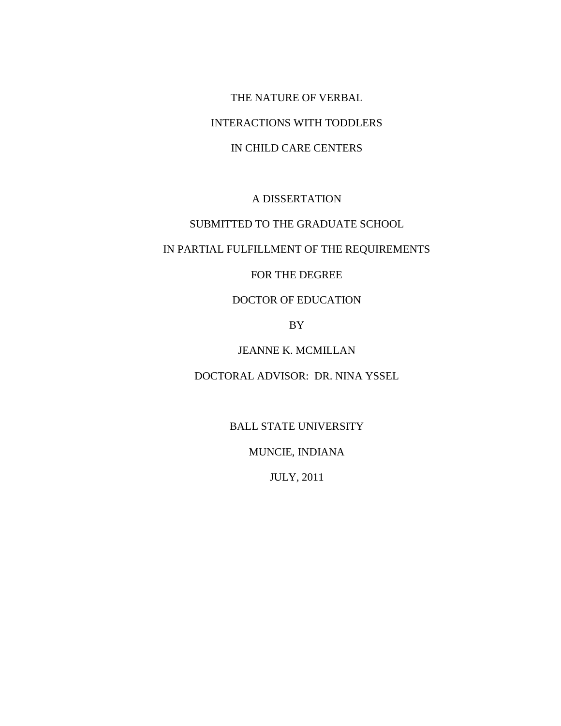THE NATURE OF VERBAL INTERACTIONS WITH TODDLERS IN CHILD CARE CENTERS

# A DISSERTATION

## SUBMITTED TO THE GRADUATE SCHOOL

## IN PARTIAL FULFILLMENT OF THE REQUIREMENTS

## FOR THE DEGREE

## DOCTOR OF EDUCATION

## BY

## JEANNE K. MCMILLAN

## DOCTORAL ADVISOR: DR. NINA YSSEL

## BALL STATE UNIVERSITY

## MUNCIE, INDIANA

JULY, 2011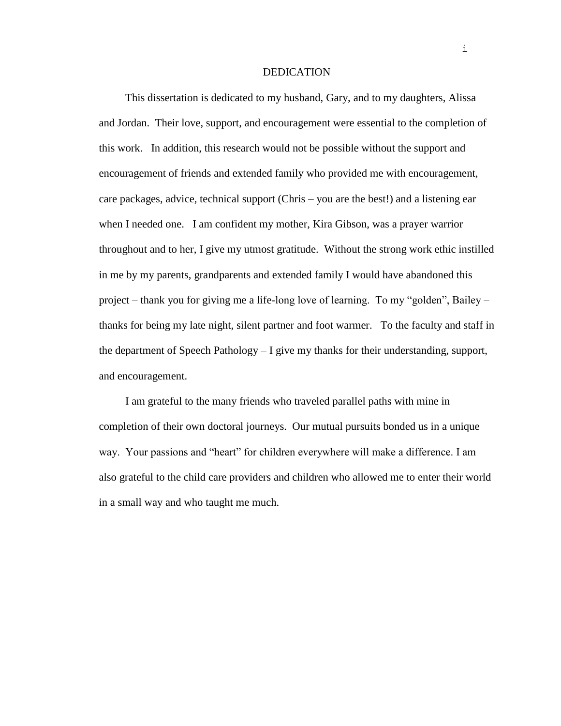#### DEDICATION

This dissertation is dedicated to my husband, Gary, and to my daughters, Alissa and Jordan. Their love, support, and encouragement were essential to the completion of this work. In addition, this research would not be possible without the support and encouragement of friends and extended family who provided me with encouragement, care packages, advice, technical support (Chris – you are the best!) and a listening ear when I needed one. I am confident my mother, Kira Gibson, was a prayer warrior throughout and to her, I give my utmost gratitude. Without the strong work ethic instilled in me by my parents, grandparents and extended family I would have abandoned this project – thank you for giving me a life-long love of learning. To my "golden", Bailey – thanks for being my late night, silent partner and foot warmer. To the faculty and staff in the department of Speech Pathology – I give my thanks for their understanding, support, and encouragement.

I am grateful to the many friends who traveled parallel paths with mine in completion of their own doctoral journeys. Our mutual pursuits bonded us in a unique way. Your passions and "heart" for children everywhere will make a difference. I am also grateful to the child care providers and children who allowed me to enter their world in a small way and who taught me much.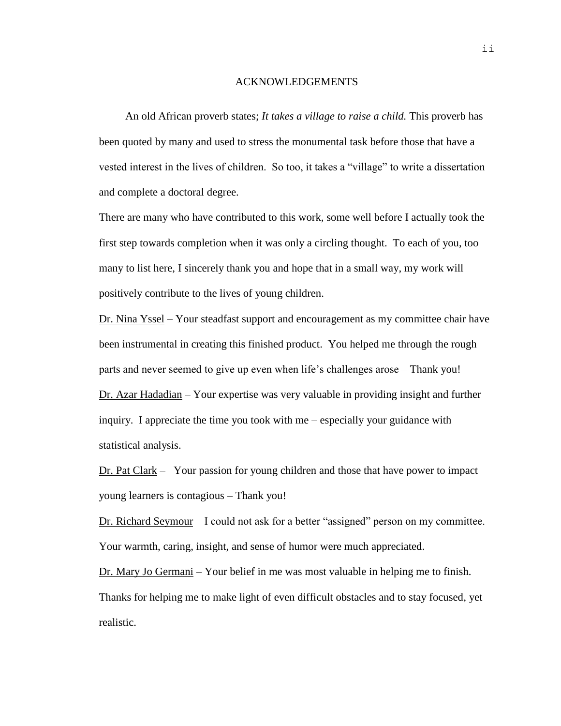### ACKNOWLEDGEMENTS

An old African proverb states; *It takes a village to raise a child.* This proverb has been quoted by many and used to stress the monumental task before those that have a vested interest in the lives of children. So too, it takes a "village" to write a dissertation and complete a doctoral degree.

There are many who have contributed to this work, some well before I actually took the first step towards completion when it was only a circling thought. To each of you, too many to list here, I sincerely thank you and hope that in a small way, my work will positively contribute to the lives of young children.

Dr. Nina Yssel – Your steadfast support and encouragement as my committee chair have been instrumental in creating this finished product. You helped me through the rough parts and never seemed to give up even when life's challenges arose – Thank you! Dr. Azar Hadadian – Your expertise was very valuable in providing insight and further inquiry. I appreciate the time you took with me – especially your guidance with statistical analysis.

Dr. Pat Clark – Your passion for young children and those that have power to impact young learners is contagious – Thank you!

Dr. Richard Seymour – I could not ask for a better "assigned" person on my committee. Your warmth, caring, insight, and sense of humor were much appreciated.

Dr. Mary Jo Germani – Your belief in me was most valuable in helping me to finish. Thanks for helping me to make light of even difficult obstacles and to stay focused, yet realistic.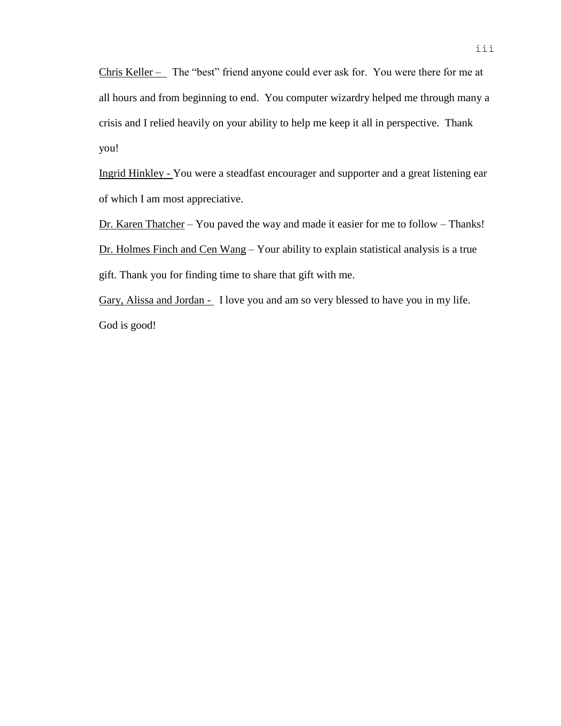Chris Keller – The "best" friend anyone could ever ask for. You were there for me at all hours and from beginning to end. You computer wizardry helped me through many a crisis and I relied heavily on your ability to help me keep it all in perspective. Thank you!

Ingrid Hinkley - You were a steadfast encourager and supporter and a great listening ear of which I am most appreciative.

Dr. Karen Thatcher – You paved the way and made it easier for me to follow – Thanks! Dr. Holmes Finch and Cen Wang – Your ability to explain statistical analysis is a true gift. Thank you for finding time to share that gift with me.

Gary, Alissa and Jordan - I love you and am so very blessed to have you in my life. God is good!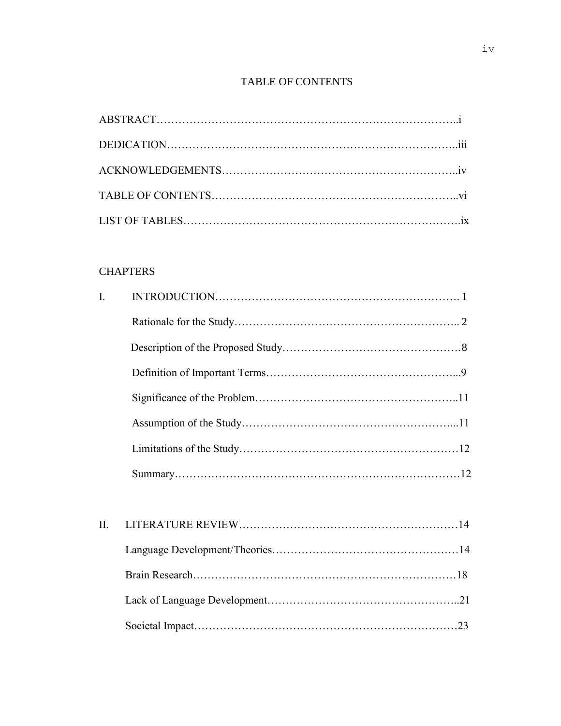# TABLE OF CONTENTS

# **CHAPTERS**

| $\mathbf{I}$ . |  |
|----------------|--|
|                |  |
|                |  |
|                |  |
|                |  |
|                |  |
|                |  |
|                |  |
|                |  |
| II.            |  |
|                |  |
|                |  |
|                |  |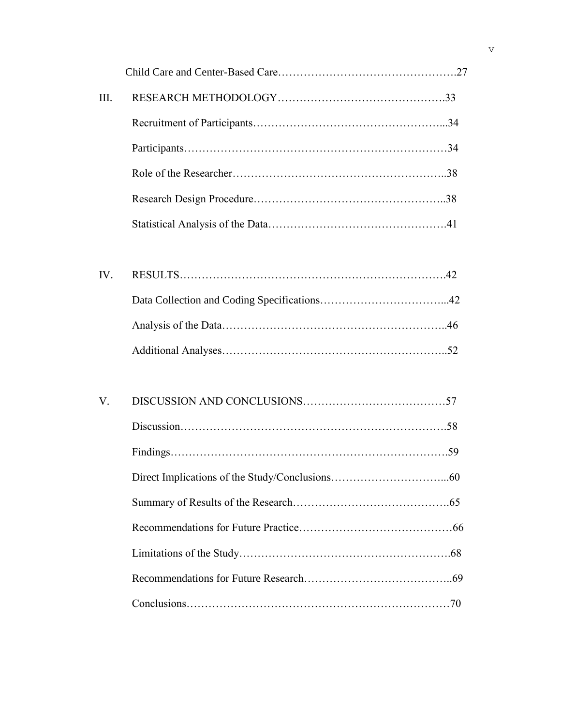| III. |  |
|------|--|
|      |  |
|      |  |
|      |  |
|      |  |
|      |  |
|      |  |
| IV.  |  |
|      |  |
|      |  |
|      |  |
|      |  |
| V.   |  |
|      |  |
|      |  |
|      |  |
|      |  |
|      |  |
|      |  |
|      |  |
|      |  |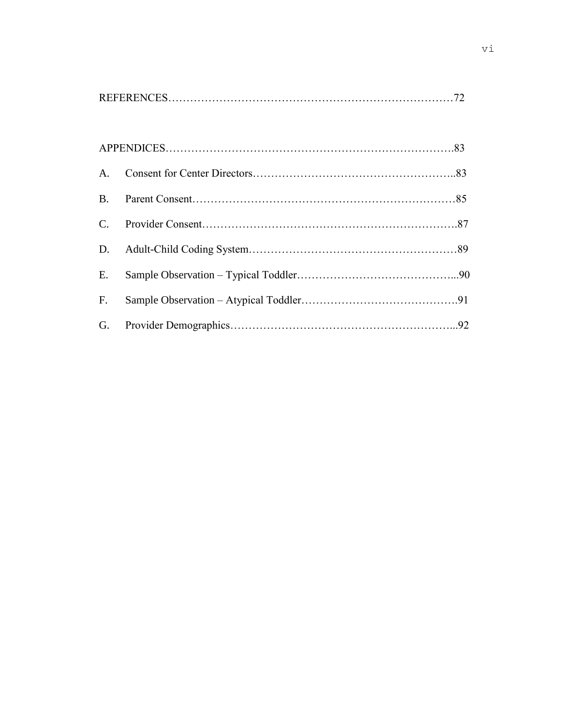| E.          |  |
|-------------|--|
| $F_{\cdot}$ |  |
|             |  |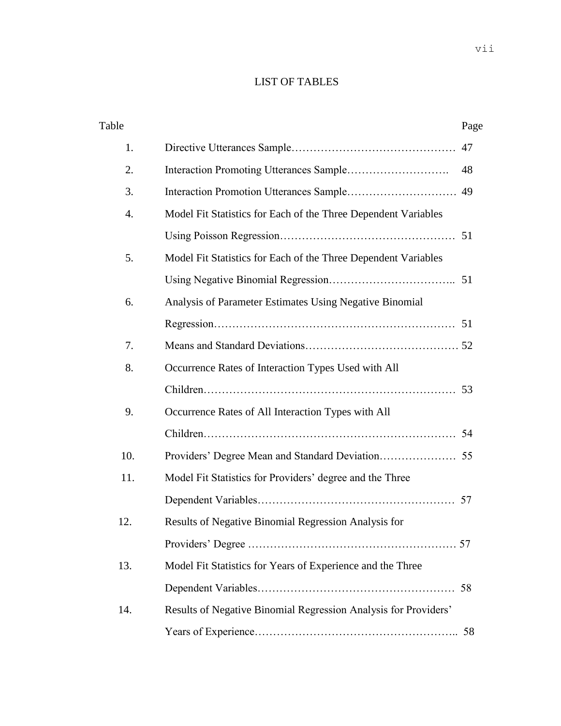# LIST OF TABLES

| Table            |                                                                 | Page |
|------------------|-----------------------------------------------------------------|------|
| 1.               |                                                                 | 47   |
| 2.               |                                                                 | 48   |
| 3.               |                                                                 | 49   |
| $\overline{4}$ . | Model Fit Statistics for Each of the Three Dependent Variables  |      |
|                  |                                                                 |      |
| 5.               | Model Fit Statistics for Each of the Three Dependent Variables  |      |
|                  |                                                                 |      |
| 6.               | Analysis of Parameter Estimates Using Negative Binomial         |      |
|                  |                                                                 |      |
| 7.               |                                                                 |      |
| 8.               | Occurrence Rates of Interaction Types Used with All             |      |
|                  |                                                                 | 53   |
| 9.               | Occurrence Rates of All Interaction Types with All              |      |
|                  |                                                                 | 54   |
| 10.              |                                                                 | 55   |
| 11.              | Model Fit Statistics for Providers' degree and the Three        |      |
|                  |                                                                 | 57   |
| 12.              | Results of Negative Binomial Regression Analysis for            |      |
|                  |                                                                 |      |
| 13.              | Model Fit Statistics for Years of Experience and the Three      |      |
|                  |                                                                 |      |
| 14.              | Results of Negative Binomial Regression Analysis for Providers' |      |
|                  |                                                                 |      |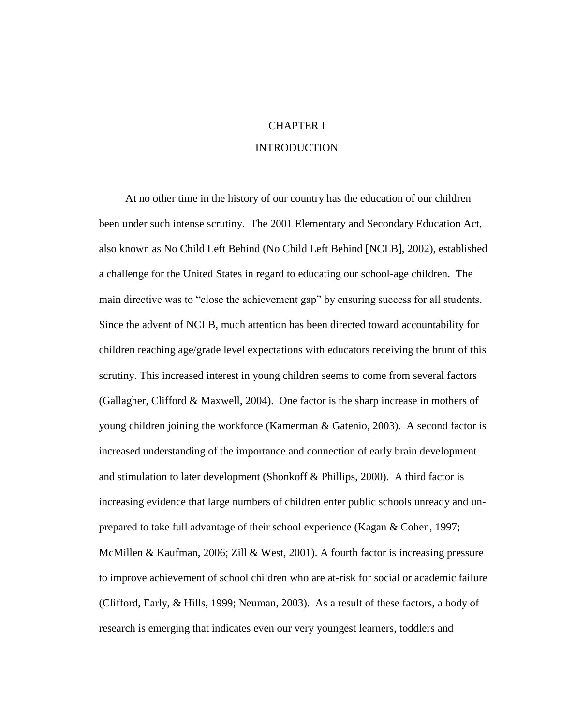# CHAPTER I INTRODUCTION

At no other time in the history of our country has the education of our children been under such intense scrutiny. The 2001 Elementary and Secondary Education Act, also known as No Child Left Behind (No Child Left Behind [NCLB], 2002), established a challenge for the United States in regard to educating our school-age children. The main directive was to "close the achievement gap" by ensuring success for all students. Since the advent of NCLB, much attention has been directed toward accountability for children reaching age/grade level expectations with educators receiving the brunt of this scrutiny. This increased interest in young children seems to come from several factors (Gallagher, Clifford & Maxwell, 2004). One factor is the sharp increase in mothers of young children joining the workforce (Kamerman & Gatenio, 2003). A second factor is increased understanding of the importance and connection of early brain development and stimulation to later development (Shonkoff & Phillips, 2000). A third factor is increasing evidence that large numbers of children enter public schools unready and unprepared to take full advantage of their school experience (Kagan & Cohen, 1997; McMillen & Kaufman, 2006; Zill & West, 2001). A fourth factor is increasing pressure to improve achievement of school children who are at-risk for social or academic failure (Clifford, Early, & Hills, 1999; Neuman, 2003). As a result of these factors, a body of research is emerging that indicates even our very youngest learners, toddlers and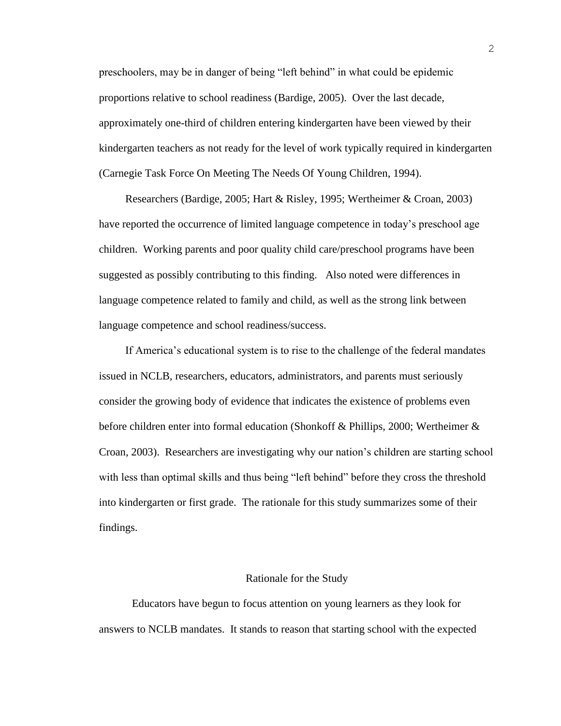preschoolers, may be in danger of being "left behind" in what could be epidemic proportions relative to school readiness (Bardige, 2005). Over the last decade, approximately one-third of children entering kindergarten have been viewed by their kindergarten teachers as not ready for the level of work typically required in kindergarten (Carnegie Task Force On Meeting The Needs Of Young Children, 1994).

Researchers (Bardige, 2005; Hart & Risley, 1995; Wertheimer & Croan, 2003) have reported the occurrence of limited language competence in today's preschool age children. Working parents and poor quality child care/preschool programs have been suggested as possibly contributing to this finding. Also noted were differences in language competence related to family and child, as well as the strong link between language competence and school readiness/success.

If America's educational system is to rise to the challenge of the federal mandates issued in NCLB, researchers, educators, administrators, and parents must seriously consider the growing body of evidence that indicates the existence of problems even before children enter into formal education (Shonkoff & Phillips, 2000; Wertheimer & Croan, 2003). Researchers are investigating why our nation's children are starting school with less than optimal skills and thus being "left behind" before they cross the threshold into kindergarten or first grade. The rationale for this study summarizes some of their findings.

#### Rationale for the Study

Educators have begun to focus attention on young learners as they look for answers to NCLB mandates. It stands to reason that starting school with the expected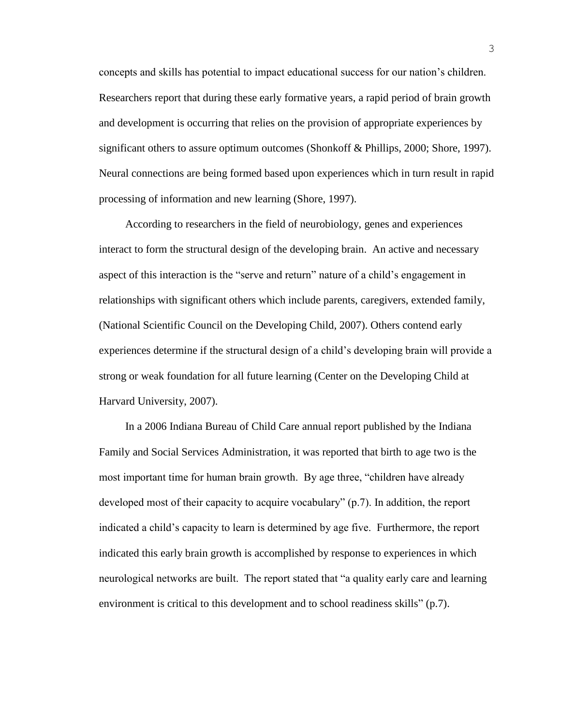concepts and skills has potential to impact educational success for our nation's children. Researchers report that during these early formative years, a rapid period of brain growth and development is occurring that relies on the provision of appropriate experiences by significant others to assure optimum outcomes (Shonkoff & Phillips, 2000; Shore, 1997). Neural connections are being formed based upon experiences which in turn result in rapid processing of information and new learning (Shore, 1997).

According to researchers in the field of neurobiology, genes and experiences interact to form the structural design of the developing brain. An active and necessary aspect of this interaction is the "serve and return" nature of a child's engagement in relationships with significant others which include parents, caregivers, extended family, (National Scientific Council on the Developing Child, 2007). Others contend early experiences determine if the structural design of a child's developing brain will provide a strong or weak foundation for all future learning (Center on the Developing Child at Harvard University, 2007).

In a 2006 Indiana Bureau of Child Care annual report published by the Indiana Family and Social Services Administration, it was reported that birth to age two is the most important time for human brain growth. By age three, "children have already developed most of their capacity to acquire vocabulary" (p.7). In addition, the report indicated a child's capacity to learn is determined by age five. Furthermore, the report indicated this early brain growth is accomplished by response to experiences in which neurological networks are built. The report stated that "a quality early care and learning environment is critical to this development and to school readiness skills" (p.7).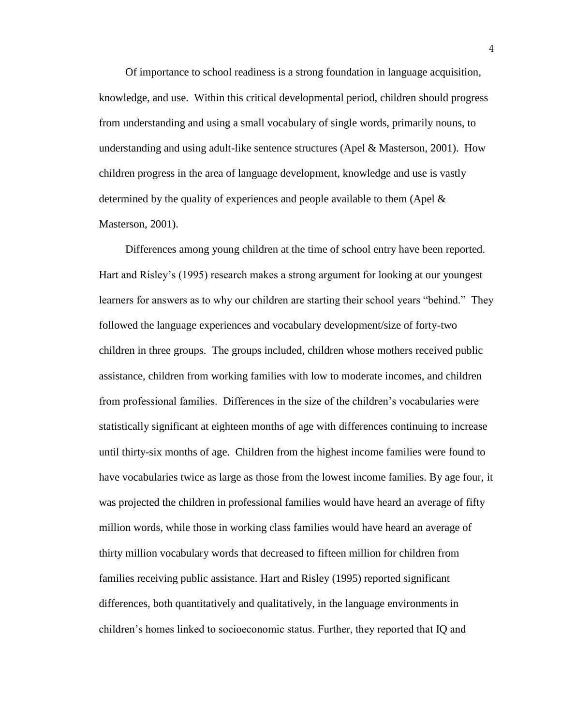Of importance to school readiness is a strong foundation in language acquisition, knowledge, and use. Within this critical developmental period, children should progress from understanding and using a small vocabulary of single words, primarily nouns, to understanding and using adult-like sentence structures (Apel & Masterson, 2001). How children progress in the area of language development, knowledge and use is vastly determined by the quality of experiences and people available to them (Apel & Masterson, 2001).

Differences among young children at the time of school entry have been reported. Hart and Risley's (1995) research makes a strong argument for looking at our youngest learners for answers as to why our children are starting their school years "behind." They followed the language experiences and vocabulary development/size of forty-two children in three groups. The groups included, children whose mothers received public assistance, children from working families with low to moderate incomes, and children from professional families. Differences in the size of the children's vocabularies were statistically significant at eighteen months of age with differences continuing to increase until thirty-six months of age. Children from the highest income families were found to have vocabularies twice as large as those from the lowest income families. By age four, it was projected the children in professional families would have heard an average of fifty million words, while those in working class families would have heard an average of thirty million vocabulary words that decreased to fifteen million for children from families receiving public assistance. Hart and Risley (1995) reported significant differences, both quantitatively and qualitatively, in the language environments in children's homes linked to socioeconomic status. Further, they reported that IQ and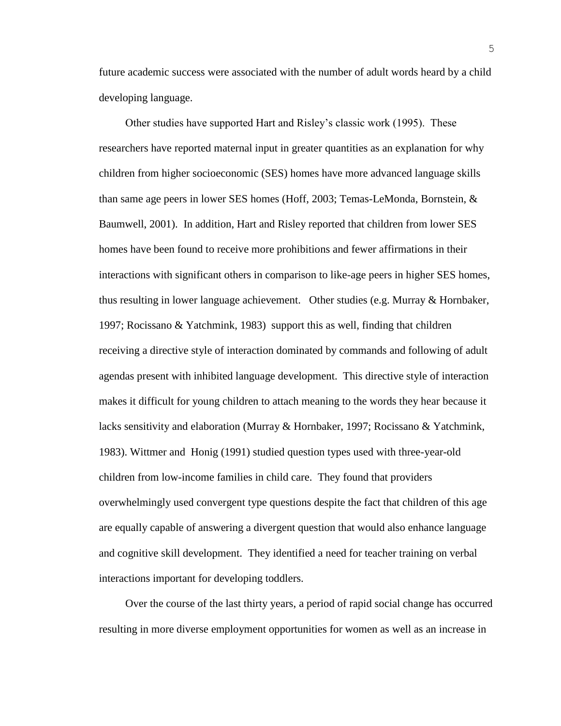future academic success were associated with the number of adult words heard by a child developing language.

Other studies have supported Hart and Risley's classic work (1995). These researchers have reported maternal input in greater quantities as an explanation for why children from higher socioeconomic (SES) homes have more advanced language skills than same age peers in lower SES homes (Hoff, 2003; Temas-LeMonda, Bornstein, & Baumwell, 2001). In addition, Hart and Risley reported that children from lower SES homes have been found to receive more prohibitions and fewer affirmations in their interactions with significant others in comparison to like-age peers in higher SES homes, thus resulting in lower language achievement. Other studies (e.g. Murray & Hornbaker, 1997; Rocissano & Yatchmink, 1983) support this as well, finding that children receiving a directive style of interaction dominated by commands and following of adult agendas present with inhibited language development. This directive style of interaction makes it difficult for young children to attach meaning to the words they hear because it lacks sensitivity and elaboration (Murray & Hornbaker, 1997; Rocissano & Yatchmink, 1983). Wittmer and Honig (1991) studied question types used with three-year-old children from low-income families in child care. They found that providers overwhelmingly used convergent type questions despite the fact that children of this age are equally capable of answering a divergent question that would also enhance language and cognitive skill development. They identified a need for teacher training on verbal interactions important for developing toddlers.

Over the course of the last thirty years, a period of rapid social change has occurred resulting in more diverse employment opportunities for women as well as an increase in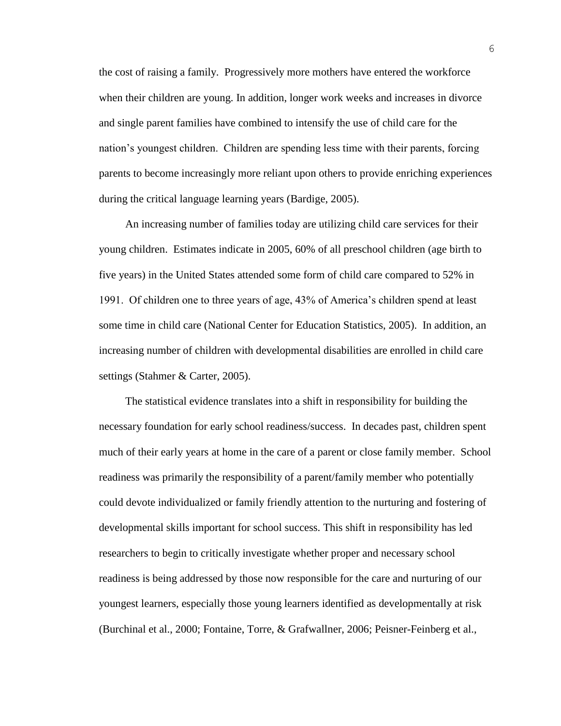the cost of raising a family. Progressively more mothers have entered the workforce when their children are young. In addition, longer work weeks and increases in divorce and single parent families have combined to intensify the use of child care for the nation's youngest children. Children are spending less time with their parents, forcing parents to become increasingly more reliant upon others to provide enriching experiences during the critical language learning years (Bardige, 2005).

An increasing number of families today are utilizing child care services for their young children. Estimates indicate in 2005, 60% of all preschool children (age birth to five years) in the United States attended some form of child care compared to 52% in 1991. Of children one to three years of age, 43% of America's children spend at least some time in child care (National Center for Education Statistics, 2005). In addition, an increasing number of children with developmental disabilities are enrolled in child care settings (Stahmer & Carter, 2005).

The statistical evidence translates into a shift in responsibility for building the necessary foundation for early school readiness/success. In decades past, children spent much of their early years at home in the care of a parent or close family member. School readiness was primarily the responsibility of a parent/family member who potentially could devote individualized or family friendly attention to the nurturing and fostering of developmental skills important for school success. This shift in responsibility has led researchers to begin to critically investigate whether proper and necessary school readiness is being addressed by those now responsible for the care and nurturing of our youngest learners, especially those young learners identified as developmentally at risk (Burchinal et al., 2000; Fontaine, Torre, & Grafwallner, 2006; Peisner-Feinberg et al.,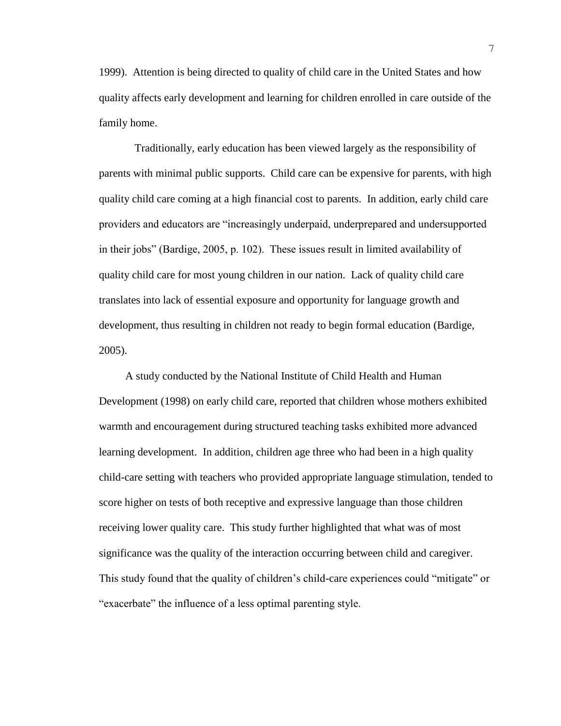1999). Attention is being directed to quality of child care in the United States and how quality affects early development and learning for children enrolled in care outside of the family home.

Traditionally, early education has been viewed largely as the responsibility of parents with minimal public supports. Child care can be expensive for parents, with high quality child care coming at a high financial cost to parents. In addition, early child care providers and educators are "increasingly underpaid, underprepared and undersupported in their jobs" (Bardige, 2005, p. 102). These issues result in limited availability of quality child care for most young children in our nation. Lack of quality child care translates into lack of essential exposure and opportunity for language growth and development, thus resulting in children not ready to begin formal education (Bardige, 2005).

A study conducted by the National Institute of Child Health and Human Development (1998) on early child care, reported that children whose mothers exhibited warmth and encouragement during structured teaching tasks exhibited more advanced learning development. In addition, children age three who had been in a high quality child-care setting with teachers who provided appropriate language stimulation, tended to score higher on tests of both receptive and expressive language than those children receiving lower quality care. This study further highlighted that what was of most significance was the quality of the interaction occurring between child and caregiver. This study found that the quality of children's child-care experiences could "mitigate" or "exacerbate" the influence of a less optimal parenting style.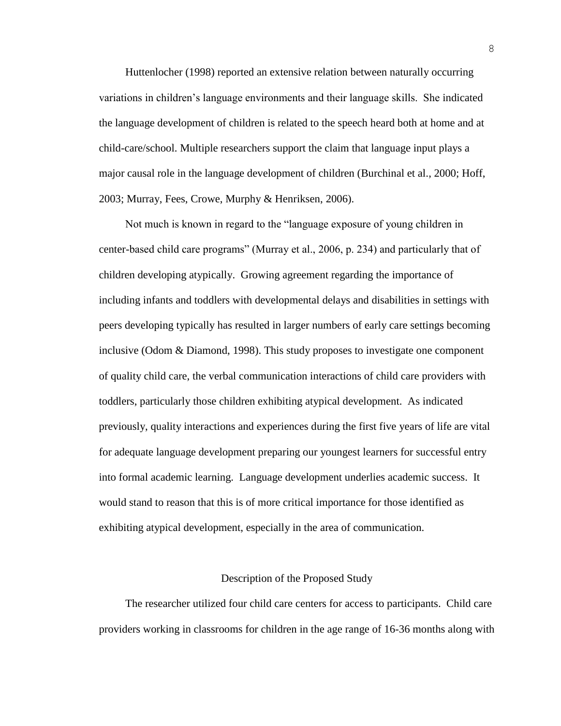Huttenlocher (1998) reported an extensive relation between naturally occurring variations in children's language environments and their language skills. She indicated the language development of children is related to the speech heard both at home and at child-care/school. Multiple researchers support the claim that language input plays a major causal role in the language development of children (Burchinal et al., 2000; Hoff, 2003; Murray, Fees, Crowe, Murphy & Henriksen, 2006).

Not much is known in regard to the "language exposure of young children in center-based child care programs" (Murray et al., 2006, p. 234) and particularly that of children developing atypically. Growing agreement regarding the importance of including infants and toddlers with developmental delays and disabilities in settings with peers developing typically has resulted in larger numbers of early care settings becoming inclusive (Odom & Diamond, 1998). This study proposes to investigate one component of quality child care, the verbal communication interactions of child care providers with toddlers, particularly those children exhibiting atypical development. As indicated previously, quality interactions and experiences during the first five years of life are vital for adequate language development preparing our youngest learners for successful entry into formal academic learning. Language development underlies academic success. It would stand to reason that this is of more critical importance for those identified as exhibiting atypical development, especially in the area of communication.

#### Description of the Proposed Study

The researcher utilized four child care centers for access to participants. Child care providers working in classrooms for children in the age range of 16-36 months along with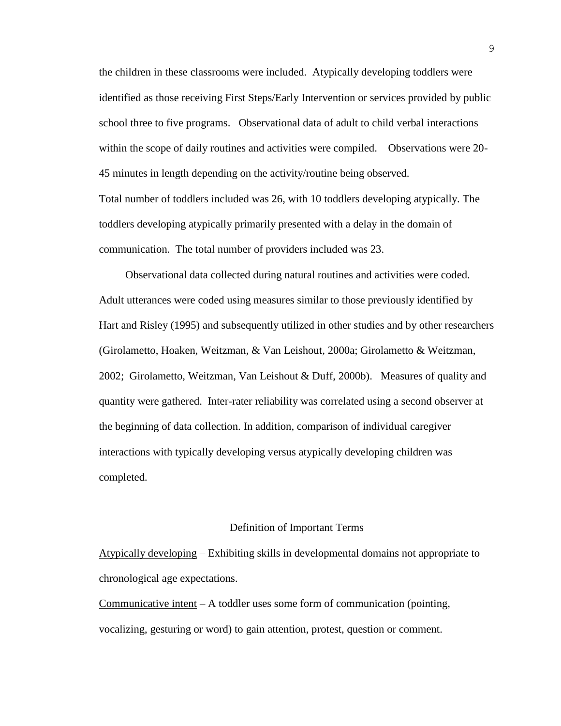the children in these classrooms were included. Atypically developing toddlers were identified as those receiving First Steps/Early Intervention or services provided by public school three to five programs. Observational data of adult to child verbal interactions within the scope of daily routines and activities were compiled. Observations were 20- 45 minutes in length depending on the activity/routine being observed. Total number of toddlers included was 26, with 10 toddlers developing atypically. The toddlers developing atypically primarily presented with a delay in the domain of communication. The total number of providers included was 23.

Observational data collected during natural routines and activities were coded. Adult utterances were coded using measures similar to those previously identified by Hart and Risley (1995) and subsequently utilized in other studies and by other researchers (Girolametto, Hoaken, Weitzman, & Van Leishout, 2000a; Girolametto & Weitzman, 2002; Girolametto, Weitzman, Van Leishout & Duff, 2000b). Measures of quality and quantity were gathered. Inter-rater reliability was correlated using a second observer at the beginning of data collection. In addition, comparison of individual caregiver interactions with typically developing versus atypically developing children was completed.

#### Definition of Important Terms

Atypically developing – Exhibiting skills in developmental domains not appropriate to chronological age expectations.

Communicative intent  $-A$  toddler uses some form of communication (pointing, vocalizing, gesturing or word) to gain attention, protest, question or comment.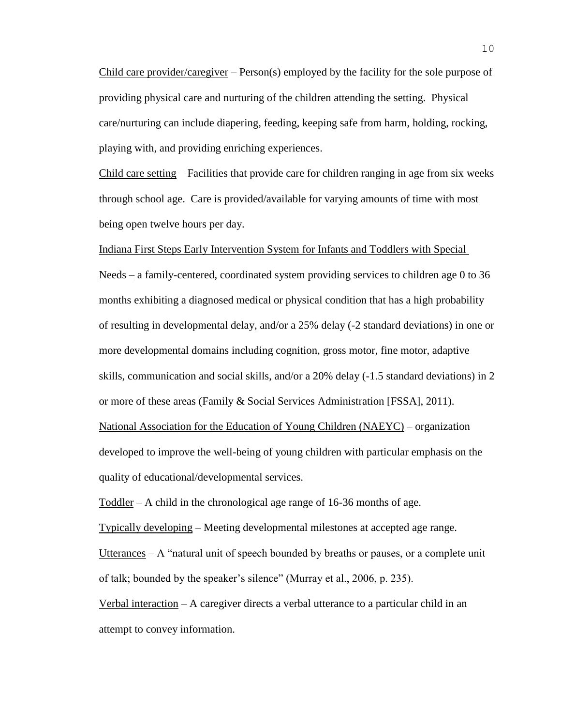Child care provider/caregiver –  $Person(s)$  employed by the facility for the sole purpose of providing physical care and nurturing of the children attending the setting. Physical care/nurturing can include diapering, feeding, keeping safe from harm, holding, rocking, playing with, and providing enriching experiences.

Child care setting – Facilities that provide care for children ranging in age from six weeks through school age. Care is provided/available for varying amounts of time with most being open twelve hours per day.

Indiana First Steps Early Intervention System for Infants and Toddlers with Special

Needs – a family-centered, coordinated system providing services to children age 0 to 36 months exhibiting a diagnosed medical or physical condition that has a high probability of resulting in developmental delay, and/or a 25% delay (-2 standard deviations) in one or more developmental domains including cognition, gross motor, fine motor, adaptive skills, communication and social skills, and/or a 20% delay (-1.5 standard deviations) in 2 or more of these areas (Family & Social Services Administration [FSSA], 2011). National Association for the Education of Young Children (NAEYC) – organization

developed to improve the well-being of young children with particular emphasis on the quality of educational/developmental services.

Toddler – A child in the chronological age range of 16-36 months of age.

Typically developing – Meeting developmental milestones at accepted age range.

Utterances – A "natural unit of speech bounded by breaths or pauses, or a complete unit of talk; bounded by the speaker's silence" (Murray et al., 2006, p. 235).

Verbal interaction – A caregiver directs a verbal utterance to a particular child in an attempt to convey information.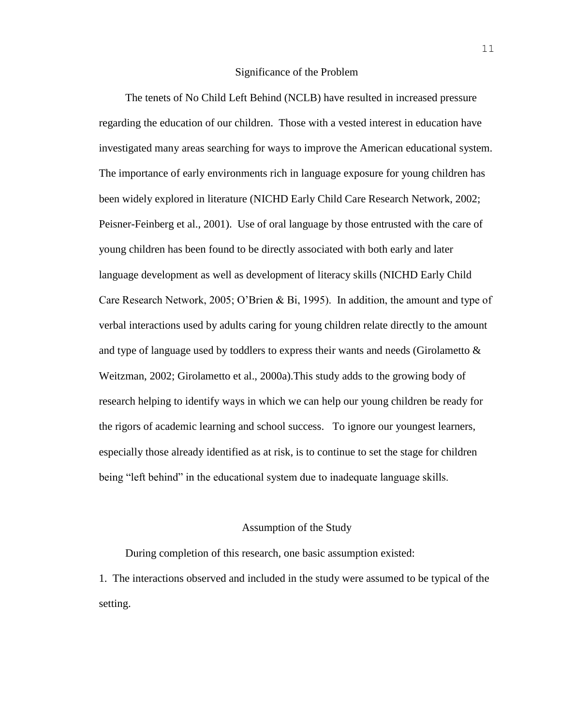#### Significance of the Problem

The tenets of No Child Left Behind (NCLB) have resulted in increased pressure regarding the education of our children. Those with a vested interest in education have investigated many areas searching for ways to improve the American educational system. The importance of early environments rich in language exposure for young children has been widely explored in literature (NICHD Early Child Care Research Network, 2002; Peisner-Feinberg et al., 2001). Use of oral language by those entrusted with the care of young children has been found to be directly associated with both early and later language development as well as development of literacy skills (NICHD Early Child Care Research Network, 2005; O'Brien & Bi, 1995). In addition, the amount and type of verbal interactions used by adults caring for young children relate directly to the amount and type of language used by toddlers to express their wants and needs (Girolametto  $\&$ Weitzman, 2002; Girolametto et al., 2000a).This study adds to the growing body of research helping to identify ways in which we can help our young children be ready for the rigors of academic learning and school success. To ignore our youngest learners, especially those already identified as at risk, is to continue to set the stage for children being "left behind" in the educational system due to inadequate language skills.

#### Assumption of the Study

During completion of this research, one basic assumption existed:

1. The interactions observed and included in the study were assumed to be typical of the setting.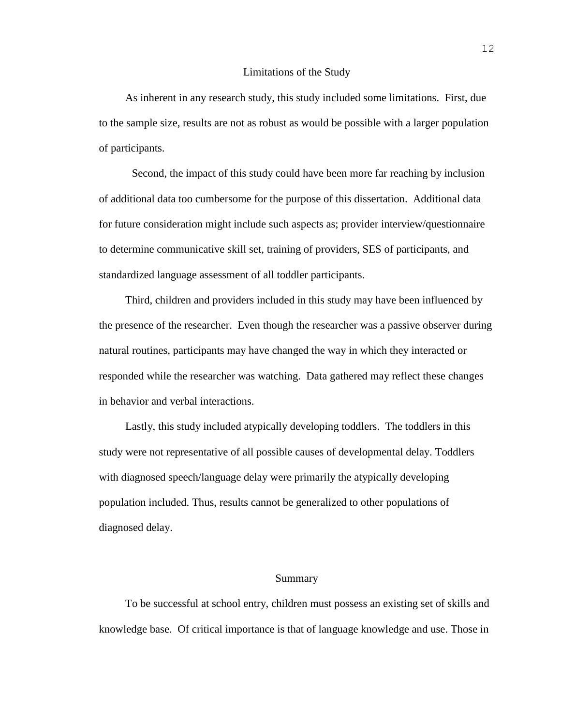#### Limitations of the Study

As inherent in any research study, this study included some limitations. First, due to the sample size, results are not as robust as would be possible with a larger population of participants.

Second, the impact of this study could have been more far reaching by inclusion of additional data too cumbersome for the purpose of this dissertation. Additional data for future consideration might include such aspects as; provider interview/questionnaire to determine communicative skill set, training of providers, SES of participants, and standardized language assessment of all toddler participants.

Third, children and providers included in this study may have been influenced by the presence of the researcher. Even though the researcher was a passive observer during natural routines, participants may have changed the way in which they interacted or responded while the researcher was watching. Data gathered may reflect these changes in behavior and verbal interactions.

Lastly, this study included atypically developing toddlers. The toddlers in this study were not representative of all possible causes of developmental delay. Toddlers with diagnosed speech/language delay were primarily the atypically developing population included. Thus, results cannot be generalized to other populations of diagnosed delay.

### Summary

To be successful at school entry, children must possess an existing set of skills and knowledge base. Of critical importance is that of language knowledge and use. Those in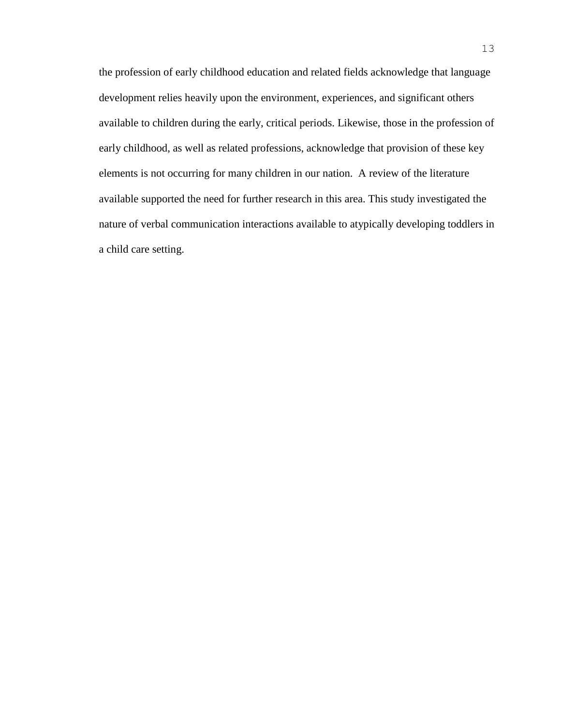the profession of early childhood education and related fields acknowledge that language development relies heavily upon the environment, experiences, and significant others available to children during the early, critical periods. Likewise, those in the profession of early childhood, as well as related professions, acknowledge that provision of these key elements is not occurring for many children in our nation. A review of the literature available supported the need for further research in this area. This study investigated the nature of verbal communication interactions available to atypically developing toddlers in a child care setting.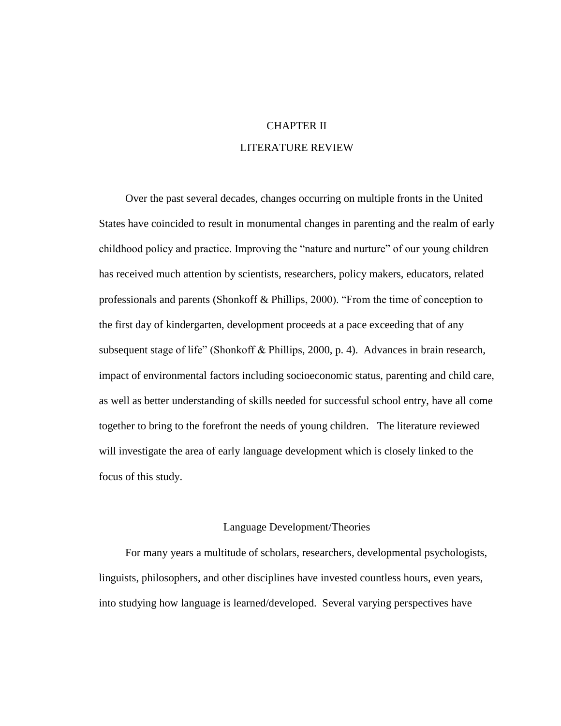# CHAPTER II LITERATURE REVIEW

Over the past several decades, changes occurring on multiple fronts in the United States have coincided to result in monumental changes in parenting and the realm of early childhood policy and practice. Improving the "nature and nurture" of our young children has received much attention by scientists, researchers, policy makers, educators, related professionals and parents (Shonkoff & Phillips, 2000). "From the time of conception to the first day of kindergarten, development proceeds at a pace exceeding that of any subsequent stage of life" (Shonkoff & Phillips, 2000, p. 4). Advances in brain research, impact of environmental factors including socioeconomic status, parenting and child care, as well as better understanding of skills needed for successful school entry, have all come together to bring to the forefront the needs of young children. The literature reviewed will investigate the area of early language development which is closely linked to the focus of this study.

#### Language Development/Theories

For many years a multitude of scholars, researchers, developmental psychologists, linguists, philosophers, and other disciplines have invested countless hours, even years, into studying how language is learned/developed. Several varying perspectives have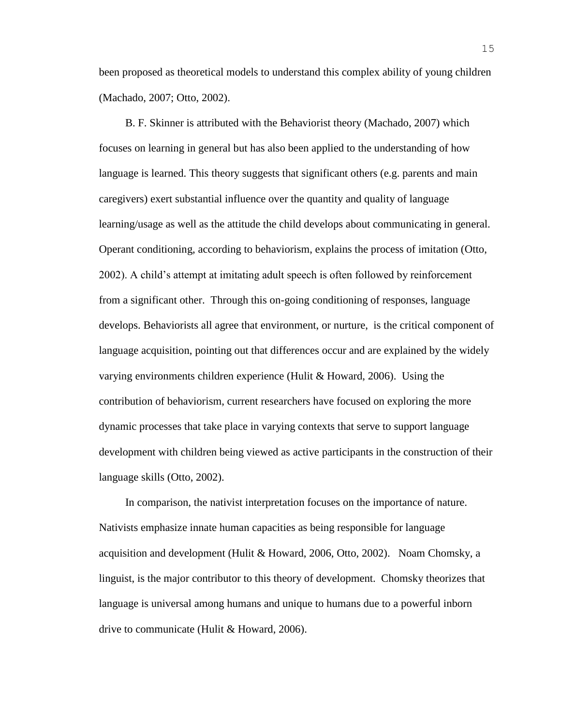been proposed as theoretical models to understand this complex ability of young children (Machado, 2007; Otto, 2002).

B. F. Skinner is attributed with the Behaviorist theory (Machado, 2007) which focuses on learning in general but has also been applied to the understanding of how language is learned. This theory suggests that significant others (e.g. parents and main caregivers) exert substantial influence over the quantity and quality of language learning/usage as well as the attitude the child develops about communicating in general. Operant conditioning, according to behaviorism, explains the process of imitation (Otto, 2002). A child's attempt at imitating adult speech is often followed by reinforcement from a significant other. Through this on-going conditioning of responses, language develops. Behaviorists all agree that environment, or nurture, is the critical component of language acquisition, pointing out that differences occur and are explained by the widely varying environments children experience (Hulit & Howard, 2006). Using the contribution of behaviorism, current researchers have focused on exploring the more dynamic processes that take place in varying contexts that serve to support language development with children being viewed as active participants in the construction of their language skills (Otto, 2002).

In comparison, the nativist interpretation focuses on the importance of nature. Nativists emphasize innate human capacities as being responsible for language acquisition and development (Hulit & Howard, 2006, Otto, 2002). Noam Chomsky, a linguist, is the major contributor to this theory of development. Chomsky theorizes that language is universal among humans and unique to humans due to a powerful inborn drive to communicate (Hulit & Howard, 2006).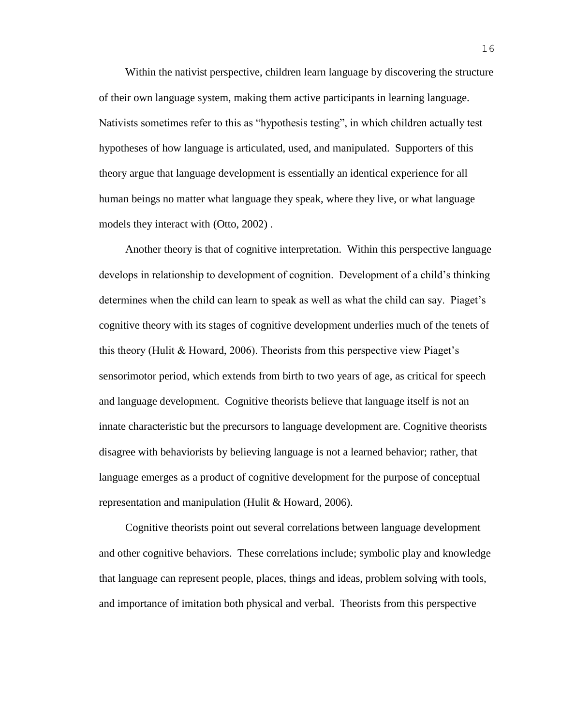Within the nativist perspective, children learn language by discovering the structure of their own language system, making them active participants in learning language. Nativists sometimes refer to this as "hypothesis testing", in which children actually test hypotheses of how language is articulated, used, and manipulated. Supporters of this theory argue that language development is essentially an identical experience for all human beings no matter what language they speak, where they live, or what language models they interact with (Otto, 2002) .

Another theory is that of cognitive interpretation. Within this perspective language develops in relationship to development of cognition. Development of a child's thinking determines when the child can learn to speak as well as what the child can say. Piaget's cognitive theory with its stages of cognitive development underlies much of the tenets of this theory (Hulit  $\&$  Howard, 2006). Theorists from this perspective view Piaget's sensorimotor period, which extends from birth to two years of age, as critical for speech and language development. Cognitive theorists believe that language itself is not an innate characteristic but the precursors to language development are. Cognitive theorists disagree with behaviorists by believing language is not a learned behavior; rather, that language emerges as a product of cognitive development for the purpose of conceptual representation and manipulation (Hulit & Howard, 2006).

Cognitive theorists point out several correlations between language development and other cognitive behaviors. These correlations include; symbolic play and knowledge that language can represent people, places, things and ideas, problem solving with tools, and importance of imitation both physical and verbal. Theorists from this perspective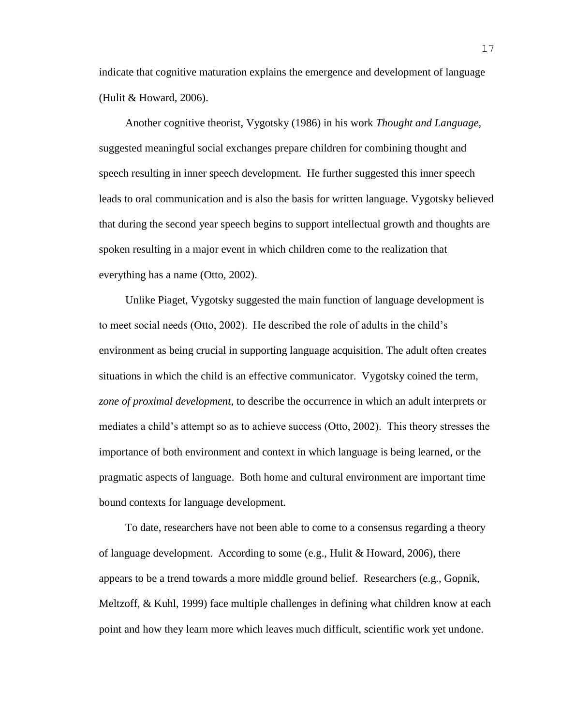indicate that cognitive maturation explains the emergence and development of language (Hulit & Howard, 2006).

Another cognitive theorist, Vygotsky (1986) in his work *Thought and Language,*  suggested meaningful social exchanges prepare children for combining thought and speech resulting in inner speech development. He further suggested this inner speech leads to oral communication and is also the basis for written language. Vygotsky believed that during the second year speech begins to support intellectual growth and thoughts are spoken resulting in a major event in which children come to the realization that everything has a name (Otto, 2002).

Unlike Piaget, Vygotsky suggested the main function of language development is to meet social needs (Otto, 2002). He described the role of adults in the child's environment as being crucial in supporting language acquisition. The adult often creates situations in which the child is an effective communicator. Vygotsky coined the term, *zone of proximal development*, to describe the occurrence in which an adult interprets or mediates a child's attempt so as to achieve success (Otto, 2002). This theory stresses the importance of both environment and context in which language is being learned, or the pragmatic aspects of language. Both home and cultural environment are important time bound contexts for language development.

To date, researchers have not been able to come to a consensus regarding a theory of language development. According to some (e.g., Hulit & Howard, 2006), there appears to be a trend towards a more middle ground belief. Researchers (e.g., Gopnik, Meltzoff, & Kuhl, 1999) face multiple challenges in defining what children know at each point and how they learn more which leaves much difficult, scientific work yet undone.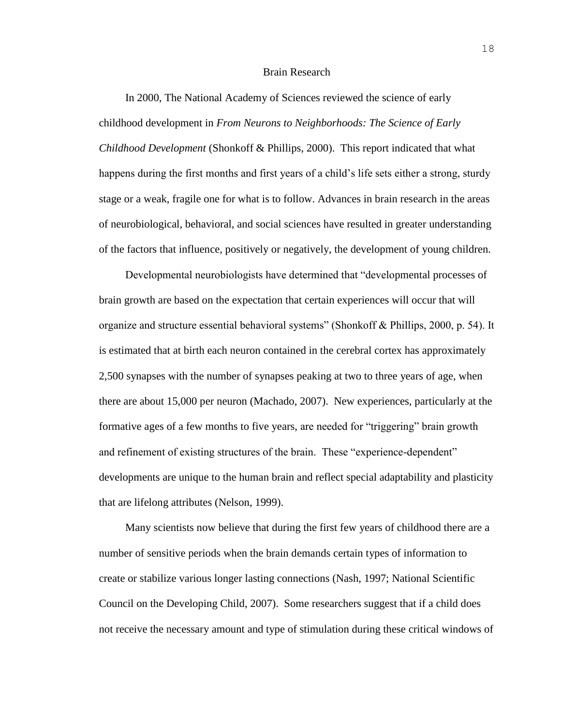#### Brain Research

In 2000, The National Academy of Sciences reviewed the science of early childhood development in *From Neurons to Neighborhoods: The Science of Early Childhood Development* (Shonkoff & Phillips, 2000). This report indicated that what happens during the first months and first years of a child's life sets either a strong, sturdy stage or a weak, fragile one for what is to follow. Advances in brain research in the areas of neurobiological, behavioral, and social sciences have resulted in greater understanding of the factors that influence, positively or negatively, the development of young children.

Developmental neurobiologists have determined that "developmental processes of brain growth are based on the expectation that certain experiences will occur that will organize and structure essential behavioral systems" (Shonkoff & Phillips, 2000, p. 54). It is estimated that at birth each neuron contained in the cerebral cortex has approximately 2,500 synapses with the number of synapses peaking at two to three years of age, when there are about 15,000 per neuron (Machado, 2007). New experiences, particularly at the formative ages of a few months to five years, are needed for "triggering" brain growth and refinement of existing structures of the brain. These "experience-dependent" developments are unique to the human brain and reflect special adaptability and plasticity that are lifelong attributes (Nelson, 1999).

Many scientists now believe that during the first few years of childhood there are a number of sensitive periods when the brain demands certain types of information to create or stabilize various longer lasting connections (Nash, 1997; National Scientific Council on the Developing Child, 2007). Some researchers suggest that if a child does not receive the necessary amount and type of stimulation during these critical windows of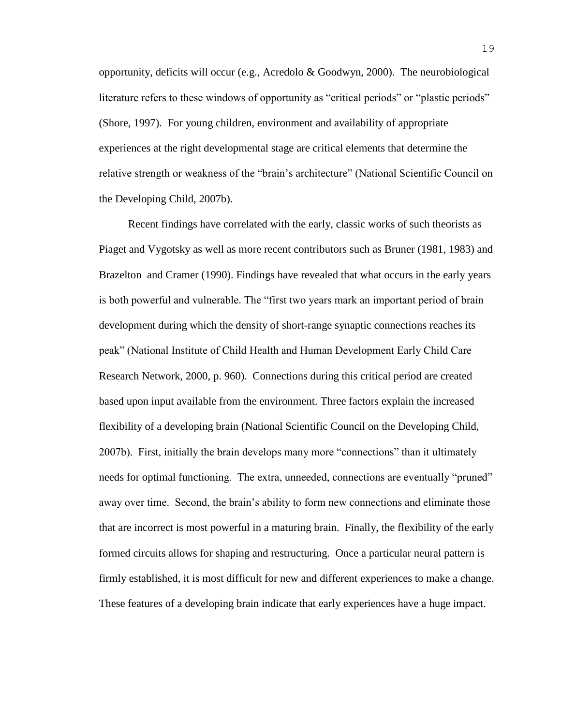opportunity, deficits will occur (e.g., Acredolo & Goodwyn, 2000). The neurobiological literature refers to these windows of opportunity as "critical periods" or "plastic periods" (Shore, 1997). For young children, environment and availability of appropriate experiences at the right developmental stage are critical elements that determine the relative strength or weakness of the "brain's architecture" (National Scientific Council on the Developing Child, 2007b).

Recent findings have correlated with the early, classic works of such theorists as Piaget and Vygotsky as well as more recent contributors such as Bruner (1981, 1983) and Brazelton and Cramer (1990). Findings have revealed that what occurs in the early years is both powerful and vulnerable. The "first two years mark an important period of brain development during which the density of short-range synaptic connections reaches its peak" (National Institute of Child Health and Human Development Early Child Care Research Network, 2000, p. 960). Connections during this critical period are created based upon input available from the environment. Three factors explain the increased flexibility of a developing brain (National Scientific Council on the Developing Child, 2007b). First, initially the brain develops many more "connections" than it ultimately needs for optimal functioning. The extra, unneeded, connections are eventually "pruned" away over time. Second, the brain's ability to form new connections and eliminate those that are incorrect is most powerful in a maturing brain. Finally, the flexibility of the early formed circuits allows for shaping and restructuring. Once a particular neural pattern is firmly established, it is most difficult for new and different experiences to make a change. These features of a developing brain indicate that early experiences have a huge impact.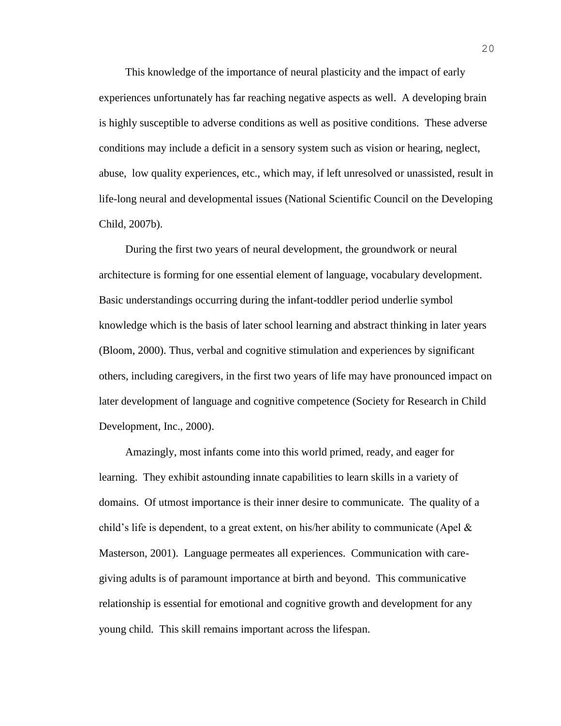This knowledge of the importance of neural plasticity and the impact of early experiences unfortunately has far reaching negative aspects as well. A developing brain is highly susceptible to adverse conditions as well as positive conditions. These adverse conditions may include a deficit in a sensory system such as vision or hearing, neglect, abuse, low quality experiences, etc., which may, if left unresolved or unassisted, result in life-long neural and developmental issues (National Scientific Council on the Developing Child, 2007b).

During the first two years of neural development, the groundwork or neural architecture is forming for one essential element of language, vocabulary development. Basic understandings occurring during the infant-toddler period underlie symbol knowledge which is the basis of later school learning and abstract thinking in later years (Bloom, 2000). Thus, verbal and cognitive stimulation and experiences by significant others, including caregivers, in the first two years of life may have pronounced impact on later development of language and cognitive competence (Society for Research in Child Development, Inc., 2000).

Amazingly, most infants come into this world primed, ready, and eager for learning. They exhibit astounding innate capabilities to learn skills in a variety of domains. Of utmost importance is their inner desire to communicate. The quality of a child's life is dependent, to a great extent, on his/her ability to communicate (Apel  $\&$ Masterson, 2001). Language permeates all experiences. Communication with caregiving adults is of paramount importance at birth and beyond. This communicative relationship is essential for emotional and cognitive growth and development for any young child. This skill remains important across the lifespan.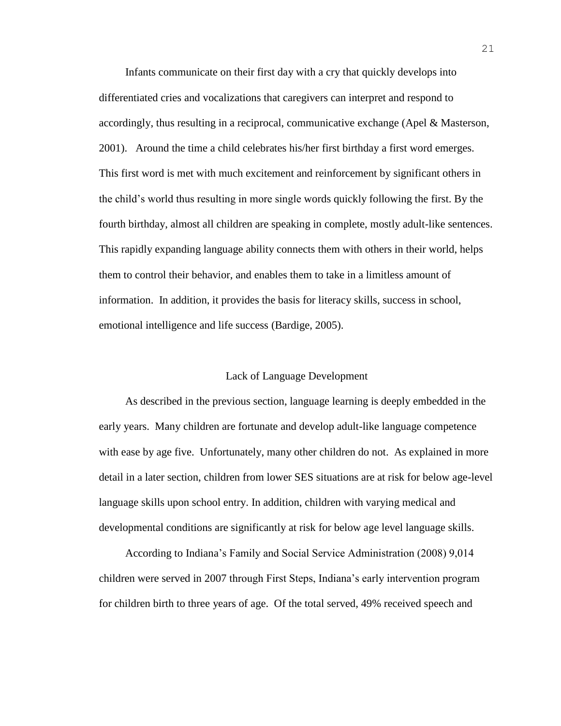Infants communicate on their first day with a cry that quickly develops into differentiated cries and vocalizations that caregivers can interpret and respond to accordingly, thus resulting in a reciprocal, communicative exchange (Apel & Masterson, 2001). Around the time a child celebrates his/her first birthday a first word emerges. This first word is met with much excitement and reinforcement by significant others in the child's world thus resulting in more single words quickly following the first. By the fourth birthday, almost all children are speaking in complete, mostly adult-like sentences. This rapidly expanding language ability connects them with others in their world, helps them to control their behavior, and enables them to take in a limitless amount of information. In addition, it provides the basis for literacy skills, success in school, emotional intelligence and life success (Bardige, 2005).

## Lack of Language Development

As described in the previous section, language learning is deeply embedded in the early years. Many children are fortunate and develop adult-like language competence with ease by age five. Unfortunately, many other children do not. As explained in more detail in a later section, children from lower SES situations are at risk for below age-level language skills upon school entry. In addition, children with varying medical and developmental conditions are significantly at risk for below age level language skills.

According to Indiana's Family and Social Service Administration (2008) 9,014 children were served in 2007 through First Steps, Indiana's early intervention program for children birth to three years of age. Of the total served, 49% received speech and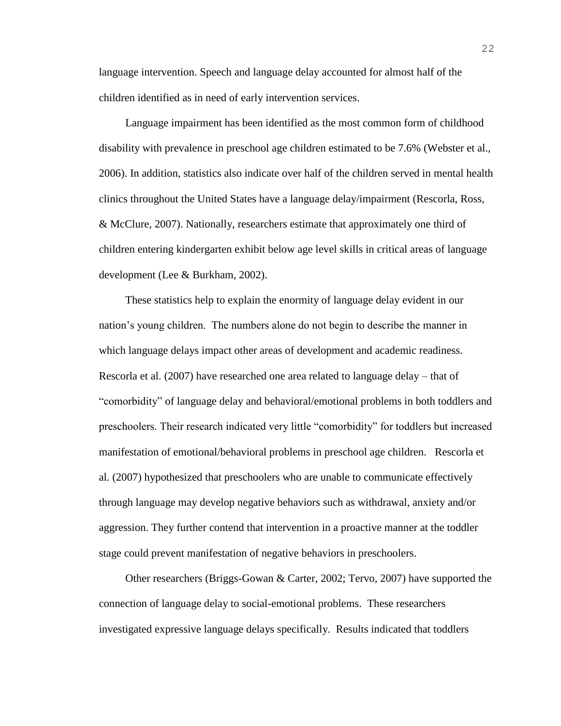language intervention. Speech and language delay accounted for almost half of the children identified as in need of early intervention services.

Language impairment has been identified as the most common form of childhood disability with prevalence in preschool age children estimated to be 7.6% (Webster et al., 2006). In addition, statistics also indicate over half of the children served in mental health clinics throughout the United States have a language delay/impairment (Rescorla, Ross, & McClure, 2007). Nationally, researchers estimate that approximately one third of children entering kindergarten exhibit below age level skills in critical areas of language development (Lee & Burkham, 2002).

These statistics help to explain the enormity of language delay evident in our nation's young children. The numbers alone do not begin to describe the manner in which language delays impact other areas of development and academic readiness. Rescorla et al. (2007) have researched one area related to language delay – that of "comorbidity" of language delay and behavioral/emotional problems in both toddlers and preschoolers. Their research indicated very little "comorbidity" for toddlers but increased manifestation of emotional/behavioral problems in preschool age children. Rescorla et al. (2007) hypothesized that preschoolers who are unable to communicate effectively through language may develop negative behaviors such as withdrawal, anxiety and/or aggression. They further contend that intervention in a proactive manner at the toddler stage could prevent manifestation of negative behaviors in preschoolers.

Other researchers (Briggs-Gowan & Carter, 2002; Tervo, 2007) have supported the connection of language delay to social-emotional problems. These researchers investigated expressive language delays specifically. Results indicated that toddlers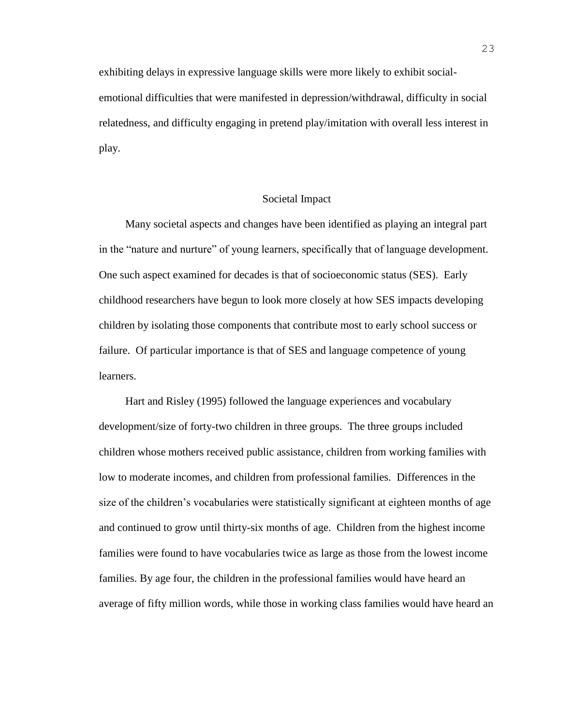exhibiting delays in expressive language skills were more likely to exhibit socialemotional difficulties that were manifested in depression/withdrawal, difficulty in social relatedness, and difficulty engaging in pretend play/imitation with overall less interest in play.

## Societal Impact

Many societal aspects and changes have been identified as playing an integral part in the "nature and nurture" of young learners, specifically that of language development. One such aspect examined for decades is that of socioeconomic status (SES). Early childhood researchers have begun to look more closely at how SES impacts developing children by isolating those components that contribute most to early school success or failure. Of particular importance is that of SES and language competence of young learners.

Hart and Risley (1995) followed the language experiences and vocabulary development/size of forty-two children in three groups. The three groups included children whose mothers received public assistance, children from working families with low to moderate incomes, and children from professional families. Differences in the size of the children's vocabularies were statistically significant at eighteen months of age and continued to grow until thirty-six months of age. Children from the highest income families were found to have vocabularies twice as large as those from the lowest income families. By age four, the children in the professional families would have heard an average of fifty million words, while those in working class families would have heard an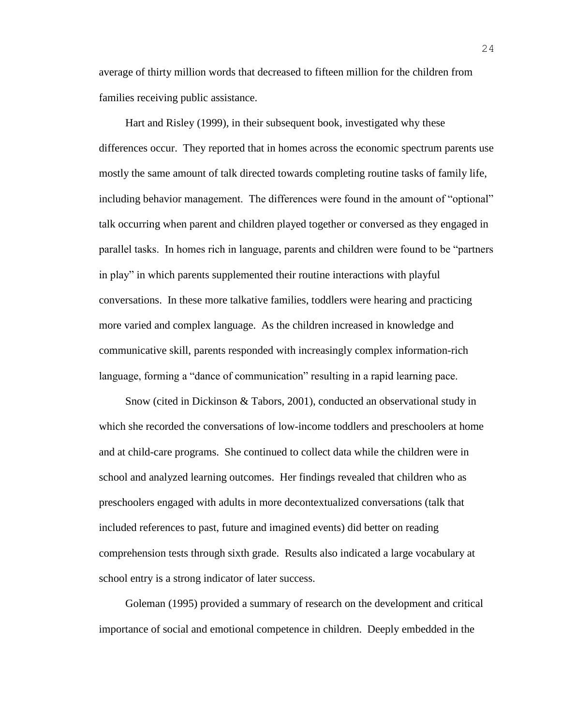average of thirty million words that decreased to fifteen million for the children from families receiving public assistance.

Hart and Risley (1999), in their subsequent book, investigated why these differences occur. They reported that in homes across the economic spectrum parents use mostly the same amount of talk directed towards completing routine tasks of family life, including behavior management. The differences were found in the amount of "optional" talk occurring when parent and children played together or conversed as they engaged in parallel tasks. In homes rich in language, parents and children were found to be "partners in play" in which parents supplemented their routine interactions with playful conversations. In these more talkative families, toddlers were hearing and practicing more varied and complex language. As the children increased in knowledge and communicative skill, parents responded with increasingly complex information-rich language, forming a "dance of communication" resulting in a rapid learning pace.

Snow (cited in Dickinson & Tabors, 2001), conducted an observational study in which she recorded the conversations of low-income toddlers and preschoolers at home and at child-care programs. She continued to collect data while the children were in school and analyzed learning outcomes. Her findings revealed that children who as preschoolers engaged with adults in more decontextualized conversations (talk that included references to past, future and imagined events) did better on reading comprehension tests through sixth grade. Results also indicated a large vocabulary at school entry is a strong indicator of later success.

Goleman (1995) provided a summary of research on the development and critical importance of social and emotional competence in children. Deeply embedded in the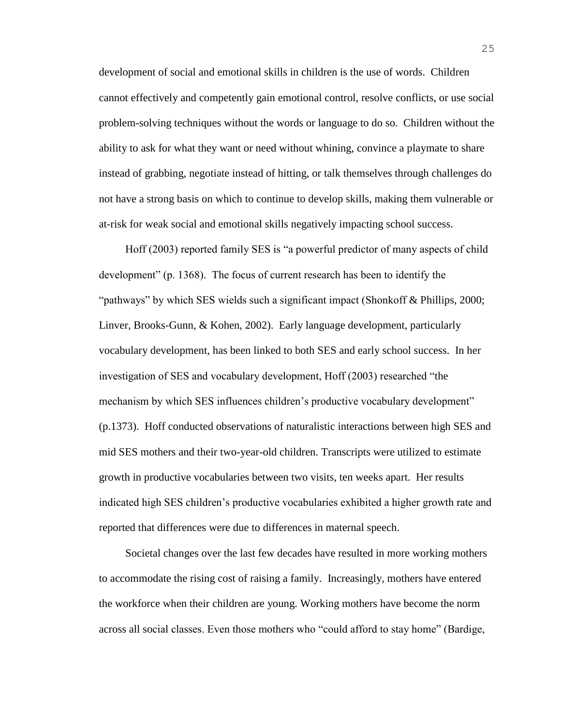development of social and emotional skills in children is the use of words. Children cannot effectively and competently gain emotional control, resolve conflicts, or use social problem-solving techniques without the words or language to do so. Children without the ability to ask for what they want or need without whining, convince a playmate to share instead of grabbing, negotiate instead of hitting, or talk themselves through challenges do not have a strong basis on which to continue to develop skills, making them vulnerable or at-risk for weak social and emotional skills negatively impacting school success.

Hoff (2003) reported family SES is "a powerful predictor of many aspects of child development" (p. 1368). The focus of current research has been to identify the "pathways" by which SES wields such a significant impact (Shonkoff & Phillips, 2000; Linver, Brooks-Gunn, & Kohen, 2002). Early language development, particularly vocabulary development, has been linked to both SES and early school success. In her investigation of SES and vocabulary development, Hoff (2003) researched "the mechanism by which SES influences children's productive vocabulary development" (p.1373). Hoff conducted observations of naturalistic interactions between high SES and mid SES mothers and their two-year-old children. Transcripts were utilized to estimate growth in productive vocabularies between two visits, ten weeks apart. Her results indicated high SES children's productive vocabularies exhibited a higher growth rate and reported that differences were due to differences in maternal speech.

Societal changes over the last few decades have resulted in more working mothers to accommodate the rising cost of raising a family. Increasingly, mothers have entered the workforce when their children are young. Working mothers have become the norm across all social classes. Even those mothers who "could afford to stay home" (Bardige,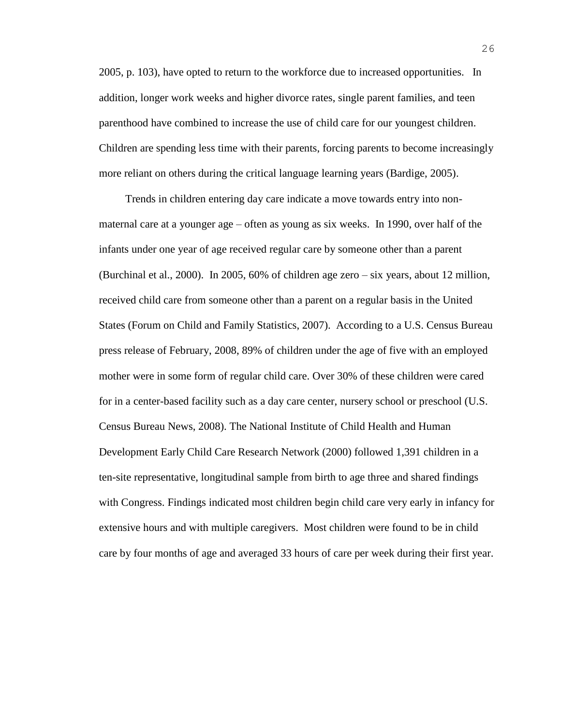2005, p. 103), have opted to return to the workforce due to increased opportunities. In addition, longer work weeks and higher divorce rates, single parent families, and teen parenthood have combined to increase the use of child care for our youngest children. Children are spending less time with their parents, forcing parents to become increasingly more reliant on others during the critical language learning years (Bardige, 2005).

Trends in children entering day care indicate a move towards entry into nonmaternal care at a younger age – often as young as six weeks. In 1990, over half of the infants under one year of age received regular care by someone other than a parent (Burchinal et al., 2000). In 2005, 60% of children age zero – six years, about 12 million, received child care from someone other than a parent on a regular basis in the United States (Forum on Child and Family Statistics, 2007). According to a U.S. Census Bureau press release of February, 2008, 89% of children under the age of five with an employed mother were in some form of regular child care. Over 30% of these children were cared for in a center-based facility such as a day care center, nursery school or preschool (U.S. Census Bureau News, 2008). The National Institute of Child Health and Human Development Early Child Care Research Network (2000) followed 1,391 children in a ten-site representative, longitudinal sample from birth to age three and shared findings with Congress. Findings indicated most children begin child care very early in infancy for extensive hours and with multiple caregivers. Most children were found to be in child care by four months of age and averaged 33 hours of care per week during their first year.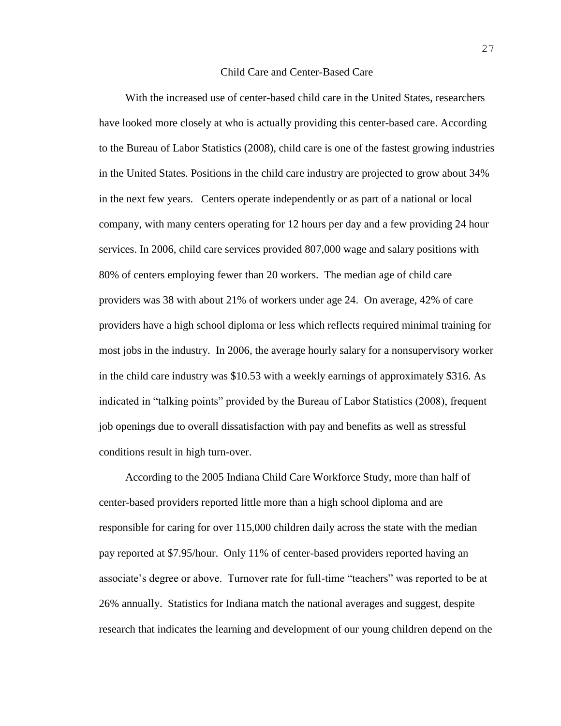#### Child Care and Center-Based Care

With the increased use of center-based child care in the United States, researchers have looked more closely at who is actually providing this center-based care. According to the Bureau of Labor Statistics (2008), child care is one of the fastest growing industries in the United States. Positions in the child care industry are projected to grow about 34% in the next few years. Centers operate independently or as part of a national or local company, with many centers operating for 12 hours per day and a few providing 24 hour services. In 2006, child care services provided 807,000 wage and salary positions with 80% of centers employing fewer than 20 workers. The median age of child care providers was 38 with about 21% of workers under age 24. On average, 42% of care providers have a high school diploma or less which reflects required minimal training for most jobs in the industry. In 2006, the average hourly salary for a nonsupervisory worker in the child care industry was \$10.53 with a weekly earnings of approximately \$316. As indicated in "talking points" provided by the Bureau of Labor Statistics (2008), frequent job openings due to overall dissatisfaction with pay and benefits as well as stressful conditions result in high turn-over.

According to the 2005 Indiana Child Care Workforce Study, more than half of center-based providers reported little more than a high school diploma and are responsible for caring for over 115,000 children daily across the state with the median pay reported at \$7.95/hour. Only 11% of center-based providers reported having an associate's degree or above. Turnover rate for full-time "teachers" was reported to be at 26% annually. Statistics for Indiana match the national averages and suggest, despite research that indicates the learning and development of our young children depend on the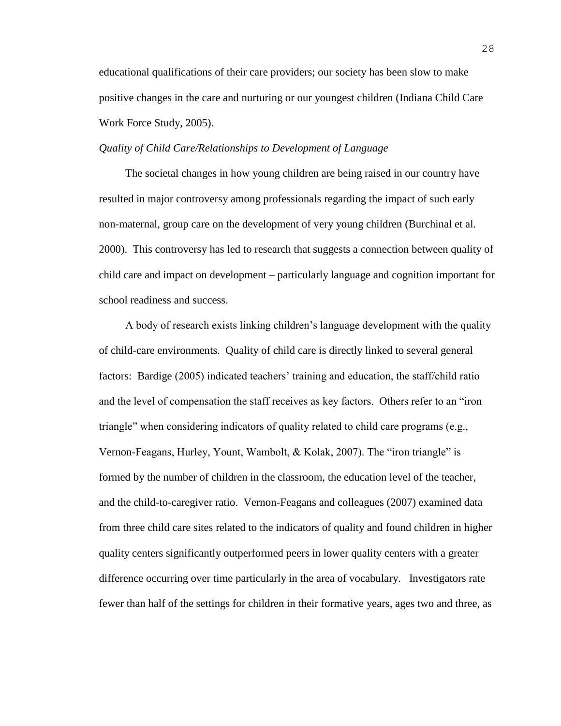educational qualifications of their care providers; our society has been slow to make positive changes in the care and nurturing or our youngest children (Indiana Child Care Work Force Study, 2005).

## *Quality of Child Care/Relationships to Development of Language*

The societal changes in how young children are being raised in our country have resulted in major controversy among professionals regarding the impact of such early non-maternal, group care on the development of very young children (Burchinal et al. 2000). This controversy has led to research that suggests a connection between quality of child care and impact on development – particularly language and cognition important for school readiness and success.

A body of research exists linking children's language development with the quality of child-care environments. Quality of child care is directly linked to several general factors: Bardige (2005) indicated teachers' training and education, the staff/child ratio and the level of compensation the staff receives as key factors. Others refer to an "iron triangle" when considering indicators of quality related to child care programs (e.g., Vernon-Feagans, Hurley, Yount, Wambolt, & Kolak, 2007). The "iron triangle" is formed by the number of children in the classroom, the education level of the teacher, and the child-to-caregiver ratio. Vernon-Feagans and colleagues (2007) examined data from three child care sites related to the indicators of quality and found children in higher quality centers significantly outperformed peers in lower quality centers with a greater difference occurring over time particularly in the area of vocabulary. Investigators rate fewer than half of the settings for children in their formative years, ages two and three, as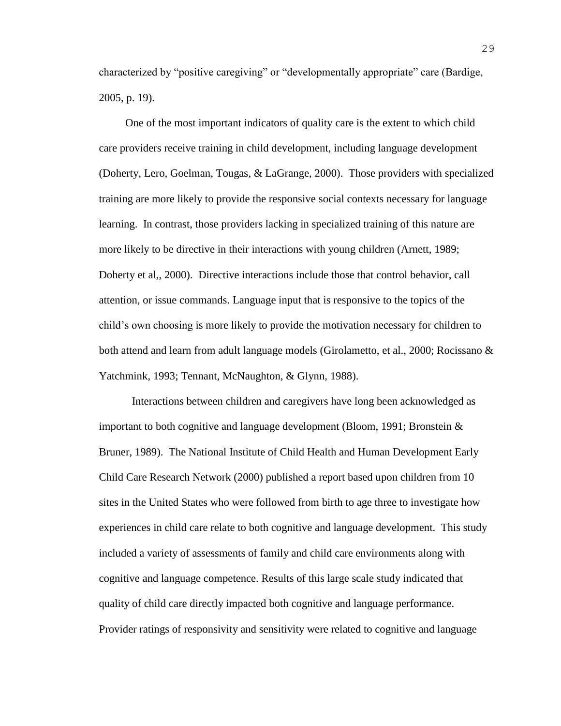characterized by "positive caregiving" or "developmentally appropriate" care (Bardige, 2005, p. 19).

One of the most important indicators of quality care is the extent to which child care providers receive training in child development, including language development (Doherty, Lero, Goelman, Tougas, & LaGrange, 2000). Those providers with specialized training are more likely to provide the responsive social contexts necessary for language learning. In contrast, those providers lacking in specialized training of this nature are more likely to be directive in their interactions with young children (Arnett, 1989; Doherty et al,, 2000). Directive interactions include those that control behavior, call attention, or issue commands. Language input that is responsive to the topics of the child's own choosing is more likely to provide the motivation necessary for children to both attend and learn from adult language models (Girolametto, et al., 2000; Rocissano & Yatchmink, 1993; Tennant, McNaughton, & Glynn, 1988).

Interactions between children and caregivers have long been acknowledged as important to both cognitive and language development (Bloom, 1991; Bronstein & Bruner, 1989). The National Institute of Child Health and Human Development Early Child Care Research Network (2000) published a report based upon children from 10 sites in the United States who were followed from birth to age three to investigate how experiences in child care relate to both cognitive and language development. This study included a variety of assessments of family and child care environments along with cognitive and language competence. Results of this large scale study indicated that quality of child care directly impacted both cognitive and language performance. Provider ratings of responsivity and sensitivity were related to cognitive and language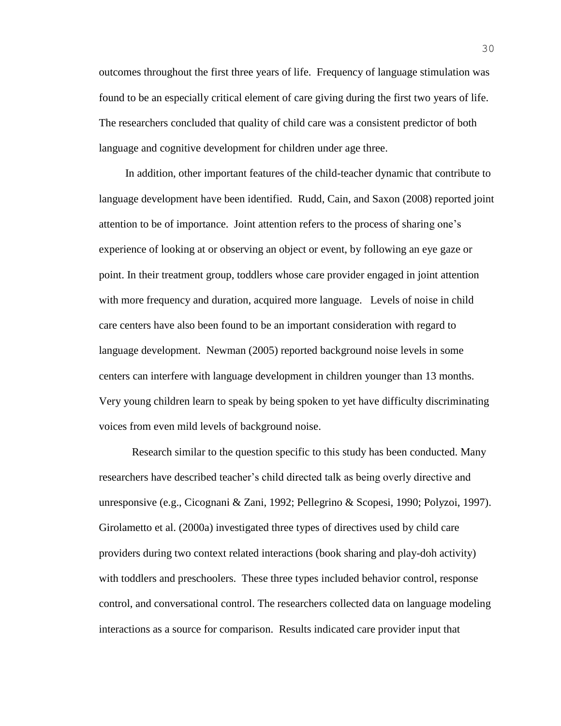outcomes throughout the first three years of life. Frequency of language stimulation was found to be an especially critical element of care giving during the first two years of life. The researchers concluded that quality of child care was a consistent predictor of both language and cognitive development for children under age three.

In addition, other important features of the child-teacher dynamic that contribute to language development have been identified. Rudd, Cain, and Saxon (2008) reported joint attention to be of importance. Joint attention refers to the process of sharing one's experience of looking at or observing an object or event, by following an eye gaze or point. In their treatment group, toddlers whose care provider engaged in joint attention with more frequency and duration, acquired more language. Levels of noise in child care centers have also been found to be an important consideration with regard to language development. Newman (2005) reported background noise levels in some centers can interfere with language development in children younger than 13 months. Very young children learn to speak by being spoken to yet have difficulty discriminating voices from even mild levels of background noise.

Research similar to the question specific to this study has been conducted. Many researchers have described teacher's child directed talk as being overly directive and unresponsive (e.g., Cicognani & Zani, 1992; Pellegrino & Scopesi, 1990; Polyzoi, 1997). Girolametto et al. (2000a) investigated three types of directives used by child care providers during two context related interactions (book sharing and play-doh activity) with toddlers and preschoolers. These three types included behavior control, response control, and conversational control. The researchers collected data on language modeling interactions as a source for comparison. Results indicated care provider input that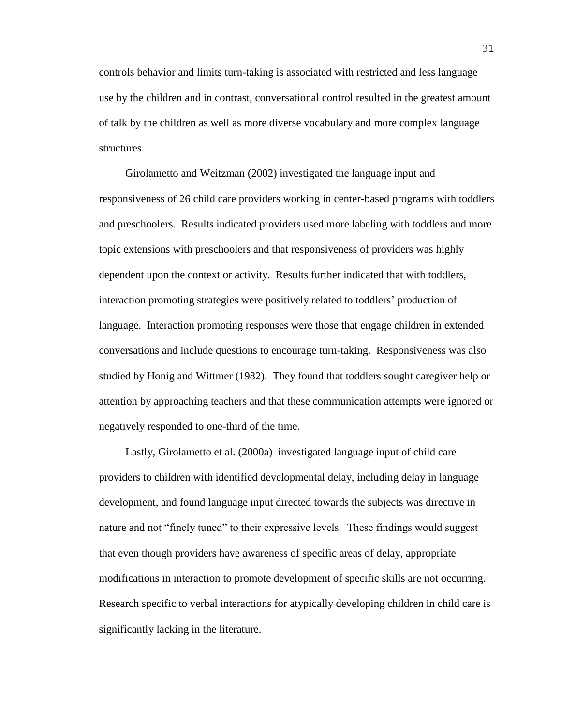controls behavior and limits turn-taking is associated with restricted and less language use by the children and in contrast, conversational control resulted in the greatest amount of talk by the children as well as more diverse vocabulary and more complex language structures.

Girolametto and Weitzman (2002) investigated the language input and responsiveness of 26 child care providers working in center-based programs with toddlers and preschoolers. Results indicated providers used more labeling with toddlers and more topic extensions with preschoolers and that responsiveness of providers was highly dependent upon the context or activity. Results further indicated that with toddlers, interaction promoting strategies were positively related to toddlers' production of language. Interaction promoting responses were those that engage children in extended conversations and include questions to encourage turn-taking. Responsiveness was also studied by Honig and Wittmer (1982). They found that toddlers sought caregiver help or attention by approaching teachers and that these communication attempts were ignored or negatively responded to one-third of the time.

Lastly, Girolametto et al. (2000a) investigated language input of child care providers to children with identified developmental delay, including delay in language development, and found language input directed towards the subjects was directive in nature and not "finely tuned" to their expressive levels. These findings would suggest that even though providers have awareness of specific areas of delay, appropriate modifications in interaction to promote development of specific skills are not occurring. Research specific to verbal interactions for atypically developing children in child care is significantly lacking in the literature.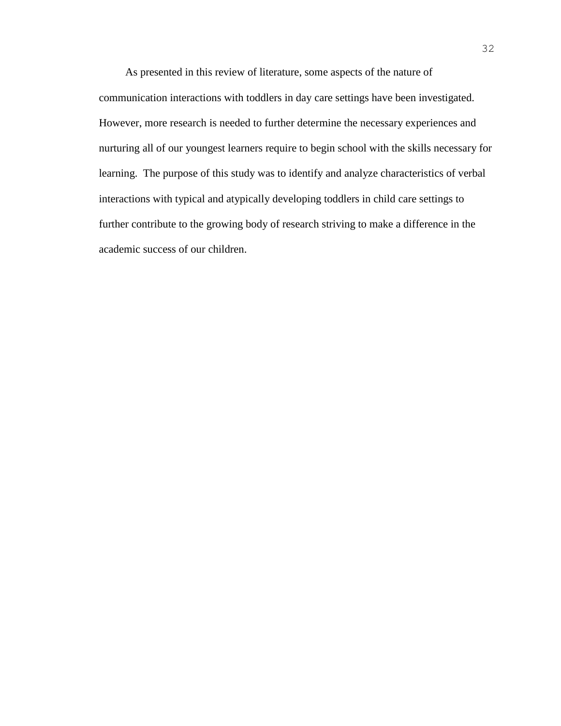As presented in this review of literature, some aspects of the nature of communication interactions with toddlers in day care settings have been investigated. However, more research is needed to further determine the necessary experiences and nurturing all of our youngest learners require to begin school with the skills necessary for learning. The purpose of this study was to identify and analyze characteristics of verbal interactions with typical and atypically developing toddlers in child care settings to further contribute to the growing body of research striving to make a difference in the academic success of our children.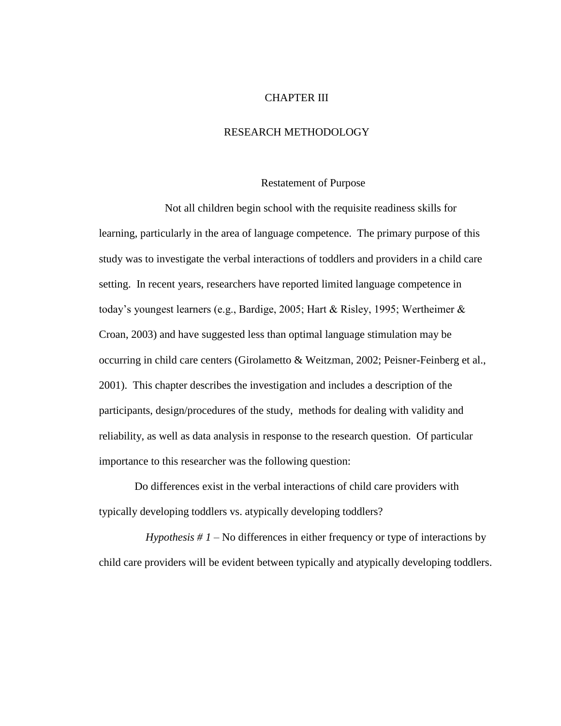#### CHAPTER III

# RESEARCH METHODOLOGY

#### Restatement of Purpose

Not all children begin school with the requisite readiness skills for learning, particularly in the area of language competence. The primary purpose of this study was to investigate the verbal interactions of toddlers and providers in a child care setting. In recent years, researchers have reported limited language competence in today's youngest learners (e.g., Bardige, 2005; Hart & Risley, 1995; Wertheimer & Croan, 2003) and have suggested less than optimal language stimulation may be occurring in child care centers (Girolametto & Weitzman, 2002; Peisner-Feinberg et al., 2001). This chapter describes the investigation and includes a description of the participants, design/procedures of the study, methods for dealing with validity and reliability, as well as data analysis in response to the research question. Of particular importance to this researcher was the following question:

Do differences exist in the verbal interactions of child care providers with typically developing toddlers vs. atypically developing toddlers?

 *Hypothesis # 1* – No differences in either frequency or type of interactions by child care providers will be evident between typically and atypically developing toddlers.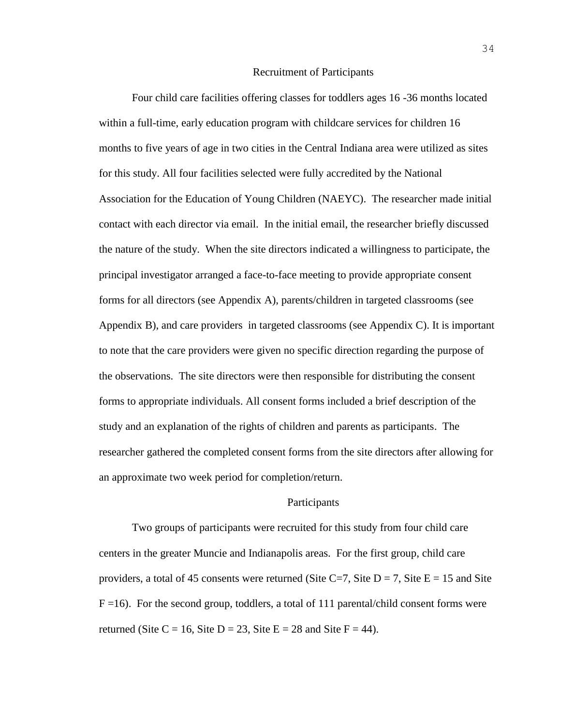#### Recruitment of Participants

Four child care facilities offering classes for toddlers ages 16 -36 months located within a full-time, early education program with childcare services for children 16 months to five years of age in two cities in the Central Indiana area were utilized as sites for this study. All four facilities selected were fully accredited by the National Association for the Education of Young Children (NAEYC). The researcher made initial contact with each director via email. In the initial email, the researcher briefly discussed the nature of the study. When the site directors indicated a willingness to participate, the principal investigator arranged a face-to-face meeting to provide appropriate consent forms for all directors (see Appendix A), parents/children in targeted classrooms (see Appendix B), and care providers in targeted classrooms (see Appendix C). It is important to note that the care providers were given no specific direction regarding the purpose of the observations. The site directors were then responsible for distributing the consent forms to appropriate individuals. All consent forms included a brief description of the study and an explanation of the rights of children and parents as participants. The researcher gathered the completed consent forms from the site directors after allowing for an approximate two week period for completion/return.

#### Participants

Two groups of participants were recruited for this study from four child care centers in the greater Muncie and Indianapolis areas. For the first group, child care providers, a total of 45 consents were returned (Site C=7, Site D = 7, Site E = 15 and Site  $F = 16$ ). For the second group, toddlers, a total of 111 parental/child consent forms were returned (Site C = 16, Site D = 23, Site E = 28 and Site F = 44).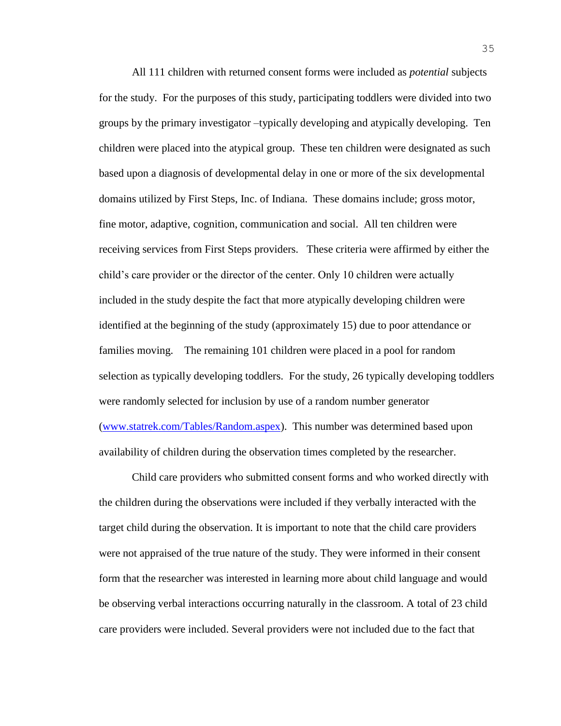All 111 children with returned consent forms were included as *potential* subjects for the study. For the purposes of this study, participating toddlers were divided into two groups by the primary investigator –typically developing and atypically developing. Ten children were placed into the atypical group. These ten children were designated as such based upon a diagnosis of developmental delay in one or more of the six developmental domains utilized by First Steps, Inc. of Indiana. These domains include; gross motor, fine motor, adaptive, cognition, communication and social. All ten children were receiving services from First Steps providers. These criteria were affirmed by either the child's care provider or the director of the center. Only 10 children were actually included in the study despite the fact that more atypically developing children were identified at the beginning of the study (approximately 15) due to poor attendance or families moving. The remaining 101 children were placed in a pool for random selection as typically developing toddlers. For the study, 26 typically developing toddlers were randomly selected for inclusion by use of a random number generator [\(www.statrek.com/Tables/Random.aspex\)](http://www.statrek.com/Tables/Random.aspex). This number was determined based upon availability of children during the observation times completed by the researcher.

Child care providers who submitted consent forms and who worked directly with the children during the observations were included if they verbally interacted with the target child during the observation. It is important to note that the child care providers were not appraised of the true nature of the study. They were informed in their consent form that the researcher was interested in learning more about child language and would be observing verbal interactions occurring naturally in the classroom. A total of 23 child care providers were included. Several providers were not included due to the fact that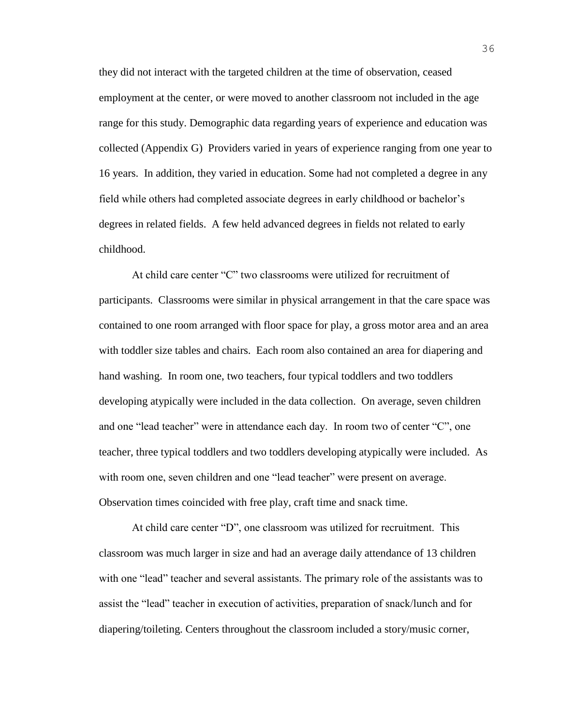they did not interact with the targeted children at the time of observation, ceased employment at the center, or were moved to another classroom not included in the age range for this study. Demographic data regarding years of experience and education was collected (Appendix G) Providers varied in years of experience ranging from one year to 16 years. In addition, they varied in education. Some had not completed a degree in any field while others had completed associate degrees in early childhood or bachelor's degrees in related fields. A few held advanced degrees in fields not related to early childhood.

At child care center "C" two classrooms were utilized for recruitment of participants. Classrooms were similar in physical arrangement in that the care space was contained to one room arranged with floor space for play, a gross motor area and an area with toddler size tables and chairs. Each room also contained an area for diapering and hand washing. In room one, two teachers, four typical toddlers and two toddlers developing atypically were included in the data collection. On average, seven children and one "lead teacher" were in attendance each day. In room two of center "C", one teacher, three typical toddlers and two toddlers developing atypically were included. As with room one, seven children and one "lead teacher" were present on average. Observation times coincided with free play, craft time and snack time.

At child care center "D", one classroom was utilized for recruitment. This classroom was much larger in size and had an average daily attendance of 13 children with one "lead" teacher and several assistants. The primary role of the assistants was to assist the "lead" teacher in execution of activities, preparation of snack/lunch and for diapering/toileting. Centers throughout the classroom included a story/music corner,

36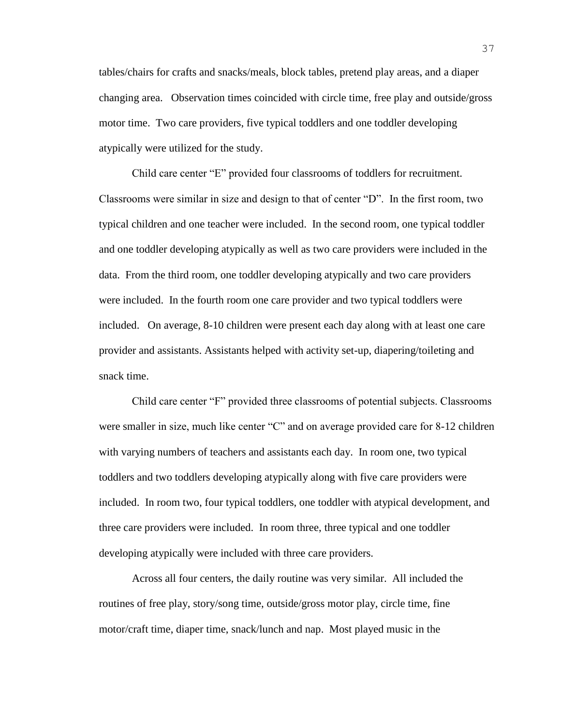tables/chairs for crafts and snacks/meals, block tables, pretend play areas, and a diaper changing area. Observation times coincided with circle time, free play and outside/gross motor time. Two care providers, five typical toddlers and one toddler developing atypically were utilized for the study.

Child care center "E" provided four classrooms of toddlers for recruitment. Classrooms were similar in size and design to that of center "D". In the first room, two typical children and one teacher were included. In the second room, one typical toddler and one toddler developing atypically as well as two care providers were included in the data. From the third room, one toddler developing atypically and two care providers were included. In the fourth room one care provider and two typical toddlers were included. On average, 8-10 children were present each day along with at least one care provider and assistants. Assistants helped with activity set-up, diapering/toileting and snack time.

Child care center "F" provided three classrooms of potential subjects. Classrooms were smaller in size, much like center "C" and on average provided care for 8-12 children with varying numbers of teachers and assistants each day. In room one, two typical toddlers and two toddlers developing atypically along with five care providers were included. In room two, four typical toddlers, one toddler with atypical development, and three care providers were included. In room three, three typical and one toddler developing atypically were included with three care providers.

Across all four centers, the daily routine was very similar. All included the routines of free play, story/song time, outside/gross motor play, circle time, fine motor/craft time, diaper time, snack/lunch and nap. Most played music in the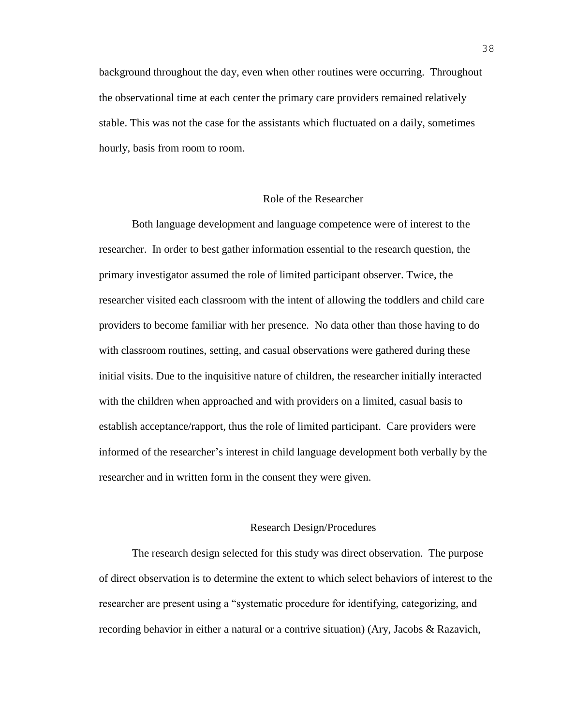background throughout the day, even when other routines were occurring. Throughout the observational time at each center the primary care providers remained relatively stable. This was not the case for the assistants which fluctuated on a daily, sometimes hourly, basis from room to room.

#### Role of the Researcher

Both language development and language competence were of interest to the researcher. In order to best gather information essential to the research question, the primary investigator assumed the role of limited participant observer. Twice, the researcher visited each classroom with the intent of allowing the toddlers and child care providers to become familiar with her presence. No data other than those having to do with classroom routines, setting, and casual observations were gathered during these initial visits. Due to the inquisitive nature of children, the researcher initially interacted with the children when approached and with providers on a limited, casual basis to establish acceptance/rapport, thus the role of limited participant. Care providers were informed of the researcher's interest in child language development both verbally by the researcher and in written form in the consent they were given.

#### Research Design/Procedures

The research design selected for this study was direct observation. The purpose of direct observation is to determine the extent to which select behaviors of interest to the researcher are present using a "systematic procedure for identifying, categorizing, and recording behavior in either a natural or a contrive situation) (Ary, Jacobs & Razavich,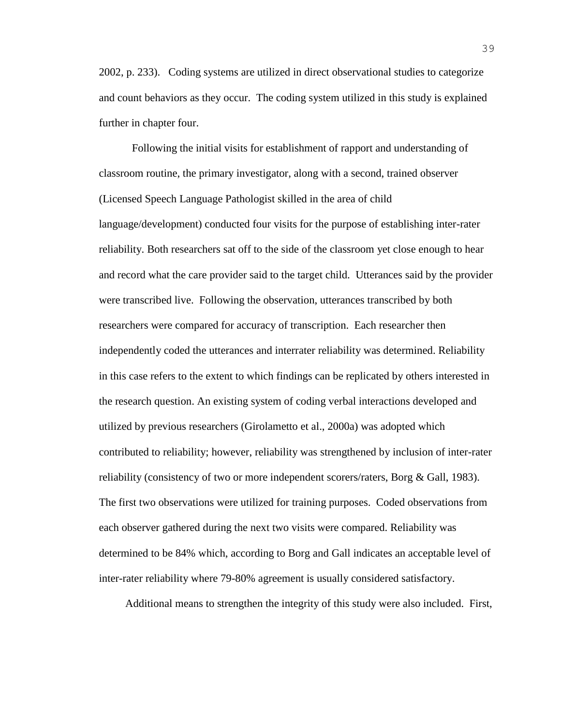2002, p. 233). Coding systems are utilized in direct observational studies to categorize and count behaviors as they occur. The coding system utilized in this study is explained further in chapter four.

Following the initial visits for establishment of rapport and understanding of classroom routine, the primary investigator, along with a second, trained observer (Licensed Speech Language Pathologist skilled in the area of child language/development) conducted four visits for the purpose of establishing inter-rater reliability. Both researchers sat off to the side of the classroom yet close enough to hear and record what the care provider said to the target child. Utterances said by the provider were transcribed live. Following the observation, utterances transcribed by both researchers were compared for accuracy of transcription. Each researcher then independently coded the utterances and interrater reliability was determined. Reliability in this case refers to the extent to which findings can be replicated by others interested in the research question. An existing system of coding verbal interactions developed and utilized by previous researchers (Girolametto et al., 2000a) was adopted which contributed to reliability; however, reliability was strengthened by inclusion of inter-rater reliability (consistency of two or more independent scorers/raters, Borg & Gall, 1983). The first two observations were utilized for training purposes. Coded observations from each observer gathered during the next two visits were compared. Reliability was determined to be 84% which, according to Borg and Gall indicates an acceptable level of inter-rater reliability where 79-80% agreement is usually considered satisfactory.

Additional means to strengthen the integrity of this study were also included. First,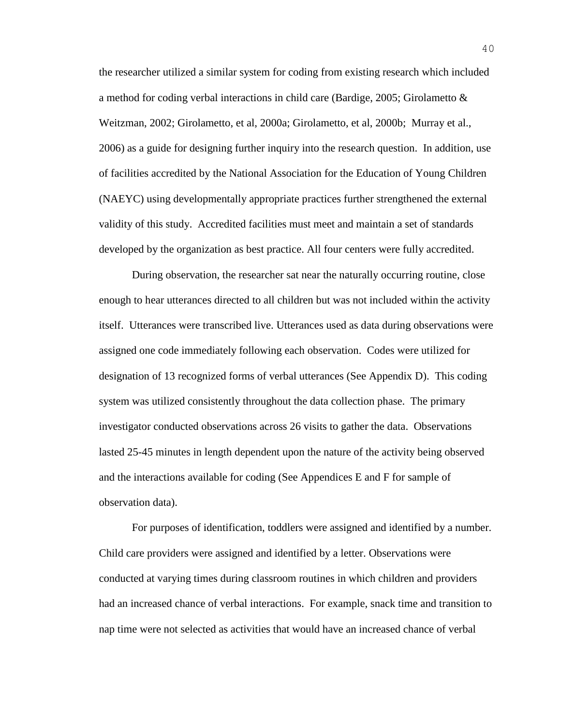the researcher utilized a similar system for coding from existing research which included a method for coding verbal interactions in child care (Bardige, 2005; Girolametto & Weitzman, 2002; Girolametto, et al, 2000a; Girolametto, et al, 2000b; Murray et al., 2006) as a guide for designing further inquiry into the research question. In addition, use of facilities accredited by the National Association for the Education of Young Children (NAEYC) using developmentally appropriate practices further strengthened the external validity of this study. Accredited facilities must meet and maintain a set of standards developed by the organization as best practice. All four centers were fully accredited.

During observation, the researcher sat near the naturally occurring routine, close enough to hear utterances directed to all children but was not included within the activity itself. Utterances were transcribed live. Utterances used as data during observations were assigned one code immediately following each observation. Codes were utilized for designation of 13 recognized forms of verbal utterances (See Appendix D). This coding system was utilized consistently throughout the data collection phase. The primary investigator conducted observations across 26 visits to gather the data. Observations lasted 25-45 minutes in length dependent upon the nature of the activity being observed and the interactions available for coding (See Appendices E and F for sample of observation data).

For purposes of identification, toddlers were assigned and identified by a number. Child care providers were assigned and identified by a letter. Observations were conducted at varying times during classroom routines in which children and providers had an increased chance of verbal interactions. For example, snack time and transition to nap time were not selected as activities that would have an increased chance of verbal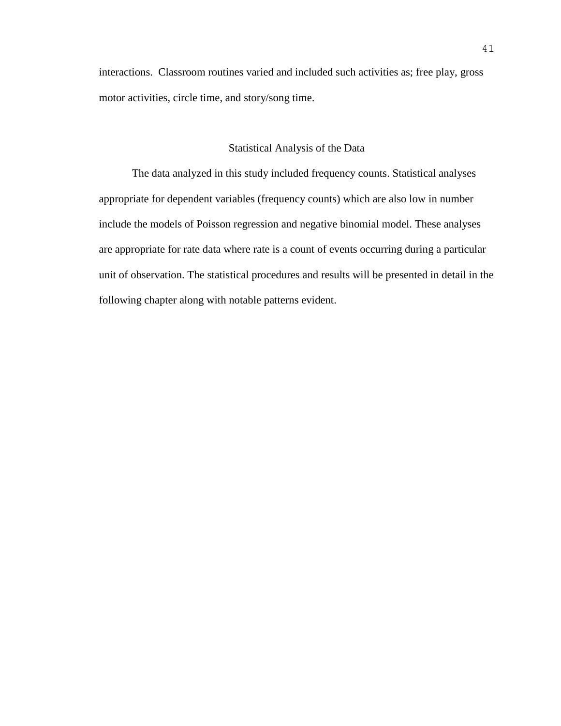interactions. Classroom routines varied and included such activities as; free play, gross motor activities, circle time, and story/song time.

#### Statistical Analysis of the Data

The data analyzed in this study included frequency counts. Statistical analyses appropriate for dependent variables (frequency counts) which are also low in number include the models of Poisson regression and negative binomial model. These analyses are appropriate for rate data where rate is a count of events occurring during a particular unit of observation. The statistical procedures and results will be presented in detail in the following chapter along with notable patterns evident.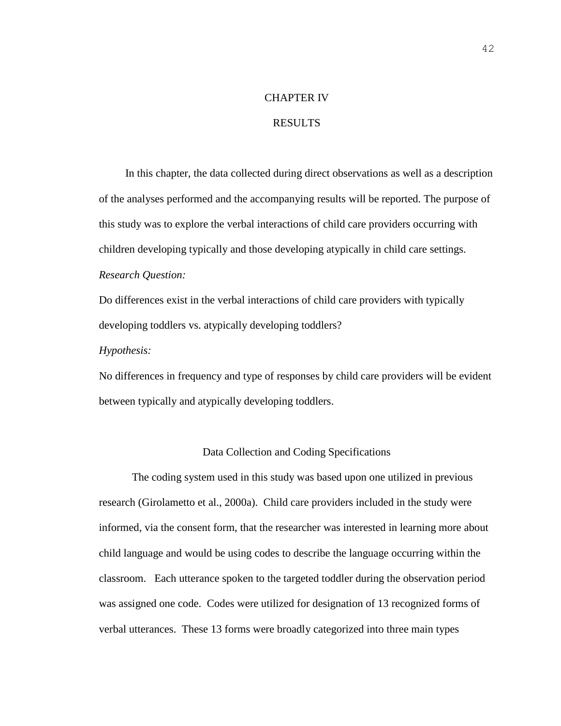#### CHAPTER IV

# RESULTS

In this chapter, the data collected during direct observations as well as a description of the analyses performed and the accompanying results will be reported. The purpose of this study was to explore the verbal interactions of child care providers occurring with children developing typically and those developing atypically in child care settings. *Research Question:* 

Do differences exist in the verbal interactions of child care providers with typically developing toddlers vs. atypically developing toddlers?

#### *Hypothesis:*

No differences in frequency and type of responses by child care providers will be evident between typically and atypically developing toddlers.

### Data Collection and Coding Specifications

The coding system used in this study was based upon one utilized in previous research (Girolametto et al., 2000a). Child care providers included in the study were informed, via the consent form, that the researcher was interested in learning more about child language and would be using codes to describe the language occurring within the classroom. Each utterance spoken to the targeted toddler during the observation period was assigned one code. Codes were utilized for designation of 13 recognized forms of verbal utterances. These 13 forms were broadly categorized into three main types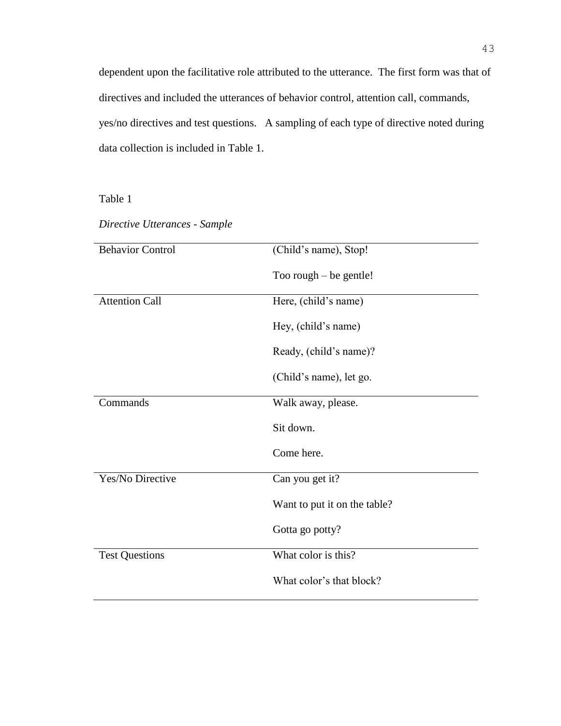dependent upon the facilitative role attributed to the utterance. The first form was that of directives and included the utterances of behavior control, attention call, commands, yes/no directives and test questions. A sampling of each type of directive noted during data collection is included in Table 1.

Table 1

*Directive Utterances - Sample*

| <b>Behavior Control</b> | (Child's name), Stop!        |
|-------------------------|------------------------------|
|                         |                              |
|                         | Too rough $-$ be gentle!     |
|                         |                              |
| <b>Attention Call</b>   | Here, (child's name)         |
|                         |                              |
|                         |                              |
|                         | Hey, (child's name)          |
|                         |                              |
|                         | Ready, (child's name)?       |
|                         |                              |
|                         | (Child's name), let go.      |
|                         |                              |
| Commands                | Walk away, please.           |
|                         |                              |
|                         | Sit down.                    |
|                         |                              |
|                         | Come here.                   |
|                         |                              |
| Yes/No Directive        | Can you get it?              |
|                         |                              |
|                         | Want to put it on the table? |
|                         |                              |
|                         | Gotta go potty?              |
|                         |                              |
| <b>Test Questions</b>   | What color is this?          |
|                         |                              |
|                         | What color's that block?     |
|                         |                              |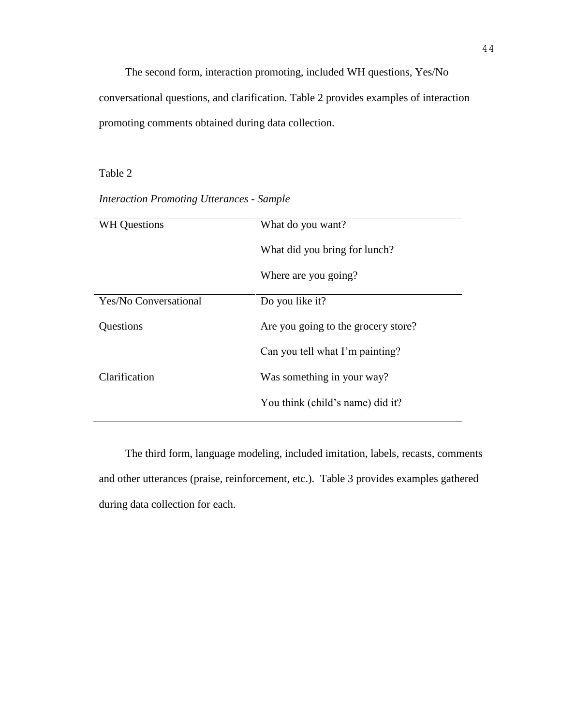The second form, interaction promoting, included WH questions, Yes/No conversational questions, and clarification. Table 2 provides examples of interaction promoting comments obtained during data collection.

# Table 2

| <b>WH</b> Questions          | What do you want?                   |
|------------------------------|-------------------------------------|
|                              | What did you bring for lunch?       |
|                              | Where are you going?                |
| <b>Yes/No Conversational</b> | Do you like it?                     |
| Questions                    | Are you going to the grocery store? |
|                              | Can you tell what I'm painting?     |
| Clarification                | Was something in your way?          |
|                              | You think (child's name) did it?    |

*Interaction Promoting Utterances - Sample*

The third form, language modeling, included imitation, labels, recasts, comments and other utterances (praise, reinforcement, etc.). Table 3 provides examples gathered during data collection for each.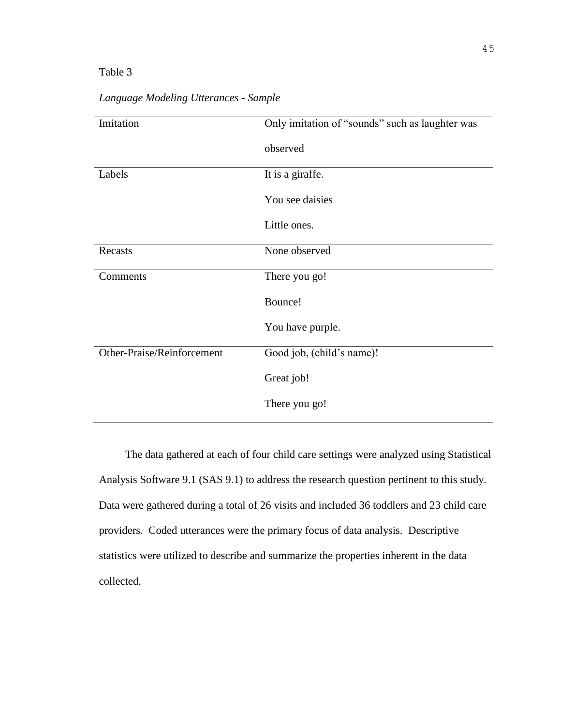| Imitation                  | Only imitation of "sounds" such as laughter was |
|----------------------------|-------------------------------------------------|
|                            | observed                                        |
| Labels                     | It is a giraffe.                                |
|                            | You see daisies                                 |
|                            | Little ones.                                    |
| Recasts                    | None observed                                   |
| Comments                   | There you go!                                   |
|                            | Bounce!                                         |
|                            | You have purple.                                |
| Other-Praise/Reinforcement | Good job, (child's name)!                       |
|                            | Great job!                                      |
|                            | There you go!                                   |

*Language Modeling Utterances - Sample*

The data gathered at each of four child care settings were analyzed using Statistical Analysis Software 9.1 (SAS 9.1) to address the research question pertinent to this study. Data were gathered during a total of 26 visits and included 36 toddlers and 23 child care providers. Coded utterances were the primary focus of data analysis. Descriptive statistics were utilized to describe and summarize the properties inherent in the data collected.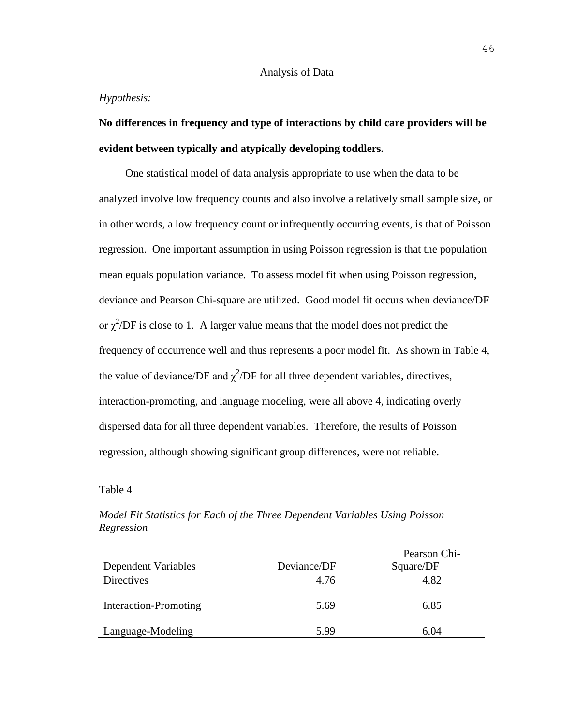#### Analysis of Data

#### *Hypothesis:*

# **No differences in frequency and type of interactions by child care providers will be evident between typically and atypically developing toddlers.**

One statistical model of data analysis appropriate to use when the data to be analyzed involve low frequency counts and also involve a relatively small sample size, or in other words, a low frequency count or infrequently occurring events, is that of Poisson regression. One important assumption in using Poisson regression is that the population mean equals population variance. To assess model fit when using Poisson regression, deviance and Pearson Chi-square are utilized. Good model fit occurs when deviance/DF or  $\chi^2$ /DF is close to 1. A larger value means that the model does not predict the frequency of occurrence well and thus represents a poor model fit. As shown in Table 4, the value of deviance/DF and  $\chi^2$ /DF for all three dependent variables, directives, interaction-promoting, and language modeling, were all above 4, indicating overly dispersed data for all three dependent variables. Therefore, the results of Poisson regression, although showing significant group differences, were not reliable.

#### Table 4

|                       |             | Pearson Chi- |
|-----------------------|-------------|--------------|
| Dependent Variables   | Deviance/DF | Square/DF    |
| <b>Directives</b>     | 4.76        | 4.82         |
| Interaction-Promoting | 5.69        | 6.85         |
| Language-Modeling     | 5.99        | 6.04         |

*Model Fit Statistics for Each of the Three Dependent Variables Using Poisson Regression*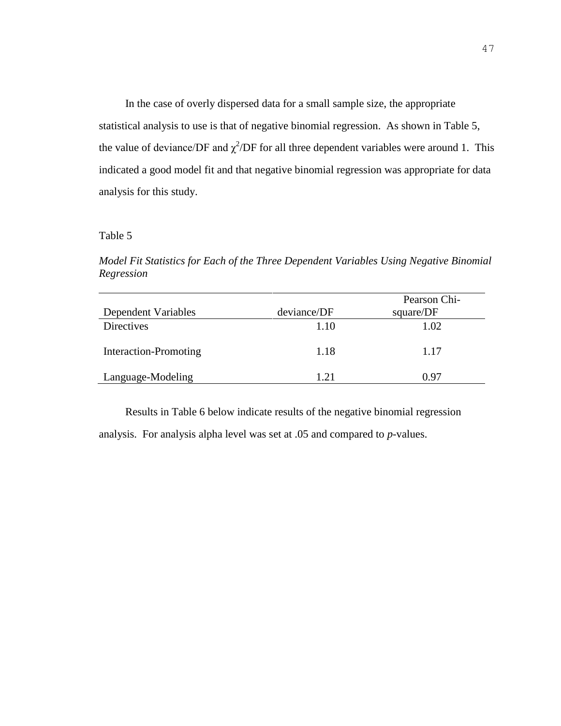In the case of overly dispersed data for a small sample size, the appropriate statistical analysis to use is that of negative binomial regression. As shown in Table 5, the value of deviance/DF and  $\chi^2$ /DF for all three dependent variables were around 1. This indicated a good model fit and that negative binomial regression was appropriate for data analysis for this study.

#### Table 5

*Model Fit Statistics for Each of the Three Dependent Variables Using Negative Binomial Regression*

|                       |             | Pearson Chi- |
|-----------------------|-------------|--------------|
| Dependent Variables   | deviance/DF | square/DF    |
| <b>Directives</b>     | 1.10        | 1.02         |
| Interaction-Promoting | 1.18        | 1.17         |
| Language-Modeling     | 1.21        | 0.97         |

Results in Table 6 below indicate results of the negative binomial regression analysis. For analysis alpha level was set at .05 and compared to *p*-values.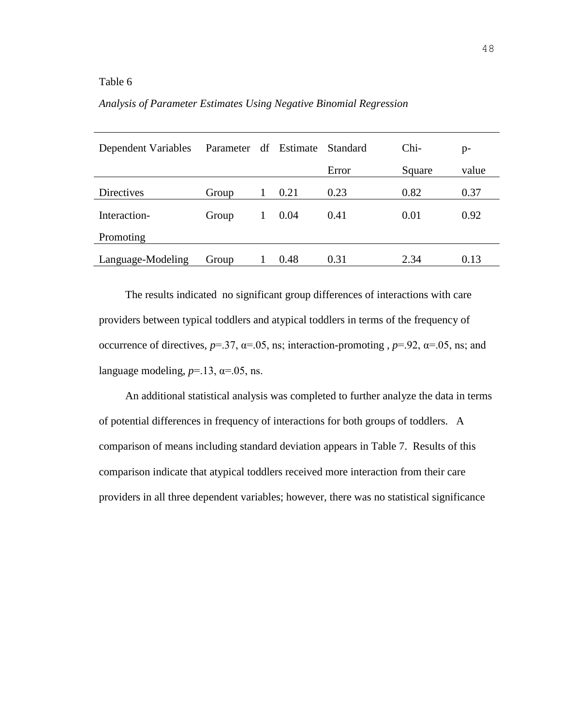# *Analysis of Parameter Estimates Using Negative Binomial Regression*

| Dependent Variables | Parameter df Estimate |                 |      | Standard | Chi-   | $p-$  |
|---------------------|-----------------------|-----------------|------|----------|--------|-------|
|                     |                       |                 |      | Error    | Square | value |
| Directives          | Group                 |                 | 0.21 | 0.23     | 0.82   | 0.37  |
| Interaction-        | Group                 | $1\overline{ }$ | 0.04 | 0.41     | 0.01   | 0.92  |
| Promoting           |                       |                 |      |          |        |       |
| Language-Modeling   | Group                 |                 | 0.48 | 0.31     | 2.34   | 0.13  |

The results indicated no significant group differences of interactions with care providers between typical toddlers and atypical toddlers in terms of the frequency of occurrence of directives,  $p=37$ ,  $\alpha=0.05$ , ns; interaction-promoting ,  $p=0.92$ ,  $\alpha=0.05$ , ns; and language modeling,  $p=13$ ,  $\alpha=0.05$ , ns.

An additional statistical analysis was completed to further analyze the data in terms of potential differences in frequency of interactions for both groups of toddlers. A comparison of means including standard deviation appears in Table 7. Results of this comparison indicate that atypical toddlers received more interaction from their care providers in all three dependent variables; however, there was no statistical significance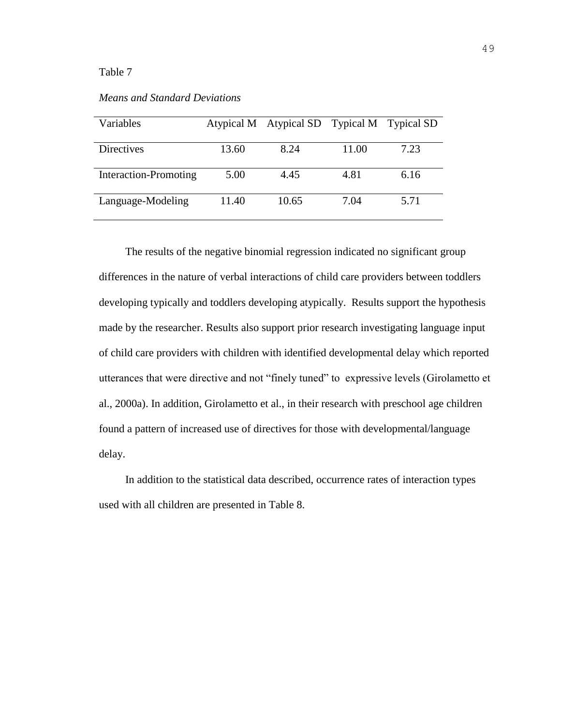| Variables             |       | Atypical M Atypical SD Typical M Typical SD |       |      |
|-----------------------|-------|---------------------------------------------|-------|------|
|                       |       |                                             |       |      |
| <b>Directives</b>     | 13.60 | 8.24                                        | 11.00 | 7.23 |
|                       |       |                                             |       |      |
| Interaction-Promoting | 5.00  | 4.45                                        | 4.81  | 6.16 |
|                       |       |                                             |       |      |
| Language-Modeling     | 11.40 | 10.65                                       | 7.04  | 5.71 |
|                       |       |                                             |       |      |

The results of the negative binomial regression indicated no significant group differences in the nature of verbal interactions of child care providers between toddlers developing typically and toddlers developing atypically. Results support the hypothesis made by the researcher. Results also support prior research investigating language input of child care providers with children with identified developmental delay which reported utterances that were directive and not "finely tuned" to expressive levels (Girolametto et al., 2000a). In addition, Girolametto et al., in their research with preschool age children found a pattern of increased use of directives for those with developmental/language delay.

In addition to the statistical data described, occurrence rates of interaction types used with all children are presented in Table 8.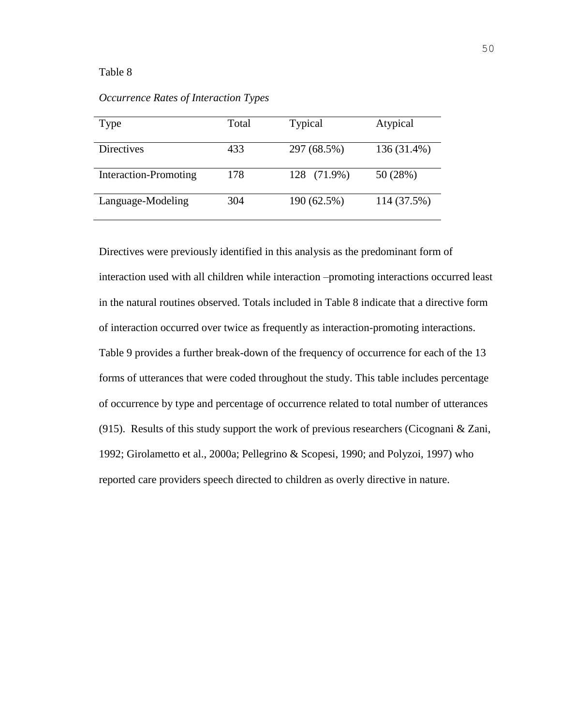| Type                  | Total | <b>Typical</b> | Atypical    |
|-----------------------|-------|----------------|-------------|
| <b>Directives</b>     | 433   | 297 (68.5%)    | 136 (31.4%) |
| Interaction-Promoting | 178   | 128 (71.9%)    | 50 (28%)    |
| Language-Modeling     | 304   | 190 (62.5%)    | 114 (37.5%) |

*Occurrence Rates of Interaction Types*

Directives were previously identified in this analysis as the predominant form of interaction used with all children while interaction –promoting interactions occurred least in the natural routines observed. Totals included in Table 8 indicate that a directive form of interaction occurred over twice as frequently as interaction-promoting interactions. Table 9 provides a further break-down of the frequency of occurrence for each of the 13 forms of utterances that were coded throughout the study. This table includes percentage of occurrence by type and percentage of occurrence related to total number of utterances (915). Results of this study support the work of previous researchers (Cicognani & Zani, 1992; Girolametto et al., 2000a; Pellegrino & Scopesi, 1990; and Polyzoi, 1997) who reported care providers speech directed to children as overly directive in nature.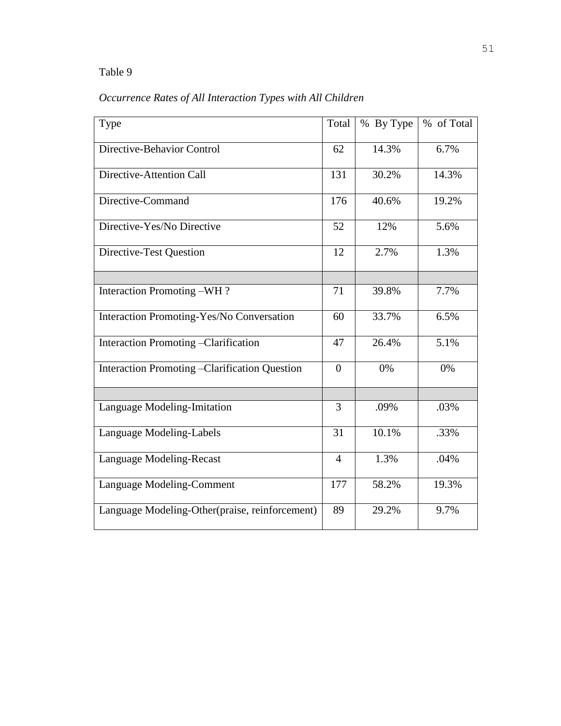| Occurrence Rates of All Interaction Types with All Children |  |  |  |
|-------------------------------------------------------------|--|--|--|
|                                                             |  |  |  |

| Type                                                  | Total          | % By Type | % of Total |
|-------------------------------------------------------|----------------|-----------|------------|
| Directive-Behavior Control                            | 62             | 14.3%     | 6.7%       |
| Directive-Attention Call                              | 131            | 30.2%     | 14.3%      |
| Directive-Command                                     | 176            | 40.6%     | 19.2%      |
| Directive-Yes/No Directive                            | 52             | 12%       | 5.6%       |
| Directive-Test Question                               | 12             | 2.7%      | 1.3%       |
|                                                       |                |           |            |
| Interaction Promoting -WH?                            | 71             | 39.8%     | 7.7%       |
| Interaction Promoting-Yes/No Conversation             | 60             | 33.7%     | 6.5%       |
| Interaction Promoting -Clarification                  | 47             | 26.4%     | 5.1%       |
| <b>Interaction Promoting - Clarification Question</b> | $\overline{0}$ | 0%        | 0%         |
|                                                       |                |           |            |
| Language Modeling-Imitation                           | 3              | .09%      | .03%       |
| Language Modeling-Labels                              | 31             | 10.1%     | .33%       |
| Language Modeling-Recast                              | $\overline{4}$ | 1.3%      | .04%       |
| Language Modeling-Comment                             | 177            | 58.2%     | 19.3%      |
| Language Modeling-Other(praise, reinforcement)        | 89             | 29.2%     | 9.7%       |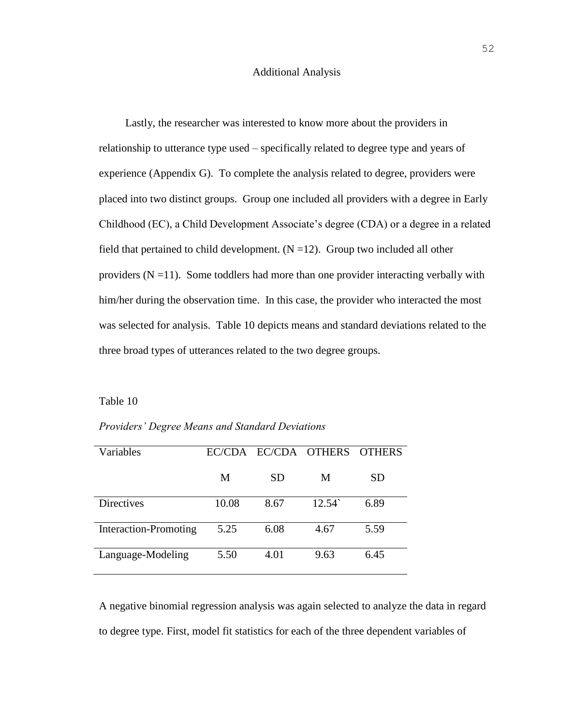#### Additional Analysis

Lastly, the researcher was interested to know more about the providers in relationship to utterance type used – specifically related to degree type and years of experience (Appendix G). To complete the analysis related to degree, providers were placed into two distinct groups. Group one included all providers with a degree in Early Childhood (EC), a Child Development Associate's degree (CDA) or a degree in a related field that pertained to child development.  $(N = 12)$ . Group two included all other providers  $(N = 11)$ . Some toddlers had more than one provider interacting verbally with him/her during the observation time. In this case, the provider who interacted the most was selected for analysis. Table 10 depicts means and standard deviations related to the three broad types of utterances related to the two degree groups.

#### Table 10

*Providers' Degree Means and Standard Deviations*

| Variables                    | EC/CDA |           | EC/CDA OTHERS   | <b>OTHERS</b> |
|------------------------------|--------|-----------|-----------------|---------------|
|                              | M      | <b>SD</b> | M               | SD            |
| <b>Directives</b>            | 10.08  | 8.67      | $12.54^{\circ}$ | 6.89          |
| <b>Interaction-Promoting</b> | 5.25   | 6.08      | 4.67            | 5.59          |
| Language-Modeling            | 5.50   | 4.01      | 9.63            | 6.45          |

A negative binomial regression analysis was again selected to analyze the data in regard to degree type. First, model fit statistics for each of the three dependent variables of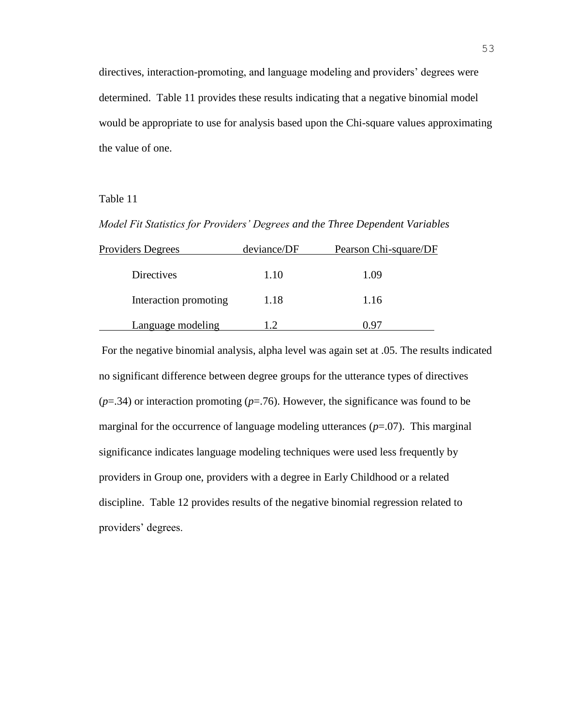directives, interaction-promoting, and language modeling and providers' degrees were determined. Table 11 provides these results indicating that a negative binomial model would be appropriate to use for analysis based upon the Chi-square values approximating the value of one.

# Table 11

*Model Fit Statistics for Providers' Degrees and the Three Dependent Variables*

| <b>Providers Degrees</b> | deviance/DF | Pearson Chi-square/DF |
|--------------------------|-------------|-----------------------|
| <b>Directives</b>        | 1.10        | 1.09                  |
| Interaction promoting    | 1.18        | 1.16                  |
| Language modeling        |             | ) Qr                  |

For the negative binomial analysis, alpha level was again set at .05. The results indicated no significant difference between degree groups for the utterance types of directives  $(p=0.34)$  or interaction promoting  $(p=0.76)$ . However, the significance was found to be marginal for the occurrence of language modeling utterances (*p*=.07). This marginal significance indicates language modeling techniques were used less frequently by providers in Group one, providers with a degree in Early Childhood or a related discipline. Table 12 provides results of the negative binomial regression related to providers' degrees.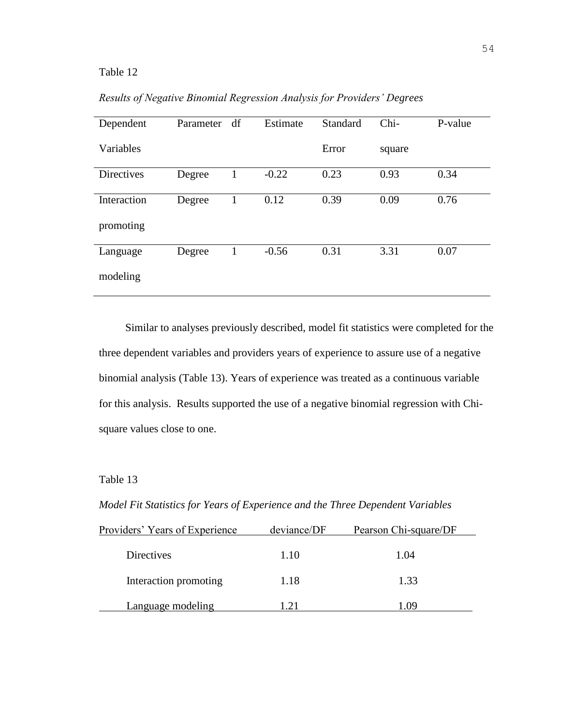| Dependent         | Parameter | df | Estimate | Standard | Chi-   | P-value |
|-------------------|-----------|----|----------|----------|--------|---------|
| Variables         |           |    |          | Error    | square |         |
| <b>Directives</b> | Degree    | 1  | $-0.22$  | 0.23     | 0.93   | 0.34    |
| Interaction       | Degree    | 1  | 0.12     | 0.39     | 0.09   | 0.76    |
| promoting         |           |    |          |          |        |         |
| Language          | Degree    |    | $-0.56$  | 0.31     | 3.31   | 0.07    |
| modeling          |           |    |          |          |        |         |

*Results of Negative Binomial Regression Analysis for Providers' Degrees* 

Similar to analyses previously described, model fit statistics were completed for the three dependent variables and providers years of experience to assure use of a negative binomial analysis (Table 13). Years of experience was treated as a continuous variable for this analysis. Results supported the use of a negative binomial regression with Chisquare values close to one.

Table 13

*Model Fit Statistics for Years of Experience and the Three Dependent Variables*

| Providers' Years of Experience | deviance/DF | Pearson Chi-square/DF |  |  |
|--------------------------------|-------------|-----------------------|--|--|
| Directives                     | 1.10        | 1.04                  |  |  |
| Interaction promoting          | 1.18        | 1.33                  |  |  |
| Language modeling              | .21         | l () 9                |  |  |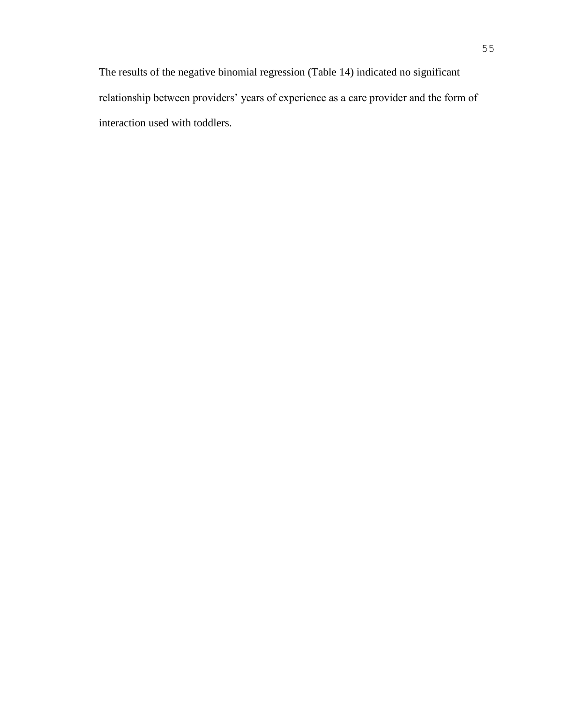The results of the negative binomial regression (Table 14) indicated no significant relationship between providers' years of experience as a care provider and the form of interaction used with toddlers.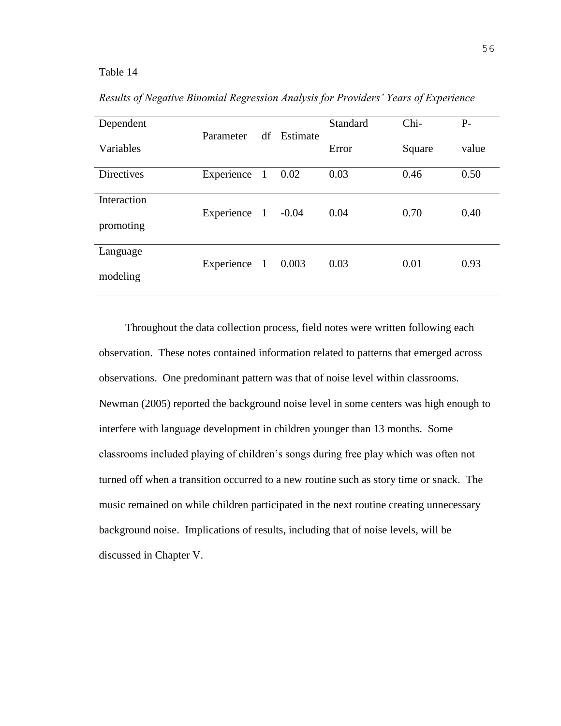| Dependent         |              |    | Estimate | <b>Standard</b> | Chi-   | $P-$  |
|-------------------|--------------|----|----------|-----------------|--------|-------|
| Variables         | Parameter    | df |          | Error           | Square | value |
| <b>Directives</b> | Experience 1 |    | 0.02     | 0.03            | 0.46   | 0.50  |
| Interaction       | Experience 1 |    | $-0.04$  | 0.04            | 0.70   | 0.40  |
| promoting         |              |    |          |                 |        |       |
| Language          | Experience 1 |    | 0.003    | 0.03            | 0.01   | 0.93  |
| modeling          |              |    |          |                 |        |       |

*Results of Negative Binomial Regression Analysis for Providers' Years of Experience*

Throughout the data collection process, field notes were written following each observation. These notes contained information related to patterns that emerged across observations. One predominant pattern was that of noise level within classrooms. Newman (2005) reported the background noise level in some centers was high enough to interfere with language development in children younger than 13 months. Some classrooms included playing of children's songs during free play which was often not turned off when a transition occurred to a new routine such as story time or snack. The music remained on while children participated in the next routine creating unnecessary background noise. Implications of results, including that of noise levels, will be discussed in Chapter V.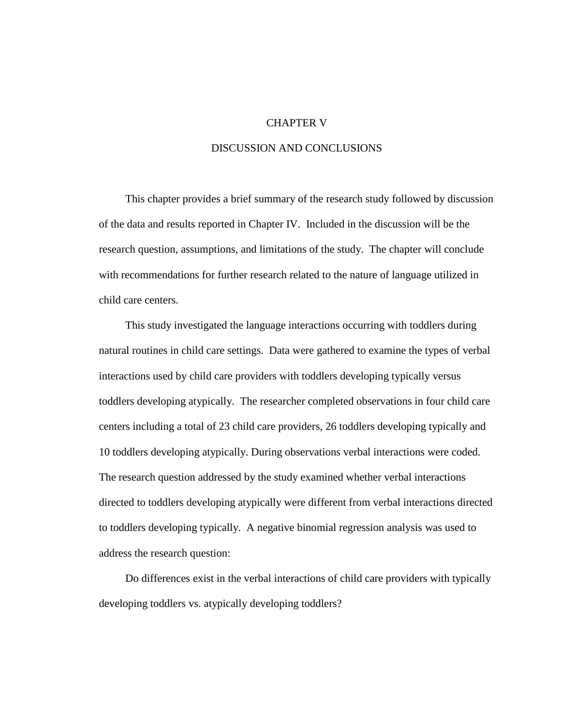# CHAPTER V

#### DISCUSSION AND CONCLUSIONS

This chapter provides a brief summary of the research study followed by discussion of the data and results reported in Chapter IV. Included in the discussion will be the research question, assumptions, and limitations of the study. The chapter will conclude with recommendations for further research related to the nature of language utilized in child care centers.

This study investigated the language interactions occurring with toddlers during natural routines in child care settings. Data were gathered to examine the types of verbal interactions used by child care providers with toddlers developing typically versus toddlers developing atypically. The researcher completed observations in four child care centers including a total of 23 child care providers, 26 toddlers developing typically and 10 toddlers developing atypically. During observations verbal interactions were coded. The research question addressed by the study examined whether verbal interactions directed to toddlers developing atypically were different from verbal interactions directed to toddlers developing typically. A negative binomial regression analysis was used to address the research question:

Do differences exist in the verbal interactions of child care providers with typically developing toddlers vs. atypically developing toddlers?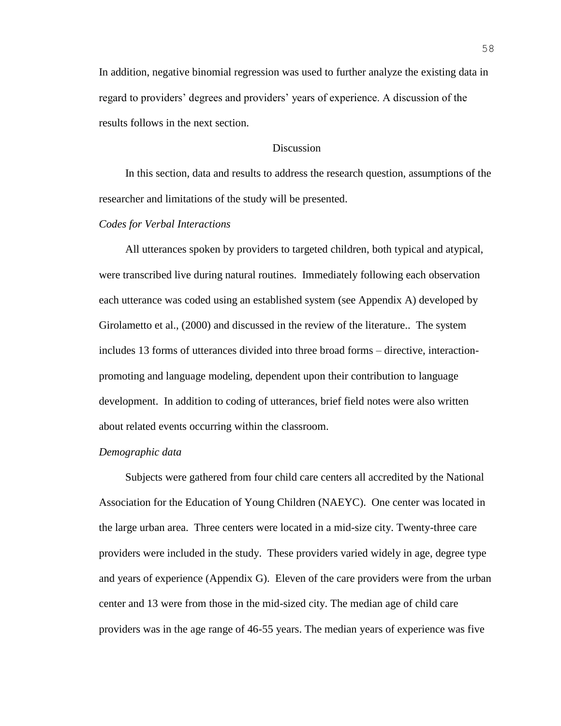In addition, negative binomial regression was used to further analyze the existing data in regard to providers' degrees and providers' years of experience. A discussion of the results follows in the next section.

# **Discussion**

In this section, data and results to address the research question, assumptions of the researcher and limitations of the study will be presented.

#### *Codes for Verbal Interactions*

All utterances spoken by providers to targeted children, both typical and atypical, were transcribed live during natural routines. Immediately following each observation each utterance was coded using an established system (see Appendix A) developed by Girolametto et al., (2000) and discussed in the review of the literature.. The system includes 13 forms of utterances divided into three broad forms – directive, interactionpromoting and language modeling, dependent upon their contribution to language development. In addition to coding of utterances, brief field notes were also written about related events occurring within the classroom.

#### *Demographic data*

Subjects were gathered from four child care centers all accredited by the National Association for the Education of Young Children (NAEYC). One center was located in the large urban area. Three centers were located in a mid-size city. Twenty-three care providers were included in the study. These providers varied widely in age, degree type and years of experience (Appendix G). Eleven of the care providers were from the urban center and 13 were from those in the mid-sized city. The median age of child care providers was in the age range of 46-55 years. The median years of experience was five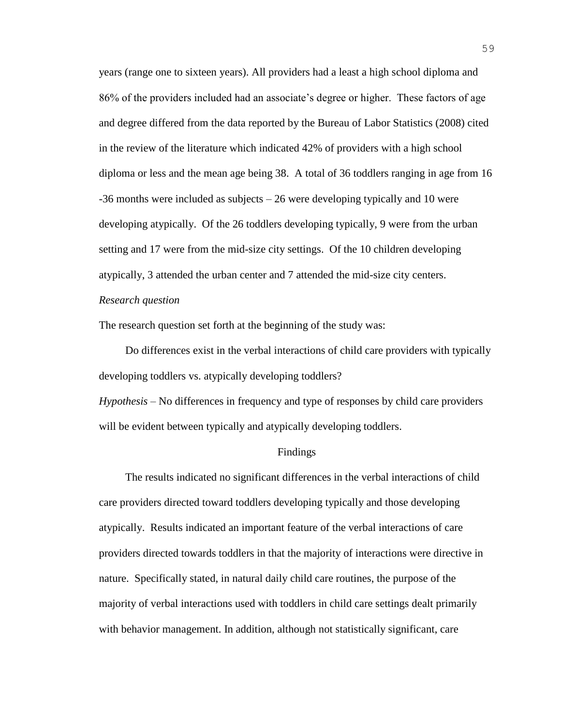years (range one to sixteen years). All providers had a least a high school diploma and 86% of the providers included had an associate's degree or higher. These factors of age and degree differed from the data reported by the Bureau of Labor Statistics (2008) cited in the review of the literature which indicated 42% of providers with a high school diploma or less and the mean age being 38. A total of 36 toddlers ranging in age from 16 -36 months were included as subjects – 26 were developing typically and 10 were developing atypically. Of the 26 toddlers developing typically, 9 were from the urban setting and 17 were from the mid-size city settings. Of the 10 children developing atypically, 3 attended the urban center and 7 attended the mid-size city centers.

# *Research question*

The research question set forth at the beginning of the study was:

Do differences exist in the verbal interactions of child care providers with typically developing toddlers vs. atypically developing toddlers?

*Hypothesis –* No differences in frequency and type of responses by child care providers will be evident between typically and atypically developing toddlers.

#### Findings

The results indicated no significant differences in the verbal interactions of child care providers directed toward toddlers developing typically and those developing atypically. Results indicated an important feature of the verbal interactions of care providers directed towards toddlers in that the majority of interactions were directive in nature. Specifically stated, in natural daily child care routines, the purpose of the majority of verbal interactions used with toddlers in child care settings dealt primarily with behavior management. In addition, although not statistically significant, care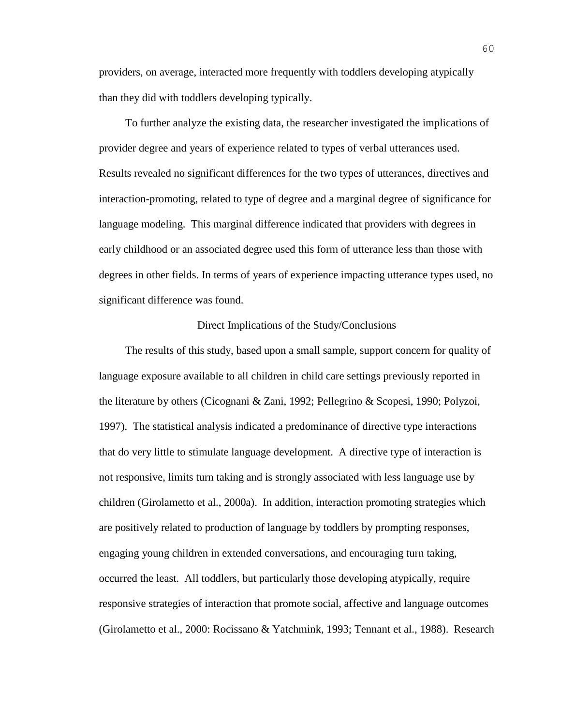providers, on average, interacted more frequently with toddlers developing atypically than they did with toddlers developing typically.

To further analyze the existing data, the researcher investigated the implications of provider degree and years of experience related to types of verbal utterances used. Results revealed no significant differences for the two types of utterances, directives and interaction-promoting, related to type of degree and a marginal degree of significance for language modeling. This marginal difference indicated that providers with degrees in early childhood or an associated degree used this form of utterance less than those with degrees in other fields. In terms of years of experience impacting utterance types used, no significant difference was found.

#### Direct Implications of the Study/Conclusions

The results of this study, based upon a small sample, support concern for quality of language exposure available to all children in child care settings previously reported in the literature by others (Cicognani & Zani, 1992; Pellegrino & Scopesi, 1990; Polyzoi, 1997). The statistical analysis indicated a predominance of directive type interactions that do very little to stimulate language development. A directive type of interaction is not responsive, limits turn taking and is strongly associated with less language use by children (Girolametto et al., 2000a). In addition, interaction promoting strategies which are positively related to production of language by toddlers by prompting responses, engaging young children in extended conversations, and encouraging turn taking, occurred the least. All toddlers, but particularly those developing atypically, require responsive strategies of interaction that promote social, affective and language outcomes (Girolametto et al., 2000: Rocissano & Yatchmink, 1993; Tennant et al., 1988). Research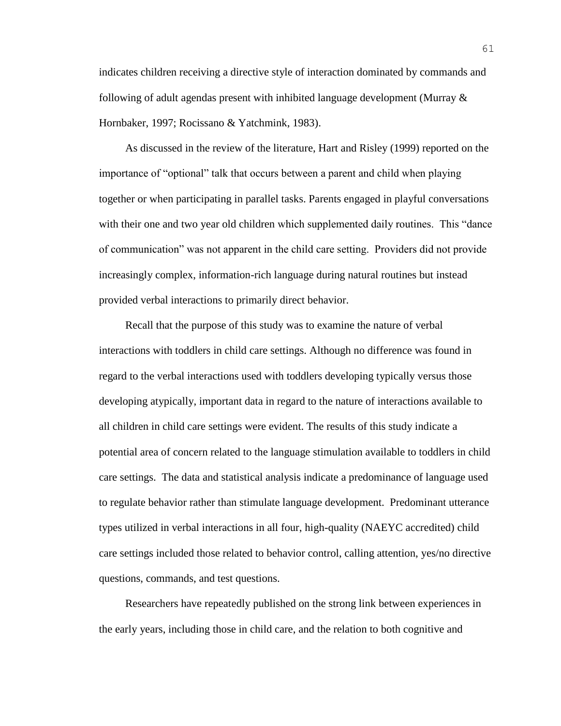indicates children receiving a directive style of interaction dominated by commands and following of adult agendas present with inhibited language development (Murray & Hornbaker, 1997; Rocissano & Yatchmink, 1983).

As discussed in the review of the literature, Hart and Risley (1999) reported on the importance of "optional" talk that occurs between a parent and child when playing together or when participating in parallel tasks. Parents engaged in playful conversations with their one and two year old children which supplemented daily routines. This "dance of communication" was not apparent in the child care setting. Providers did not provide increasingly complex, information-rich language during natural routines but instead provided verbal interactions to primarily direct behavior.

Recall that the purpose of this study was to examine the nature of verbal interactions with toddlers in child care settings. Although no difference was found in regard to the verbal interactions used with toddlers developing typically versus those developing atypically, important data in regard to the nature of interactions available to all children in child care settings were evident. The results of this study indicate a potential area of concern related to the language stimulation available to toddlers in child care settings. The data and statistical analysis indicate a predominance of language used to regulate behavior rather than stimulate language development. Predominant utterance types utilized in verbal interactions in all four, high-quality (NAEYC accredited) child care settings included those related to behavior control, calling attention, yes/no directive questions, commands, and test questions.

Researchers have repeatedly published on the strong link between experiences in the early years, including those in child care, and the relation to both cognitive and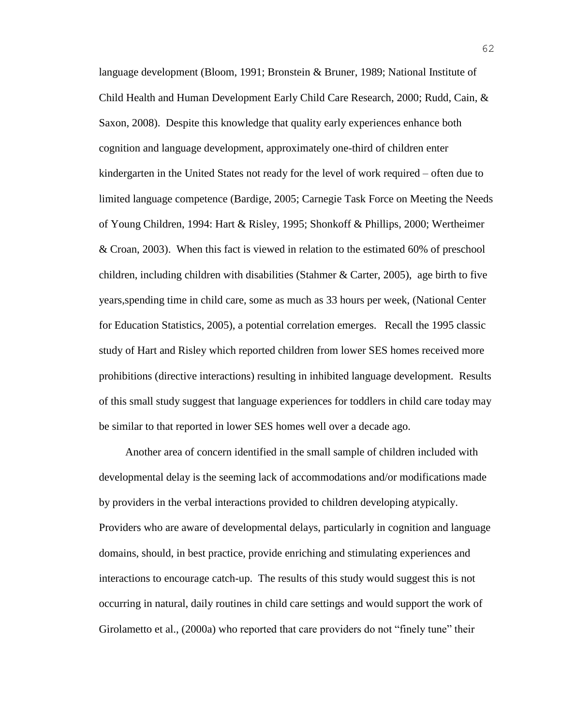language development (Bloom, 1991; Bronstein & Bruner, 1989; National Institute of Child Health and Human Development Early Child Care Research, 2000; Rudd, Cain, & Saxon, 2008). Despite this knowledge that quality early experiences enhance both cognition and language development, approximately one-third of children enter kindergarten in the United States not ready for the level of work required – often due to limited language competence (Bardige, 2005; Carnegie Task Force on Meeting the Needs of Young Children, 1994: Hart & Risley, 1995; Shonkoff & Phillips, 2000; Wertheimer & Croan, 2003). When this fact is viewed in relation to the estimated 60% of preschool children, including children with disabilities (Stahmer & Carter, 2005), age birth to five years,spending time in child care, some as much as 33 hours per week, (National Center for Education Statistics, 2005), a potential correlation emerges. Recall the 1995 classic study of Hart and Risley which reported children from lower SES homes received more prohibitions (directive interactions) resulting in inhibited language development. Results of this small study suggest that language experiences for toddlers in child care today may be similar to that reported in lower SES homes well over a decade ago.

Another area of concern identified in the small sample of children included with developmental delay is the seeming lack of accommodations and/or modifications made by providers in the verbal interactions provided to children developing atypically. Providers who are aware of developmental delays, particularly in cognition and language domains, should, in best practice, provide enriching and stimulating experiences and interactions to encourage catch-up. The results of this study would suggest this is not occurring in natural, daily routines in child care settings and would support the work of Girolametto et al., (2000a) who reported that care providers do not "finely tune" their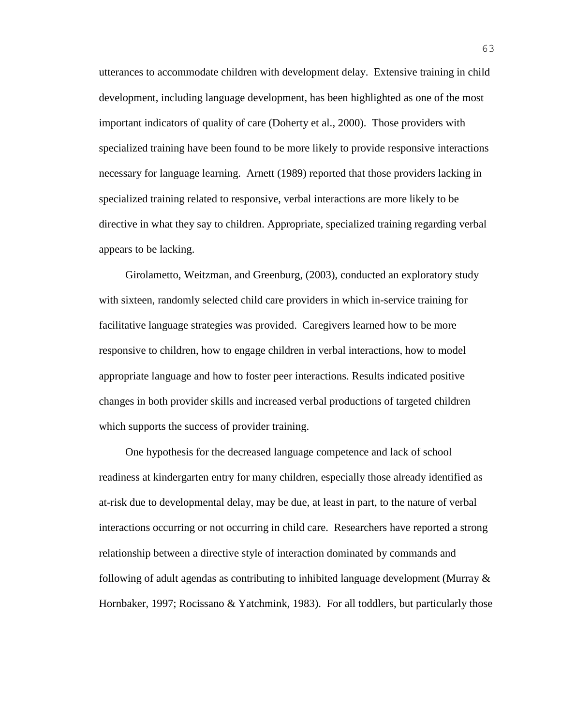utterances to accommodate children with development delay. Extensive training in child development, including language development, has been highlighted as one of the most important indicators of quality of care (Doherty et al., 2000). Those providers with specialized training have been found to be more likely to provide responsive interactions necessary for language learning. Arnett (1989) reported that those providers lacking in specialized training related to responsive, verbal interactions are more likely to be directive in what they say to children. Appropriate, specialized training regarding verbal appears to be lacking.

Girolametto, Weitzman, and Greenburg, (2003), conducted an exploratory study with sixteen, randomly selected child care providers in which in-service training for facilitative language strategies was provided. Caregivers learned how to be more responsive to children, how to engage children in verbal interactions, how to model appropriate language and how to foster peer interactions. Results indicated positive changes in both provider skills and increased verbal productions of targeted children which supports the success of provider training.

One hypothesis for the decreased language competence and lack of school readiness at kindergarten entry for many children, especially those already identified as at-risk due to developmental delay, may be due, at least in part, to the nature of verbal interactions occurring or not occurring in child care. Researchers have reported a strong relationship between a directive style of interaction dominated by commands and following of adult agendas as contributing to inhibited language development (Murray  $\&$ Hornbaker, 1997; Rocissano & Yatchmink, 1983). For all toddlers, but particularly those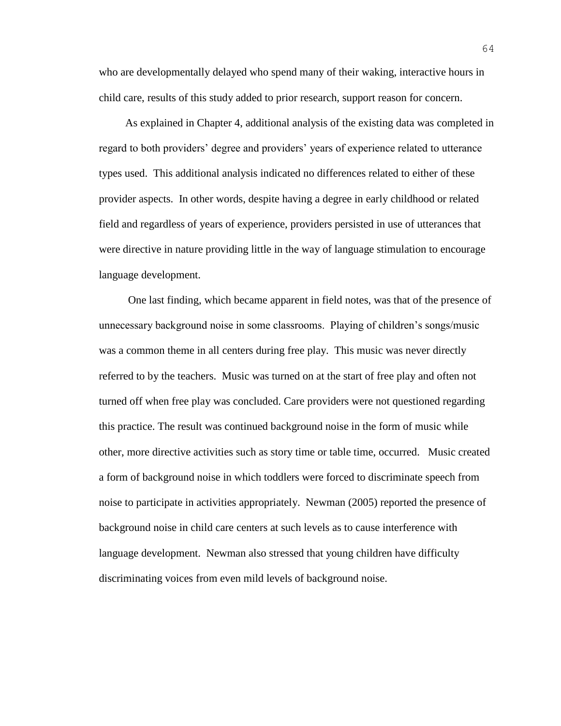who are developmentally delayed who spend many of their waking, interactive hours in child care, results of this study added to prior research, support reason for concern.

As explained in Chapter 4, additional analysis of the existing data was completed in regard to both providers' degree and providers' years of experience related to utterance types used. This additional analysis indicated no differences related to either of these provider aspects. In other words, despite having a degree in early childhood or related field and regardless of years of experience, providers persisted in use of utterances that were directive in nature providing little in the way of language stimulation to encourage language development.

One last finding, which became apparent in field notes, was that of the presence of unnecessary background noise in some classrooms. Playing of children's songs/music was a common theme in all centers during free play. This music was never directly referred to by the teachers. Music was turned on at the start of free play and often not turned off when free play was concluded. Care providers were not questioned regarding this practice. The result was continued background noise in the form of music while other, more directive activities such as story time or table time, occurred. Music created a form of background noise in which toddlers were forced to discriminate speech from noise to participate in activities appropriately. Newman (2005) reported the presence of background noise in child care centers at such levels as to cause interference with language development. Newman also stressed that young children have difficulty discriminating voices from even mild levels of background noise.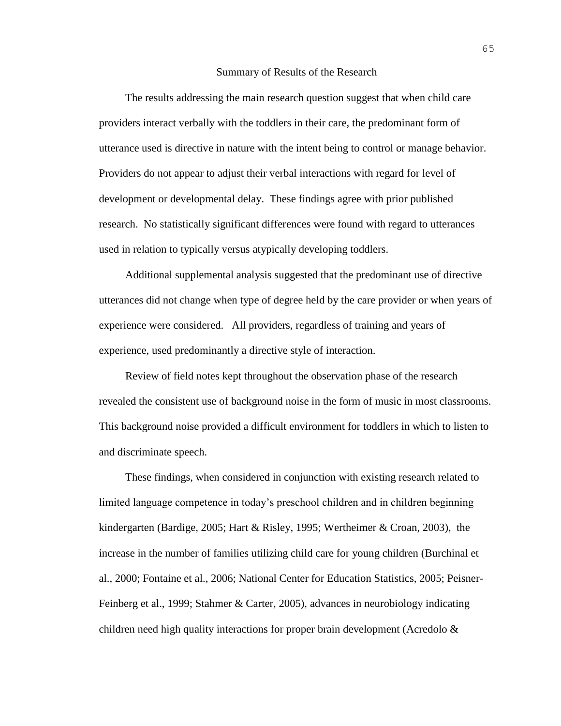#### Summary of Results of the Research

The results addressing the main research question suggest that when child care providers interact verbally with the toddlers in their care, the predominant form of utterance used is directive in nature with the intent being to control or manage behavior. Providers do not appear to adjust their verbal interactions with regard for level of development or developmental delay. These findings agree with prior published research. No statistically significant differences were found with regard to utterances used in relation to typically versus atypically developing toddlers.

Additional supplemental analysis suggested that the predominant use of directive utterances did not change when type of degree held by the care provider or when years of experience were considered. All providers, regardless of training and years of experience, used predominantly a directive style of interaction.

Review of field notes kept throughout the observation phase of the research revealed the consistent use of background noise in the form of music in most classrooms. This background noise provided a difficult environment for toddlers in which to listen to and discriminate speech.

These findings, when considered in conjunction with existing research related to limited language competence in today's preschool children and in children beginning kindergarten (Bardige, 2005; Hart & Risley, 1995; Wertheimer & Croan, 2003), the increase in the number of families utilizing child care for young children (Burchinal et al., 2000; Fontaine et al., 2006; National Center for Education Statistics, 2005; Peisner-Feinberg et al., 1999; Stahmer & Carter, 2005), advances in neurobiology indicating children need high quality interactions for proper brain development (Acredolo  $\&$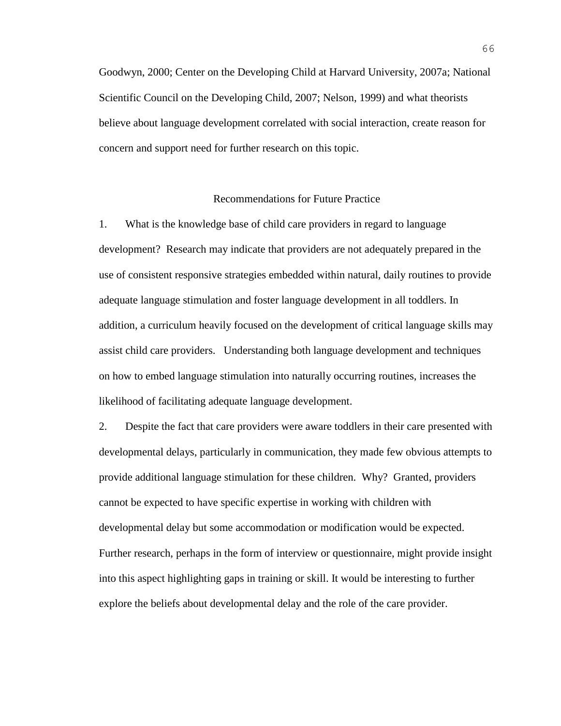Goodwyn, 2000; Center on the Developing Child at Harvard University, 2007a; National Scientific Council on the Developing Child, 2007; Nelson, 1999) and what theorists believe about language development correlated with social interaction, create reason for concern and support need for further research on this topic.

### Recommendations for Future Practice

1. What is the knowledge base of child care providers in regard to language development? Research may indicate that providers are not adequately prepared in the use of consistent responsive strategies embedded within natural, daily routines to provide adequate language stimulation and foster language development in all toddlers. In addition, a curriculum heavily focused on the development of critical language skills may assist child care providers. Understanding both language development and techniques on how to embed language stimulation into naturally occurring routines, increases the likelihood of facilitating adequate language development.

2. Despite the fact that care providers were aware toddlers in their care presented with developmental delays, particularly in communication, they made few obvious attempts to provide additional language stimulation for these children. Why? Granted, providers cannot be expected to have specific expertise in working with children with developmental delay but some accommodation or modification would be expected. Further research, perhaps in the form of interview or questionnaire, might provide insight into this aspect highlighting gaps in training or skill. It would be interesting to further explore the beliefs about developmental delay and the role of the care provider.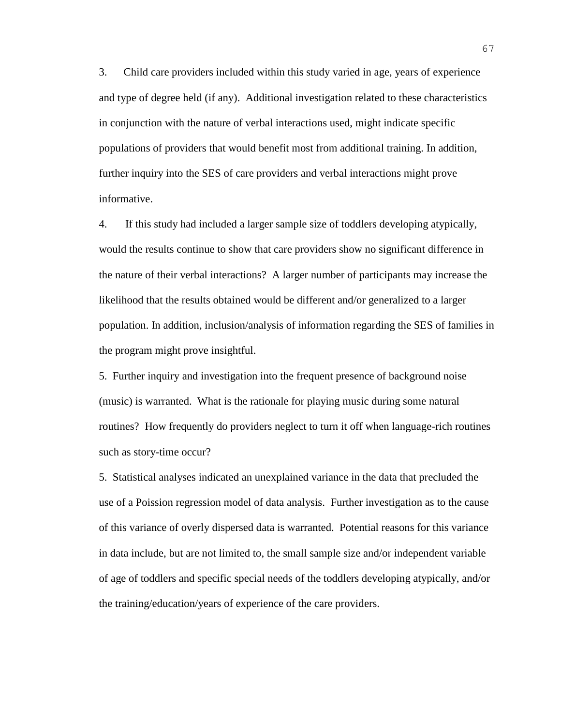3. Child care providers included within this study varied in age, years of experience and type of degree held (if any). Additional investigation related to these characteristics in conjunction with the nature of verbal interactions used, might indicate specific populations of providers that would benefit most from additional training. In addition, further inquiry into the SES of care providers and verbal interactions might prove informative.

4. If this study had included a larger sample size of toddlers developing atypically, would the results continue to show that care providers show no significant difference in the nature of their verbal interactions? A larger number of participants may increase the likelihood that the results obtained would be different and/or generalized to a larger population. In addition, inclusion/analysis of information regarding the SES of families in the program might prove insightful.

5. Further inquiry and investigation into the frequent presence of background noise (music) is warranted. What is the rationale for playing music during some natural routines? How frequently do providers neglect to turn it off when language-rich routines such as story-time occur?

5. Statistical analyses indicated an unexplained variance in the data that precluded the use of a Poission regression model of data analysis. Further investigation as to the cause of this variance of overly dispersed data is warranted. Potential reasons for this variance in data include, but are not limited to, the small sample size and/or independent variable of age of toddlers and specific special needs of the toddlers developing atypically, and/or the training/education/years of experience of the care providers.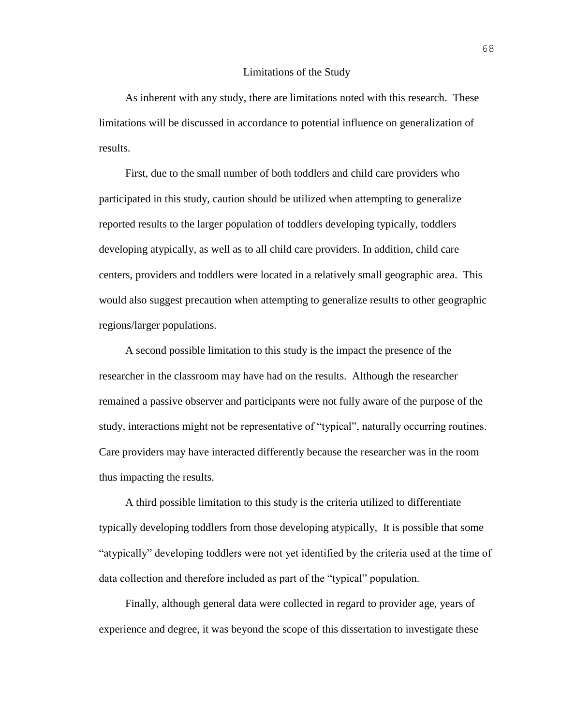#### Limitations of the Study

As inherent with any study, there are limitations noted with this research. These limitations will be discussed in accordance to potential influence on generalization of results.

First, due to the small number of both toddlers and child care providers who participated in this study, caution should be utilized when attempting to generalize reported results to the larger population of toddlers developing typically, toddlers developing atypically, as well as to all child care providers. In addition, child care centers, providers and toddlers were located in a relatively small geographic area. This would also suggest precaution when attempting to generalize results to other geographic regions/larger populations.

A second possible limitation to this study is the impact the presence of the researcher in the classroom may have had on the results. Although the researcher remained a passive observer and participants were not fully aware of the purpose of the study, interactions might not be representative of "typical", naturally occurring routines. Care providers may have interacted differently because the researcher was in the room thus impacting the results.

A third possible limitation to this study is the criteria utilized to differentiate typically developing toddlers from those developing atypically, It is possible that some "atypically" developing toddlers were not yet identified by the criteria used at the time of data collection and therefore included as part of the "typical" population.

Finally, although general data were collected in regard to provider age, years of experience and degree, it was beyond the scope of this dissertation to investigate these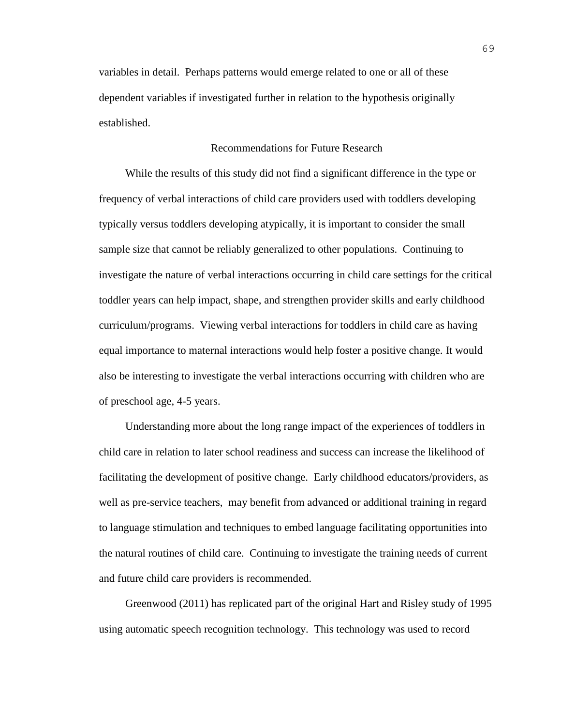variables in detail. Perhaps patterns would emerge related to one or all of these dependent variables if investigated further in relation to the hypothesis originally established.

### Recommendations for Future Research

While the results of this study did not find a significant difference in the type or frequency of verbal interactions of child care providers used with toddlers developing typically versus toddlers developing atypically, it is important to consider the small sample size that cannot be reliably generalized to other populations. Continuing to investigate the nature of verbal interactions occurring in child care settings for the critical toddler years can help impact, shape, and strengthen provider skills and early childhood curriculum/programs. Viewing verbal interactions for toddlers in child care as having equal importance to maternal interactions would help foster a positive change. It would also be interesting to investigate the verbal interactions occurring with children who are of preschool age, 4-5 years.

Understanding more about the long range impact of the experiences of toddlers in child care in relation to later school readiness and success can increase the likelihood of facilitating the development of positive change. Early childhood educators/providers, as well as pre-service teachers, may benefit from advanced or additional training in regard to language stimulation and techniques to embed language facilitating opportunities into the natural routines of child care. Continuing to investigate the training needs of current and future child care providers is recommended.

Greenwood (2011) has replicated part of the original Hart and Risley study of 1995 using automatic speech recognition technology. This technology was used to record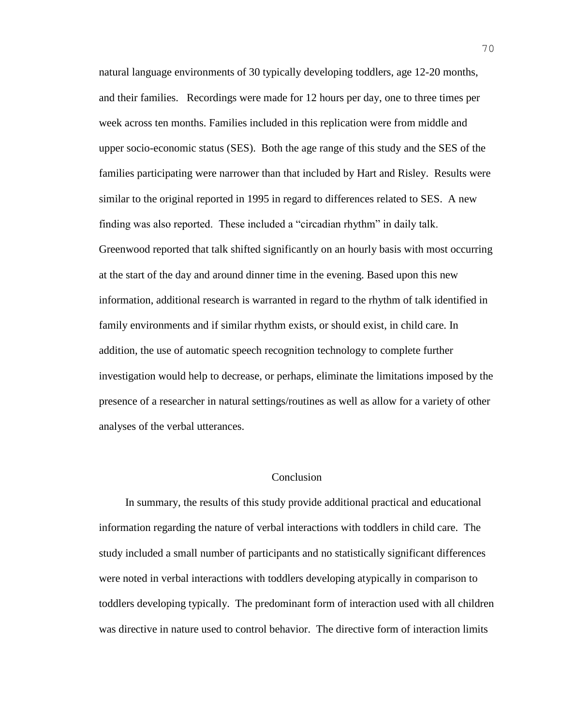natural language environments of 30 typically developing toddlers, age 12-20 months, and their families. Recordings were made for 12 hours per day, one to three times per week across ten months. Families included in this replication were from middle and upper socio-economic status (SES). Both the age range of this study and the SES of the families participating were narrower than that included by Hart and Risley. Results were similar to the original reported in 1995 in regard to differences related to SES. A new finding was also reported. These included a "circadian rhythm" in daily talk. Greenwood reported that talk shifted significantly on an hourly basis with most occurring at the start of the day and around dinner time in the evening. Based upon this new information, additional research is warranted in regard to the rhythm of talk identified in family environments and if similar rhythm exists, or should exist, in child care. In addition, the use of automatic speech recognition technology to complete further investigation would help to decrease, or perhaps, eliminate the limitations imposed by the presence of a researcher in natural settings/routines as well as allow for a variety of other analyses of the verbal utterances.

### Conclusion

In summary, the results of this study provide additional practical and educational information regarding the nature of verbal interactions with toddlers in child care. The study included a small number of participants and no statistically significant differences were noted in verbal interactions with toddlers developing atypically in comparison to toddlers developing typically. The predominant form of interaction used with all children was directive in nature used to control behavior. The directive form of interaction limits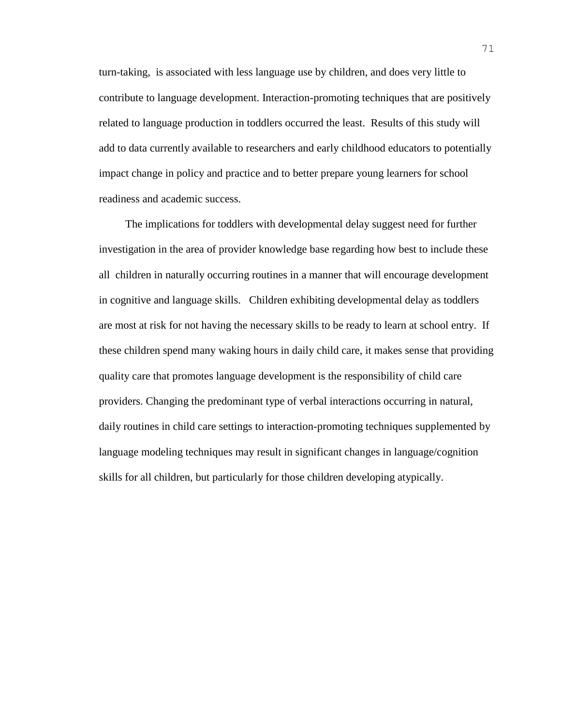turn-taking, is associated with less language use by children, and does very little to contribute to language development. Interaction-promoting techniques that are positively related to language production in toddlers occurred the least. Results of this study will add to data currently available to researchers and early childhood educators to potentially impact change in policy and practice and to better prepare young learners for school readiness and academic success.

The implications for toddlers with developmental delay suggest need for further investigation in the area of provider knowledge base regarding how best to include these all children in naturally occurring routines in a manner that will encourage development in cognitive and language skills. Children exhibiting developmental delay as toddlers are most at risk for not having the necessary skills to be ready to learn at school entry. If these children spend many waking hours in daily child care, it makes sense that providing quality care that promotes language development is the responsibility of child care providers. Changing the predominant type of verbal interactions occurring in natural, daily routines in child care settings to interaction-promoting techniques supplemented by language modeling techniques may result in significant changes in language/cognition skills for all children, but particularly for those children developing atypically.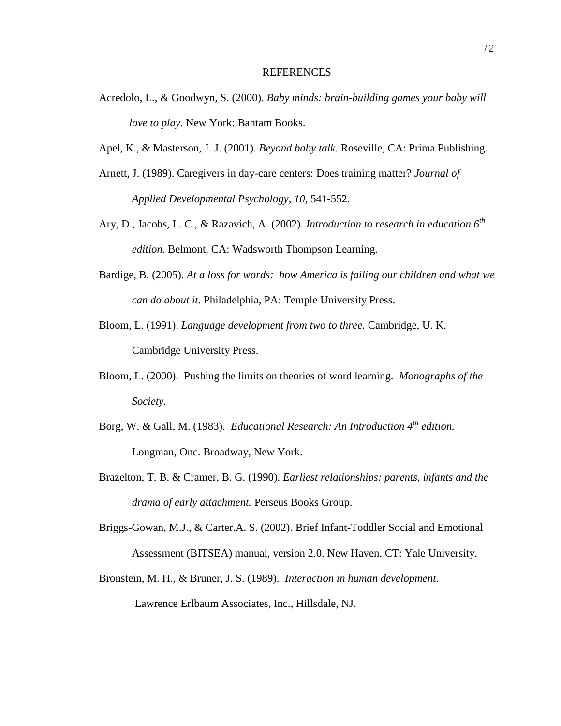#### REFERENCES

- Acredolo, L., & Goodwyn, S. (2000). *Baby minds: brain-building games your baby will love to play*. New York: Bantam Books.
- Apel, K., & Masterson, J. J. (2001). *Beyond baby talk.* Roseville, CA: Prima Publishing.
- Arnett, J. (1989). Caregivers in day-care centers: Does training matter? *Journal of Applied Developmental Psychology, 10,* 541-552.
- Ary, D., Jacobs, L. C., & Razavich, A. (2002). *Introduction to research in education 6th edition.* Belmont, CA: Wadsworth Thompson Learning.
- Bardige, B. (2005). *At a loss for words: how America is failing our children and what we can do about it.* Philadelphia, PA: Temple University Press.
- Bloom, L. (1991). *Language development from two to three.* Cambridge, U. K. Cambridge University Press.
- Bloom, L. (2000). Pushing the limits on theories of word learning. *Monographs of the Society.*
- Borg, W. & Gall, M. (1983). *Educational Research: An Introduction 4th edition.*  Longman, Onc. Broadway, New York.
- Brazelton, T. B. & Cramer, B. G. (1990). *Earliest relationships: parents, infants and the drama of early attachment.* Perseus Books Group.
- Briggs-Gowan, M.J., & Carter.A. S. (2002). Brief Infant-Toddler Social and Emotional Assessment (BITSEA) manual, version 2.0. New Haven, CT: Yale University.
- Bronstein, M. H., & Bruner, J. S. (1989). *Interaction in human development*. Lawrence Erlbaum Associates, Inc., Hillsdale, NJ.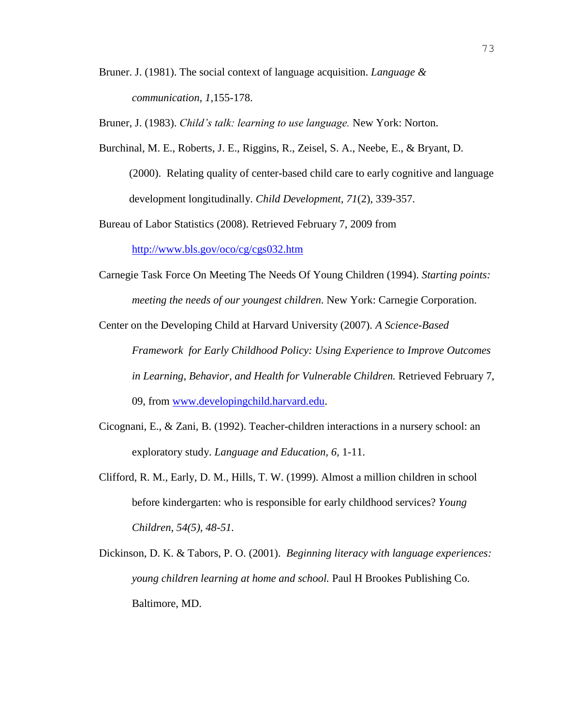Bruner. J. (1981). The social context of language acquisition. *Language & communication, 1,*155-178.

Bruner, J. (1983). *Child's talk: learning to use language.* New York: Norton.

Burchinal, M. E., Roberts, J. E., Riggins, R., Zeisel, S. A., Neebe, E., & Bryant, D. (2000). Relating quality of center-based child care to early cognitive and language development longitudinally. *Child Development, 71*(2), 339-357.

Bureau of Labor Statistics (2008). Retrieved February 7, 2009 from

<http://www.bls.gov/oco/cg/cgs032.htm>

Carnegie Task Force On Meeting The Needs Of Young Children (1994). *Starting points: meeting the needs of our youngest children*. New York: Carnegie Corporation.

Center on the Developing Child at Harvard University (2007). *A Science-Based Framework for Early Childhood Policy: Using Experience to Improve Outcomes in Learning, Behavior, and Health for Vulnerable Children.* Retrieved February 7, 09, from [www.developingchild.harvard.edu.](http://www.developingchild.harvard.edu/)

- Cicognani, E., & Zani, B. (1992). Teacher-children interactions in a nursery school: an exploratory study. *Language and Education, 6,* 1-11.
- Clifford, R. M., Early, D. M., Hills, T. W. (1999). Almost a million children in school before kindergarten: who is responsible for early childhood services? *Young Children, 54(5), 48-51.*
- Dickinson, D. K. & Tabors, P. O. (2001). *Beginning literacy with language experiences: young children learning at home and school.* Paul H Brookes Publishing Co. Baltimore, MD.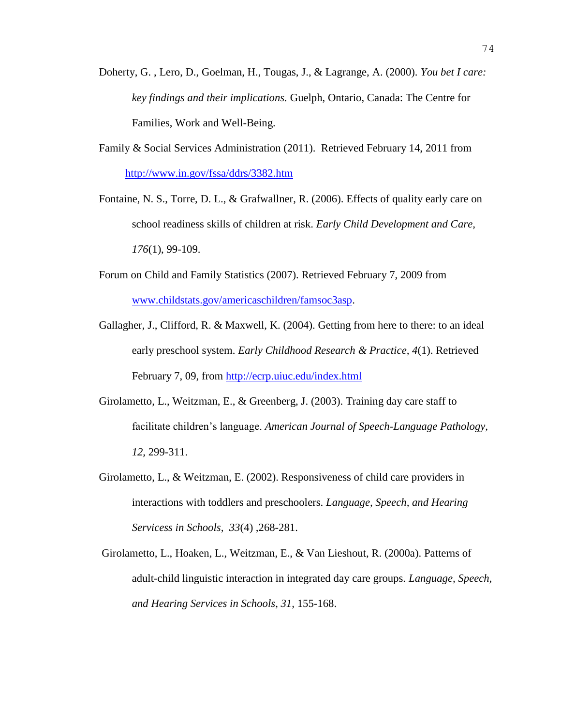- Doherty, G. , Lero, D., Goelman, H., Tougas, J., & Lagrange, A. (2000). *You bet I care: key findings and their implications.* Guelph, Ontario, Canada: The Centre for Families, Work and Well-Being.
- Family & Social Services Administration (2011). Retrieved February 14, 2011 from <http://www.in.gov/fssa/ddrs/3382.htm>
- Fontaine, N. S., Torre, D. L., & Grafwallner, R. (2006). Effects of quality early care on school readiness skills of children at risk. *Early Child Development and Care, 176*(1), 99-109.
- Forum on Child and Family Statistics (2007). Retrieved February 7, 2009 from [www.childstats.gov/americaschildren/famsoc3asp.](http://www.childstats.gov/americaschildren/famsoc3asp)
- Gallagher, J., Clifford, R. & Maxwell, K. (2004). Getting from here to there: to an ideal early preschool system. *Early Childhood Research & Practice, 4*(1). Retrieved February 7, 09, from<http://ecrp.uiuc.edu/index.html>
- Girolametto, L., Weitzman, E., & Greenberg, J. (2003). Training day care staff to facilitate children's language. *American Journal of Speech-Language Pathology, 12,* 299-311.
- Girolametto, L., & Weitzman, E. (2002). Responsiveness of child care providers in interactions with toddlers and preschoolers. *Language, Speech, and Hearing Servicess in Schools, 33*(4) *,*268-281.
- Girolametto, L., Hoaken, L., Weitzman, E., & Van Lieshout, R. (2000a). Patterns of adult-child linguistic interaction in integrated day care groups. *Language, Speech, and Hearing Services in Schools, 31,* 155-168.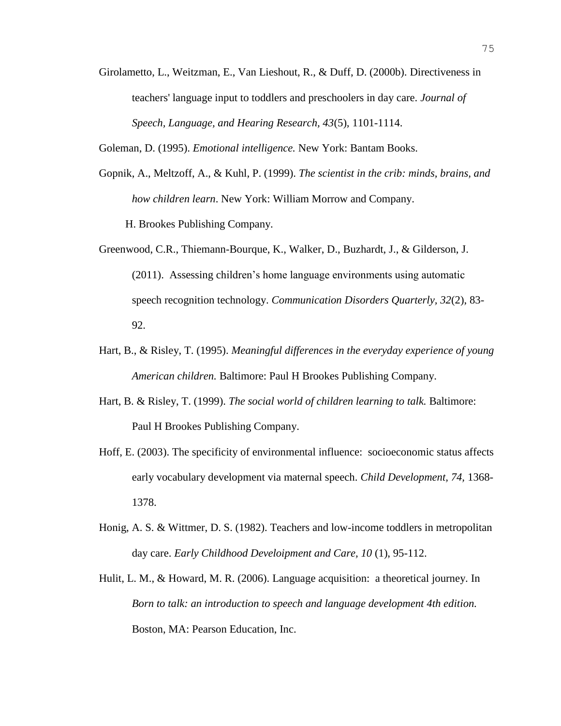- Girolametto, L., Weitzman, E., Van Lieshout, R., & Duff, D. (2000b). Directiveness in teachers' language input to toddlers and preschoolers in day care. *Journal of Speech, Language, and Hearing Research, 43*(5)*,* 1101-1114.
- Goleman, D. (1995). *Emotional intelligence.* New York: Bantam Books.
- Gopnik, A., Meltzoff, A., & Kuhl, P. (1999). *The scientist in the crib: minds, brains, and how children learn*. New York: William Morrow and Company. H. Brookes Publishing Company.
- Greenwood, C.R., Thiemann-Bourque, K., Walker, D., Buzhardt, J., & Gilderson, J. (2011). Assessing children's home language environments using automatic speech recognition technology. *Communication Disorders Quarterly, 32*(2), 83- 92.
- Hart, B., & Risley, T. (1995). *Meaningful differences in the everyday experience of young American children.* Baltimore: Paul H Brookes Publishing Company.
- Hart, B. & Risley, T. (1999). *The social world of children learning to talk.* Baltimore: Paul H Brookes Publishing Company.
- Hoff, E. (2003). The specificity of environmental influence: socioeconomic status affects early vocabulary development via maternal speech. *Child Development, 74,* 1368- 1378.
- Honig, A. S. & Wittmer, D. S. (1982). Teachers and low-income toddlers in metropolitan day care. *Early Childhood Develoipment and Care, 10* (1), 95-112.
- Hulit, L. M., & Howard, M. R. (2006). Language acquisition: a theoretical journey. In *Born to talk: an introduction to speech and language development 4th edition.* Boston, MA: Pearson Education, Inc.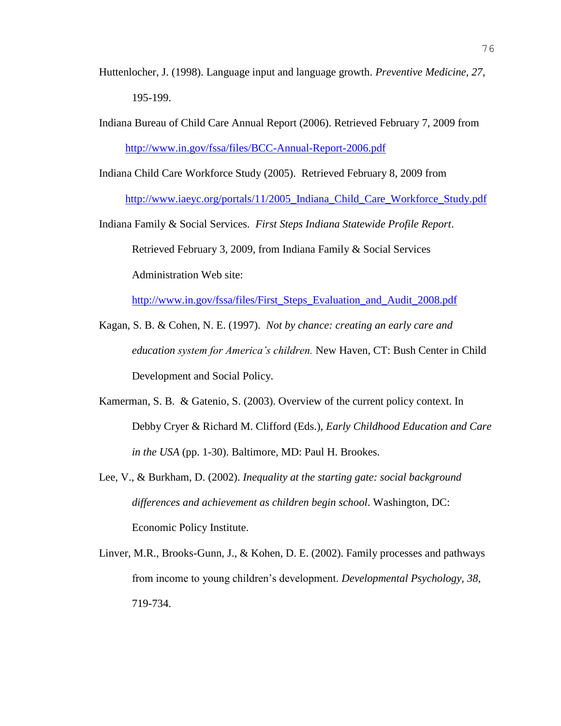- Huttenlocher, J. (1998). Language input and language growth. *Preventive Medicine, 27,* 195-199.
- Indiana Bureau of Child Care Annual Report (2006). Retrieved February 7, 2009 from <http://www.in.gov/fssa/files/BCC-Annual-Report-2006.pdf>

Indiana Child Care Workforce Study (2005). Retrieved February 8, 2009 from [http://www.iaeyc.org/portals/11/2005\\_Indiana\\_Child\\_Care\\_Workforce\\_Study.pdf](http://www.iaeyc.org/portals/11/2005_Indiana_Child_Care_Workforce_Study.pdf)

Indiana Family & Social Services. *First Steps Indiana Statewide Profile Report*. Retrieved February 3, 2009, from Indiana Family & Social Services Administration Web site:

[http://www.in.gov/fssa/files/First\\_Steps\\_Evaluation\\_and\\_Audit\\_2008.pdf](http://www.in.gov/fssa/files/First_Steps_Evaluation_and_Audit_2008.pdf)

- Kagan, S. B. & Cohen, N. E. (1997). *Not by chance: creating an early care and education system for America's children.* New Haven, CT: Bush Center in Child Development and Social Policy.
- Kamerman, S. B. & Gatenio, S. (2003). Overview of the current policy context. In Debby Cryer & Richard M. Clifford (Eds.), *Early Childhood Education and Care in the USA* (pp. 1-30). Baltimore, MD: Paul H. Brookes.
- Lee, V., & Burkham, D. (2002). *Inequality at the starting gate: social background differences and achievement as children begin school*. Washington, DC: Economic Policy Institute.
- Linver, M.R., Brooks-Gunn, J., & Kohen, D. E. (2002). Family processes and pathways from income to young children's development. *Developmental Psychology, 38,* 719-734.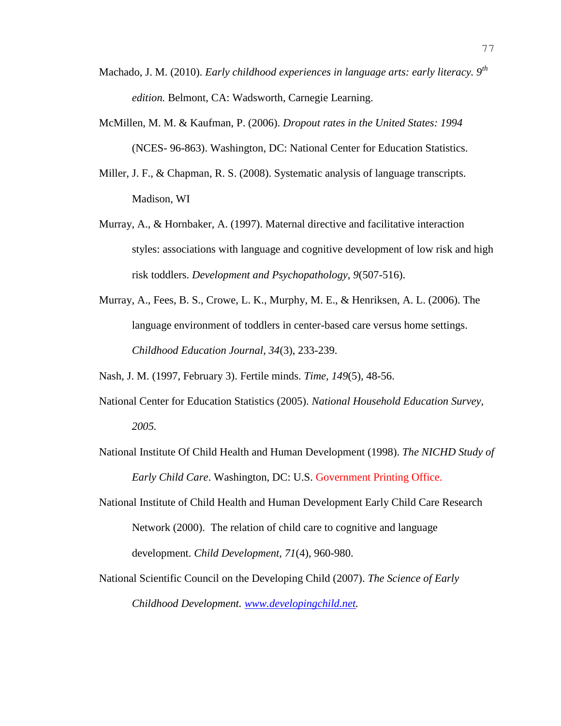- Machado, J. M. (2010). *Early childhood experiences in language arts: early literacy. 9th edition.* Belmont, CA: Wadsworth, Carnegie Learning.
- McMillen, M. M. & Kaufman, P. (2006). *Dropout rates in the United States: 1994*  (NCES- 96-863). Washington, DC: National Center for Education Statistics.
- Miller, J. F., & Chapman, R. S. (2008). Systematic analysis of language transcripts. Madison, WI
- Murray, A., & Hornbaker, A. (1997). Maternal directive and facilitative interaction styles: associations with language and cognitive development of low risk and high risk toddlers. *Development and Psychopathology, 9*(507-516).
- Murray, A., Fees, B. S., Crowe, L. K., Murphy, M. E., & Henriksen, A. L. (2006). The language environment of toddlers in center-based care versus home settings. *Childhood Education Journal, 34*(3), 233-239.

Nash, J. M. (1997, February 3). Fertile minds. *Time, 149*(5)*,* 48-56.

- National Center for Education Statistics (2005). *National Household Education Survey, 2005.*
- National Institute Of Child Health and Human Development (1998). *The NICHD Study of Early Child Care*. Washington, DC: U.S. Government Printing Office.
- National Institute of Child Health and Human Development Early Child Care Research Network (2000). The relation of child care to cognitive and language development. *Child Development, 71*(4), 960-980.
- National Scientific Council on the Developing Child (2007). *The Science of Early Childhood Development. [www.developingchild.net.](http://www.developingchild.net/)*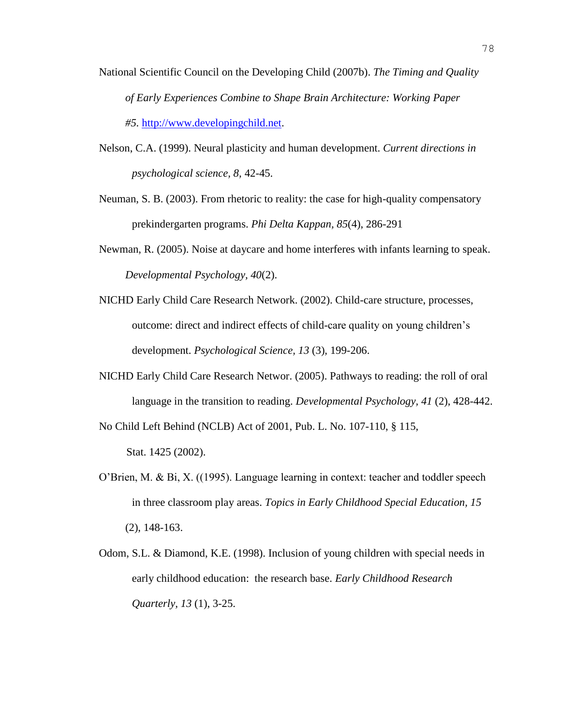- National Scientific Council on the Developing Child (2007b). *The Timing and Quality of Early Experiences Combine to Shape Brain Architecture: Working Paper #5.* [http://www.developingchild.net.](http://www.developingchild.net/)
- Nelson, C.A. (1999). Neural plasticity and human development. *Current directions in psychological science, 8,* 42-45.
- Neuman, S. B. (2003). From rhetoric to reality: the case for high-quality compensatory prekindergarten programs. *Phi Delta Kappan, 85*(4), 286-291
- Newman, R. (2005). Noise at daycare and home interferes with infants learning to speak. *Developmental Psychology, 40*(2).
- NICHD Early Child Care Research Network. (2002). Child-care structure, processes, outcome: direct and indirect effects of child-care quality on young children's development. *Psychological Science, 13* (3), 199-206.
- NICHD Early Child Care Research Networ. (2005). Pathways to reading: the roll of oral language in the transition to reading. *Developmental Psychology, 41* (2), 428-442.

No Child Left Behind (NCLB) Act of 2001, Pub. L. No. 107-110, § 115, Stat. 1425 (2002).

- O'Brien, M. & Bi, X. ((1995). Language learning in context: teacher and toddler speech in three classroom play areas. *Topics in Early Childhood Special Education, 15* (2), 148-163.
- Odom, S.L. & Diamond, K.E. (1998). Inclusion of young children with special needs in early childhood education: the research base. *Early Childhood Research Quarterly, 13* (1), 3-25.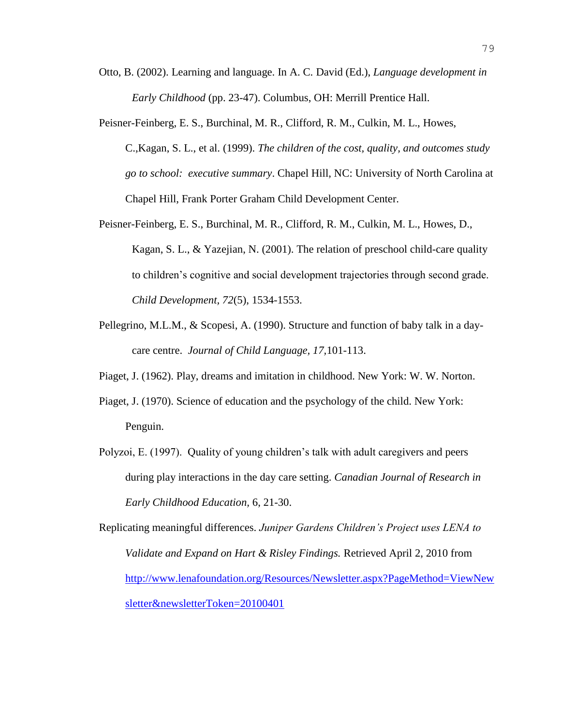- Otto, B. (2002). Learning and language. In A. C. David (Ed.), *Language development in Early Childhood* (pp. 23-47). Columbus, OH: Merrill Prentice Hall.
- Peisner-Feinberg, E. S., Burchinal, M. R., Clifford, R. M., Culkin, M. L., Howes, C.,Kagan, S. L., et al. (1999). *The children of the cost, quality, and outcomes study go to school: executive summary*. Chapel Hill, NC: University of North Carolina at Chapel Hill, Frank Porter Graham Child Development Center.
- Peisner-Feinberg, E. S., Burchinal, M. R., Clifford, R. M., Culkin, M. L., Howes, D., Kagan, S. L., & Yazejian, N. (2001). The relation of preschool child-care quality to children's cognitive and social development trajectories through second grade. *Child Development, 72*(5), 1534-1553.
- Pellegrino, M.L.M., & Scopesi, A. (1990). Structure and function of baby talk in a daycare centre. *Journal of Child Language, 17,*101-113.
- Piaget, J. (1962). Play, dreams and imitation in childhood. New York: W. W. Norton.
- Piaget, J. (1970). Science of education and the psychology of the child. New York: Penguin.
- Polyzoi, E. (1997). Quality of young children's talk with adult caregivers and peers during play interactions in the day care setting. *Canadian Journal of Research in Early Childhood Education,* 6, 21-30.

Replicating meaningful differences. *Juniper Gardens Children's Project uses LENA to Validate and Expand on Hart & Risley Findings.* Retrieved April 2, 2010 from [http://www.lenafoundation.org/Resources/Newsletter.aspx?PageMethod=ViewNew](http://www.lenafoundation.org/Resources/Newsletter.aspx?PageMethod=ViewNewsletter&newsletterToken=20100401) [sletter&newsletterToken=20100401](http://www.lenafoundation.org/Resources/Newsletter.aspx?PageMethod=ViewNewsletter&newsletterToken=20100401)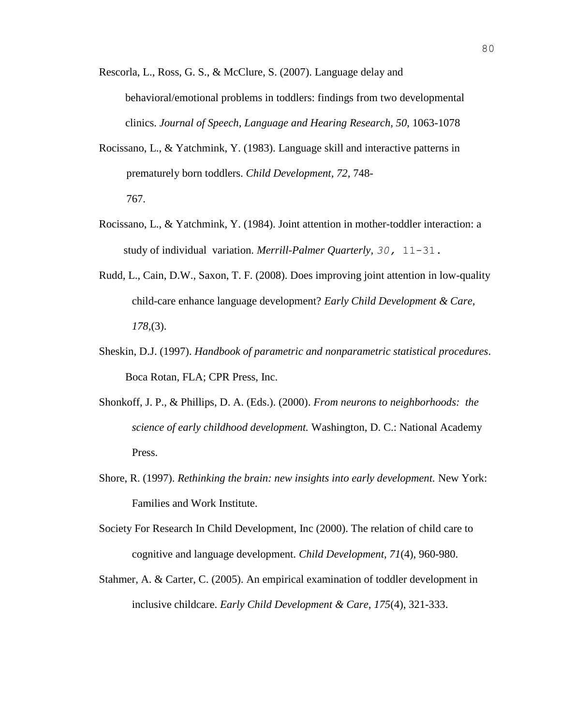Rescorla, L., Ross, G. S., & McClure, S. (2007). Language delay and behavioral/emotional problems in toddlers: findings from two developmental clinics. *Journal of Speech, Language and Hearing Research, 50,* 1063-1078

- Rocissano, L., & Yatchmink, Y. (1983). Language skill and interactive patterns in prematurely born toddlers. *Child Development, 72,* 748- 767.
- Rocissano, L., & Yatchmink, Y. (1984). Joint attention in mother-toddler interaction: a study of individual variation. *Merrill-Palmer Quarterly, 30,* 11-31.
- Rudd, L., Cain, D.W., Saxon, T. F. (2008). Does improving joint attention in low-quality child-care enhance language development? *Early Child Development & Care, 178,*(3).
- Sheskin, D.J. (1997). *Handbook of parametric and nonparametric statistical procedures*. Boca Rotan, FLA; CPR Press, Inc.
- Shonkoff, J. P., & Phillips, D. A. (Eds.). (2000). *From neurons to neighborhoods: the science of early childhood development.* Washington, D. C.: National Academy Press.
- Shore, R. (1997). *Rethinking the brain: new insights into early development.* New York: Families and Work Institute.
- Society For Research In Child Development, Inc (2000). The relation of child care to cognitive and language development. *Child Development, 71*(4), 960-980.
- Stahmer, A. & Carter, C. (2005). An empirical examination of toddler development in inclusive childcare. *Early Child Development & Care, 175*(4), 321-333.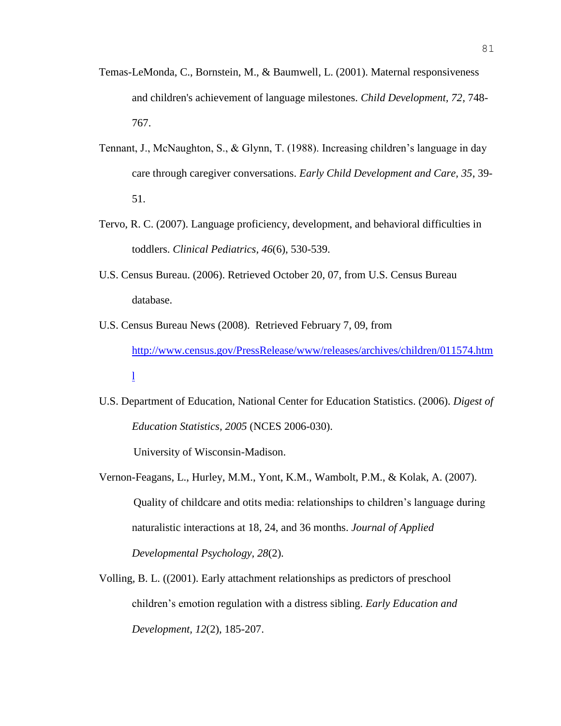- Temas-LeMonda, C., Bornstein, M., & Baumwell, L. (2001). Maternal responsiveness and children's achievement of language milestones. *Child Development, 72,* 748- 767.
- Tennant, J., McNaughton, S., & Glynn, T. (1988). Increasing children's language in day care through caregiver conversations. *Early Child Development and Care, 35*, 39- 51.
- Tervo, R. C. (2007). Language proficiency, development, and behavioral difficulties in toddlers. *Clinical Pediatrics, 46*(6), 530-539.
- U.S. Census Bureau. (2006). Retrieved October 20, 07, from U.S. Census Bureau database.
- U.S. Census Bureau News (2008). Retrieved February 7, 09, from [http://www.census.gov/PressRelease/www/releases/archives/children/011574.htm](http://www.census.gov/PressRelease/www/releases/archives/children/011574.html) [l](http://www.census.gov/PressRelease/www/releases/archives/children/011574.html)
- U.S. Department of Education, National Center for Education Statistics. (2006). *Digest of Education Statistics, 2005* (NCES 2006-030).

University of Wisconsin-Madison.

- Vernon-Feagans, L., Hurley, M.M., Yont, K.M., Wambolt, P.M., & Kolak, A. (2007). Quality of childcare and otits media: relationships to children's language during naturalistic interactions at 18, 24, and 36 months. *Journal of Applied Developmental Psychology, 28*(2).
- Volling, B. L. ((2001). Early attachment relationships as predictors of preschool children's emotion regulation with a distress sibling. *Early Education and Development, 12*(2), 185-207.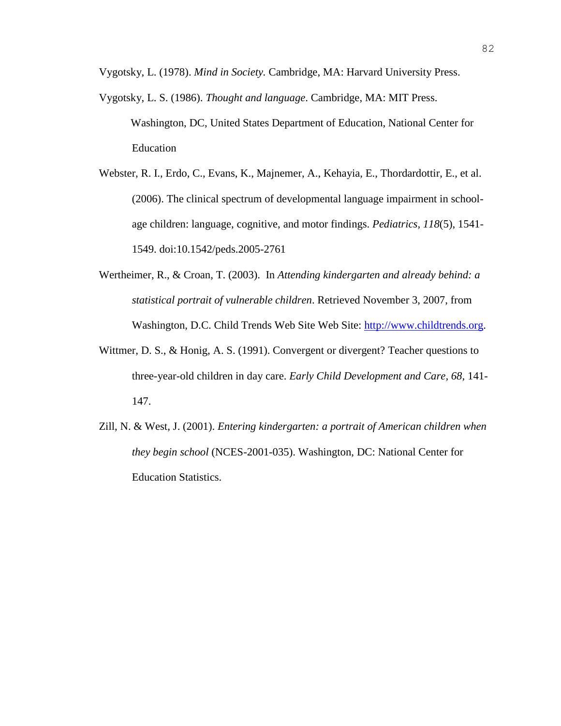Vygotsky, L. (1978). *Mind in Society.* Cambridge, MA: Harvard University Press.

- Vygotsky, L. S. (1986). *Thought and language*. Cambridge, MA: MIT Press. Washington, DC, United States Department of Education, National Center for Education
- Webster, R. I., Erdo, C., Evans, K., Majnemer, A., Kehayia, E., Thordardottir, E., et al. (2006). The clinical spectrum of developmental language impairment in schoolage children: language, cognitive, and motor findings. *Pediatrics, 118*(5), 1541- 1549. doi:10.1542/peds.2005-2761
- Wertheimer, R., & Croan, T. (2003). In *Attending kindergarten and already behind: a statistical portrait of vulnerable children*. Retrieved November 3, 2007, from Washington, D.C. Child Trends Web Site Web Site: [http://www.childtrends.org.](http://www.childtrends.org/)
- Wittmer, D. S., & Honig, A. S. (1991). Convergent or divergent? Teacher questions to three-year-old children in day care. *Early Child Development and Care, 68,* 141- 147.
- Zill, N. & West, J. (2001). *Entering kindergarten: a portrait of American children when they begin school* (NCES-2001-035). Washington, DC: National Center for Education Statistics.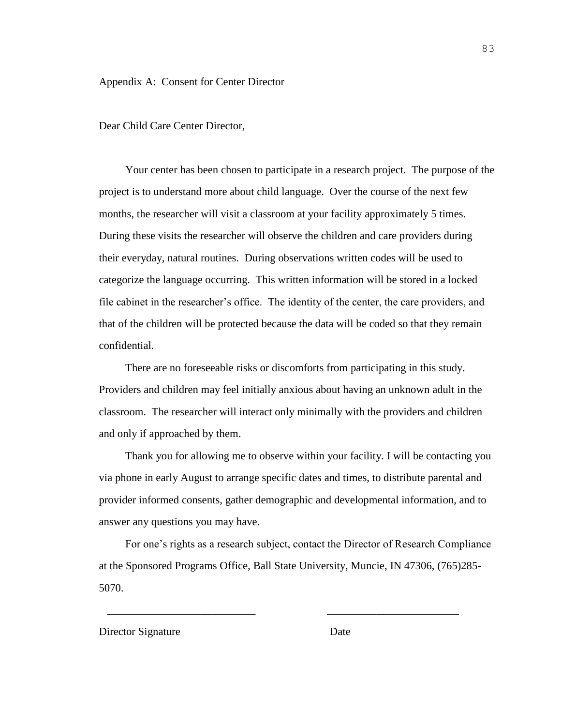Appendix A: Consent for Center Director

Dear Child Care Center Director,

Your center has been chosen to participate in a research project. The purpose of the project is to understand more about child language. Over the course of the next few months, the researcher will visit a classroom at your facility approximately 5 times. During these visits the researcher will observe the children and care providers during their everyday, natural routines. During observations written codes will be used to categorize the language occurring. This written information will be stored in a locked file cabinet in the researcher's office. The identity of the center, the care providers, and that of the children will be protected because the data will be coded so that they remain confidential.

There are no foreseeable risks or discomforts from participating in this study. Providers and children may feel initially anxious about having an unknown adult in the classroom. The researcher will interact only minimally with the providers and children and only if approached by them.

Thank you for allowing me to observe within your facility. I will be contacting you via phone in early August to arrange specific dates and times, to distribute parental and provider informed consents, gather demographic and developmental information, and to answer any questions you may have.

For one's rights as a research subject, contact the Director of Research Compliance at the Sponsored Programs Office, Ball State University, Muncie, IN 47306, (765)285- 5070.

 $\overline{\phantom{a}}$  ,  $\overline{\phantom{a}}$  ,  $\overline{\phantom{a}}$  ,  $\overline{\phantom{a}}$  ,  $\overline{\phantom{a}}$  ,  $\overline{\phantom{a}}$  ,  $\overline{\phantom{a}}$  ,  $\overline{\phantom{a}}$  ,  $\overline{\phantom{a}}$  ,  $\overline{\phantom{a}}$  ,  $\overline{\phantom{a}}$  ,  $\overline{\phantom{a}}$  ,  $\overline{\phantom{a}}$  ,  $\overline{\phantom{a}}$  ,  $\overline{\phantom{a}}$  ,  $\overline{\phantom{a}}$ 

#### Director Signature Date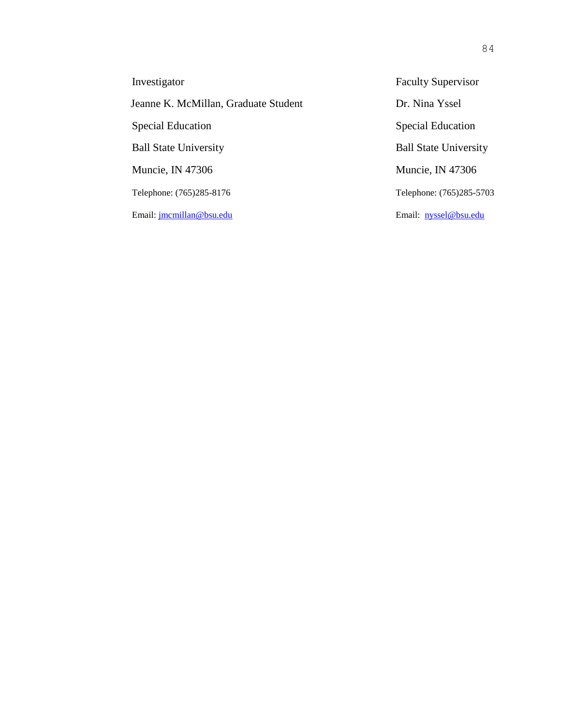| Investigator                         | <b>Faculty Supervisor</b>    |
|--------------------------------------|------------------------------|
| Jeanne K. McMillan, Graduate Student | Dr. Nina Yssel               |
| <b>Special Education</b>             | <b>Special Education</b>     |
| <b>Ball State University</b>         | <b>Ball State University</b> |
| Muncie, IN 47306                     | Muncie, IN 47306             |
| Telephone: (765)285-8176             | Telephone: (765)285-5703     |
| Email: jmcmillan@bsu.edu             | Email: <u>nyssel@bsu.edu</u> |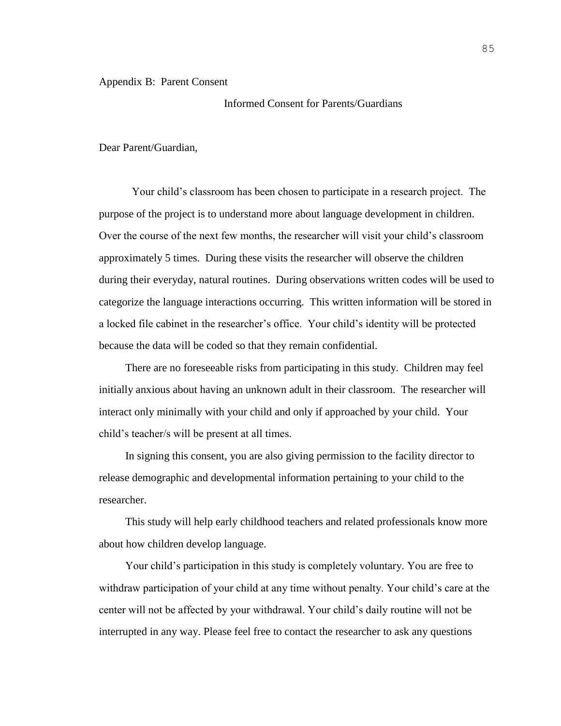#### Appendix B: Parent Consent

## Informed Consent for Parents/Guardians

#### Dear Parent/Guardian,

Your child's classroom has been chosen to participate in a research project. The purpose of the project is to understand more about language development in children. Over the course of the next few months, the researcher will visit your child's classroom approximately 5 times. During these visits the researcher will observe the children during their everyday, natural routines. During observations written codes will be used to categorize the language interactions occurring. This written information will be stored in a locked file cabinet in the researcher's office. Your child's identity will be protected because the data will be coded so that they remain confidential.

There are no foreseeable risks from participating in this study. Children may feel initially anxious about having an unknown adult in their classroom. The researcher will interact only minimally with your child and only if approached by your child. Your child's teacher/s will be present at all times.

In signing this consent, you are also giving permission to the facility director to release demographic and developmental information pertaining to your child to the researcher.

This study will help early childhood teachers and related professionals know more about how children develop language.

Your child's participation in this study is completely voluntary. You are free to withdraw participation of your child at any time without penalty. Your child's care at the center will not be affected by your withdrawal. Your child's daily routine will not be interrupted in any way. Please feel free to contact the researcher to ask any questions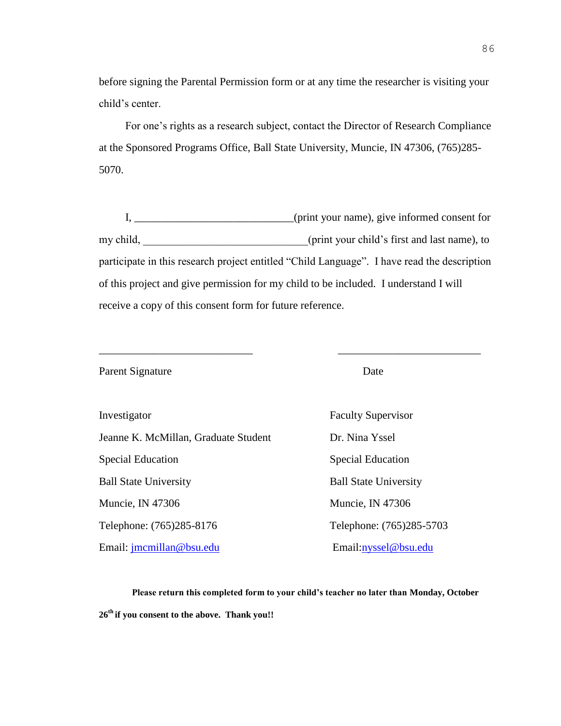before signing the Parental Permission form or at any time the researcher is visiting your child's center.

For one's rights as a research subject, contact the Director of Research Compliance at the Sponsored Programs Office, Ball State University, Muncie, IN 47306, (765)285- 5070.

I, \_\_\_\_\_\_\_\_\_\_\_\_\_\_\_\_\_\_\_\_\_\_\_\_\_\_\_\_\_(print your name), give informed consent for my child,  $\qquad \qquad$  (print your child's first and last name), to participate in this research project entitled "Child Language". I have read the description of this project and give permission for my child to be included. I understand I will receive a copy of this consent form for future reference.

\_\_\_\_\_\_\_\_\_\_\_\_\_\_\_\_\_\_\_\_\_\_\_\_\_\_\_\_ \_\_\_\_\_\_\_\_\_\_\_\_\_\_\_\_\_\_\_\_\_\_\_\_\_\_

Parent Signature Date

Jeanne K. McMillan, Graduate Student Dr. Nina Yssel Special Education Special Education Ball State University Ball State University Muncie, IN 47306 Muncie, IN 47306 Telephone: (765)285-8176 Telephone: (765)285-5703 Email: [jmcmillan@bsu.edu](mailto:jmcmillan@bsu.edu) Email[:nyssel@bsu.edu](mailto:nyssel@bsu.edu)

**Investigator** Faculty Supervisor

#### **Please return this completed form to your child's teacher no later than Monday, October**

**26 th if you consent to the above. Thank you!!**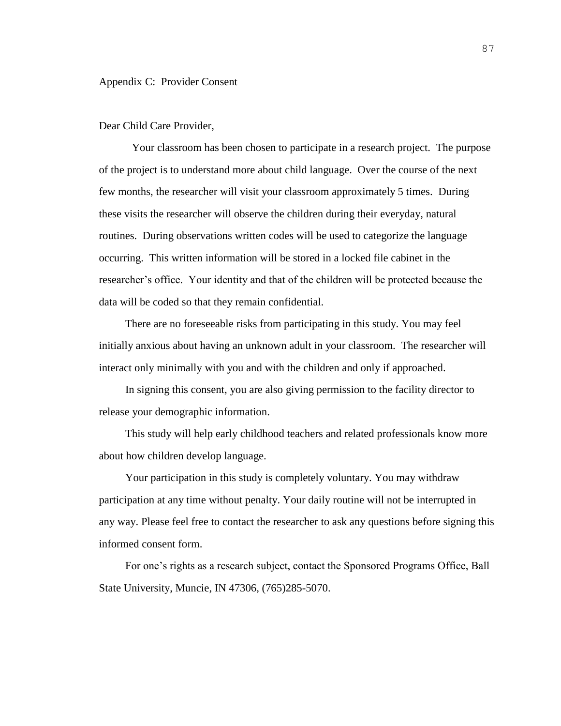Dear Child Care Provider,

Your classroom has been chosen to participate in a research project. The purpose of the project is to understand more about child language. Over the course of the next few months, the researcher will visit your classroom approximately 5 times. During these visits the researcher will observe the children during their everyday, natural routines. During observations written codes will be used to categorize the language occurring. This written information will be stored in a locked file cabinet in the researcher's office. Your identity and that of the children will be protected because the data will be coded so that they remain confidential.

There are no foreseeable risks from participating in this study. You may feel initially anxious about having an unknown adult in your classroom. The researcher will interact only minimally with you and with the children and only if approached.

In signing this consent, you are also giving permission to the facility director to release your demographic information.

This study will help early childhood teachers and related professionals know more about how children develop language.

Your participation in this study is completely voluntary. You may withdraw participation at any time without penalty. Your daily routine will not be interrupted in any way. Please feel free to contact the researcher to ask any questions before signing this informed consent form.

For one's rights as a research subject, contact the Sponsored Programs Office, Ball State University, Muncie, IN 47306, (765)285-5070.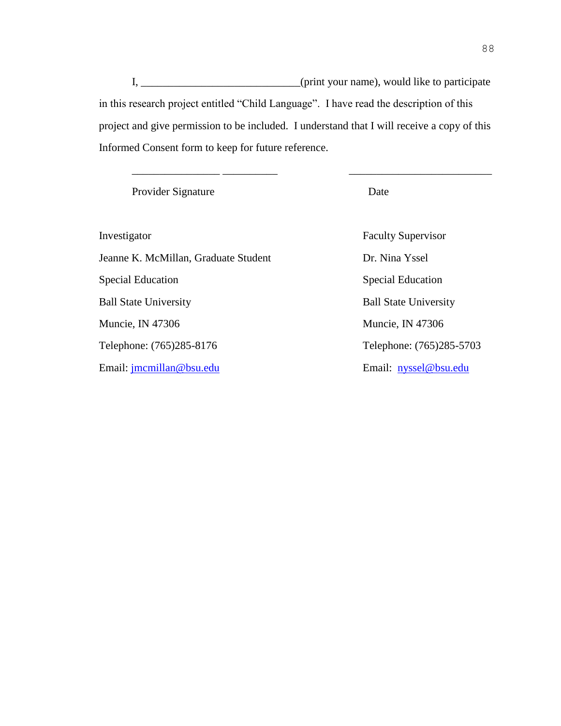I, \_\_\_\_\_\_\_\_\_\_\_\_\_\_\_\_\_\_\_\_\_\_\_\_\_\_(print your name), would like to participate in this research project entitled "Child Language". I have read the description of this project and give permission to be included. I understand that I will receive a copy of this Informed Consent form to keep for future reference.

\_\_\_\_\_\_\_\_\_\_\_\_\_\_\_\_ \_\_\_\_\_\_\_\_\_\_ \_\_\_\_\_\_\_\_\_\_\_\_\_\_\_\_\_\_\_\_\_\_\_\_\_\_

Provider Signature Date

Investigator Faculty Supervisor Jeanne K. McMillan, Graduate Student Dr. Nina Yssel Special Education Special Education Ball State University Ball State University Muncie, IN 47306 Muncie, IN 47306 Telephone: (765)285-8176 Telephone: (765)285-5703 Email: [jmcmillan@bsu.edu](mailto:jmcmillan@bsu.edu) Email: [nyssel@bsu.edu](mailto:nyssel@bsu.edu)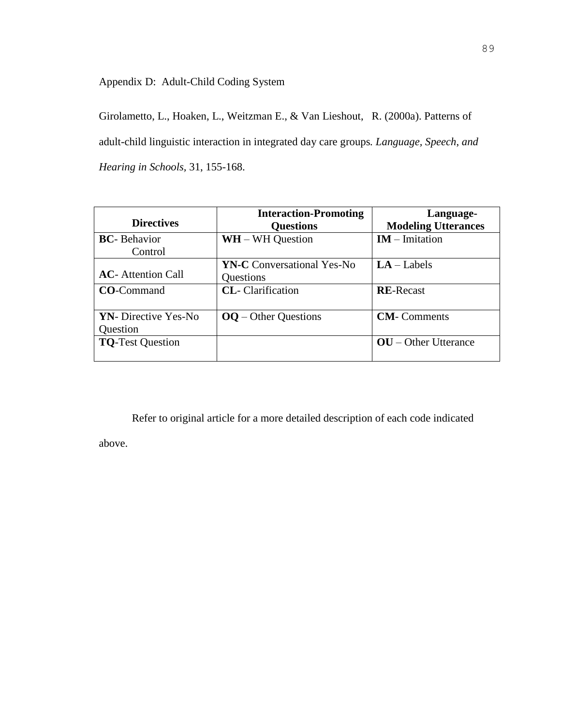Appendix D: Adult-Child Coding System

Girolametto, L., Hoaken, L., Weitzman E., & Van Lieshout, R. (2000a). Patterns of adult-child linguistic interaction in integrated day care groups*. Language, Speech*, *and Hearing in Schools,* 31, 155-168.

| <b>Directives</b>                        | <b>Interaction-Promoting</b><br><b>Questions</b> | Language-<br><b>Modeling Utterances</b> |
|------------------------------------------|--------------------------------------------------|-----------------------------------------|
| <b>BC</b> -Behavior                      | $WH - WH$ Question                               | $IM$ – Imitation                        |
| Control                                  |                                                  |                                         |
| <b>AC</b> - Attention Call               | <b>YN-C</b> Conversational Yes-No<br>Questions   | $LA - Labels$                           |
| <b>CO-Command</b>                        | <b>CL</b> -Clarification                         | <b>RE-Recast</b>                        |
| <b>YN</b> - Directive Yes-No<br>Question | $OQ -$ Other Questions                           | <b>CM-</b> Comments                     |
| <b>TQ-Test Question</b>                  |                                                  | $\mathbf{OU}$ – Other Utterance         |

Refer to original article for a more detailed description of each code indicated

above.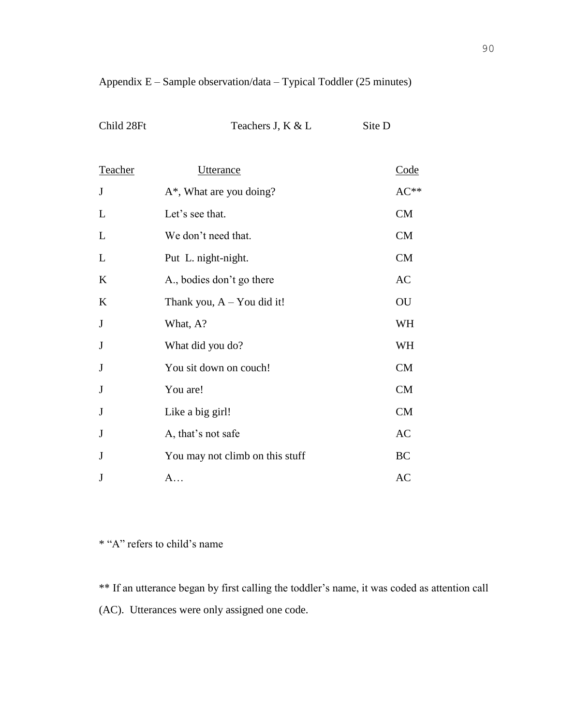# Appendix E – Sample observation/data – Typical Toddler (25 minutes)

| Child 28Ft |  |
|------------|--|
|------------|--|

Teachers J, K & L Site D

| Teacher | Utterance                       | Code      |
|---------|---------------------------------|-----------|
| J       | $A^*$ , What are you doing?     | $AC**$    |
| L       | Let's see that.                 | CM        |
| L       | We don't need that.             | CM        |
| L       | Put L. night-night.             | CM        |
| K       | A., bodies don't go there       | AC        |
| K       | Thank you, $A - You$ did it!    | OU        |
| J       | What, A?                        | WH        |
| J       | What did you do?                | WH        |
| J       | You sit down on couch!          | CM        |
| J       | You are!                        | CM        |
| J       | Like a big girl!                | CM        |
| J       | A, that's not safe              | AC        |
| J       | You may not climb on this stuff | <b>BC</b> |
| J       | A                               | AC        |

\* "A" refers to child's name

\*\* If an utterance began by first calling the toddler's name, it was coded as attention call (AC). Utterances were only assigned one code.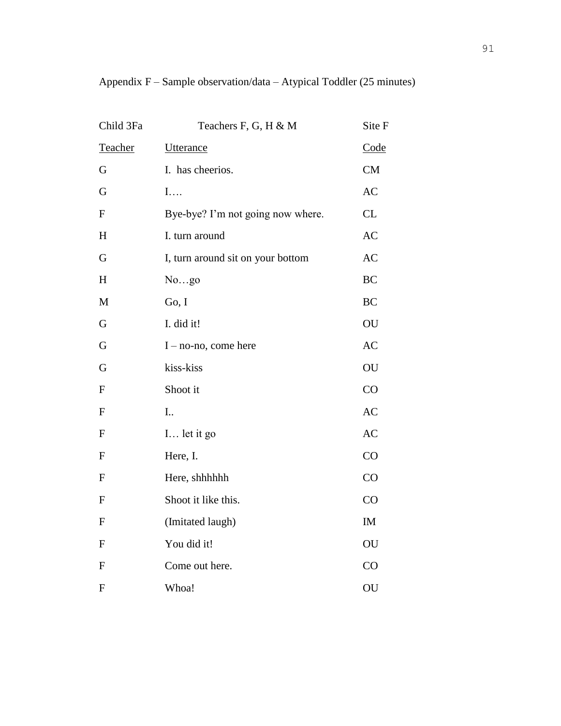| Child 3Fa    | Teachers F, G, H & M              | Site F    |
|--------------|-----------------------------------|-----------|
| Teacher      | <b>Utterance</b>                  | Code      |
| $\mathbf G$  | I. has cheerios.                  | CM        |
| G            | $\mathbf{I}$                      | AC        |
| ${\bf F}$    | Bye-bye? I'm not going now where. | CL        |
| H            | I. turn around                    | <b>AC</b> |
| G            | I, turn around sit on your bottom | AC        |
| H            | Nogo                              | <b>BC</b> |
| $\mathbf M$  | Go, I                             | <b>BC</b> |
| $\mathbf G$  | I. did it!                        | OU        |
| G            | $I - no$ -no, come here           | <b>AC</b> |
| G            | kiss-kiss                         | OU        |
| ${\bf F}$    | Shoot it                          | CO        |
| ${\rm F}$    | I                                 | <b>AC</b> |
| ${\bf F}$    | I let it go                       | AC        |
| ${\bf F}$    | Here, I.                          | CO        |
| ${\bf F}$    | Here, shhhhhh                     | CO        |
| $\mathbf F$  | Shoot it like this.               | CO        |
| ${\bf F}$    | (Imitated laugh)                  | IM        |
| $\mathbf{F}$ | You did it!                       | OU        |
| $\mathbf{F}$ | Come out here.                    | CO        |
| $\mathbf{F}$ | Whoa!                             | OU        |

Appendix F – Sample observation/data – Atypical Toddler (25 minutes)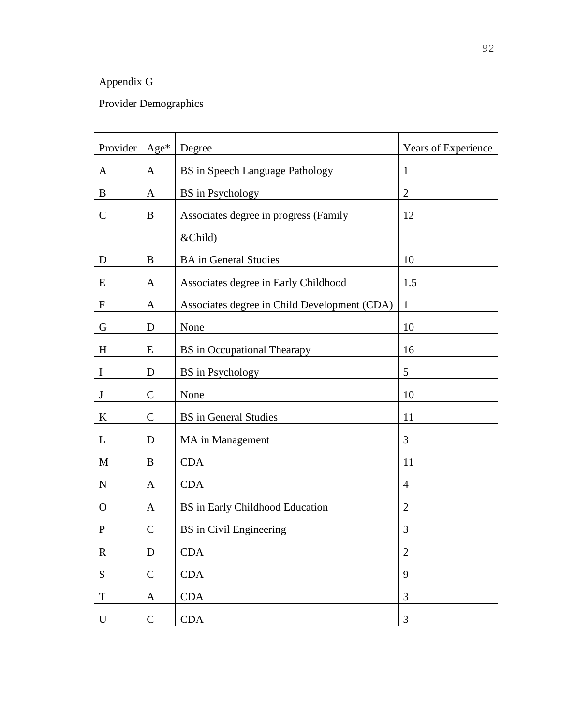# Appendix G

# Provider Demographics

| Provider    | $Age*$       | Degree                                       | Years of Experience |
|-------------|--------------|----------------------------------------------|---------------------|
| A           | A            | <b>BS</b> in Speech Language Pathology       | $\mathbf{1}$        |
| B           | A            | BS in Psychology                             | $\overline{2}$      |
| C           | B            | Associates degree in progress (Family        | 12                  |
|             |              | &Child)                                      |                     |
| D           | B            | <b>BA</b> in General Studies                 | 10                  |
| E           | A            | Associates degree in Early Childhood         | 1.5                 |
| $\mathbf F$ | A            | Associates degree in Child Development (CDA) | $\mathbf{1}$        |
| G           | D            | None                                         | 10                  |
| H           | E            | <b>BS</b> in Occupational Thearapy           | 16                  |
| I           | D            | <b>BS</b> in Psychology                      | 5                   |
| J           | $\mathsf{C}$ | None                                         | 10                  |
| K           | $\mathbf C$  | <b>BS</b> in General Studies                 | 11                  |
| L           | D            | MA in Management                             | 3                   |
| M           | B            | <b>CDA</b>                                   | 11                  |
| $\mathbf N$ | A            | <b>CDA</b>                                   | $\overline{4}$      |
| O           | A            | BS in Early Childhood Education              | $\overline{2}$      |
| $\mathbf P$ | $\mathbf C$  | BS in Civil Engineering                      | 3                   |
| $\mathbf R$ | $\mathbf D$  | <b>CDA</b>                                   | $\mathbf{2}$        |
| ${\bf S}$   | $\mathbf C$  | <b>CDA</b>                                   | 9                   |
| $\mathbf T$ | $\mathbf{A}$ | <b>CDA</b>                                   | 3                   |
| U           | $\mathbf C$  | <b>CDA</b>                                   | $\mathfrak{Z}$      |